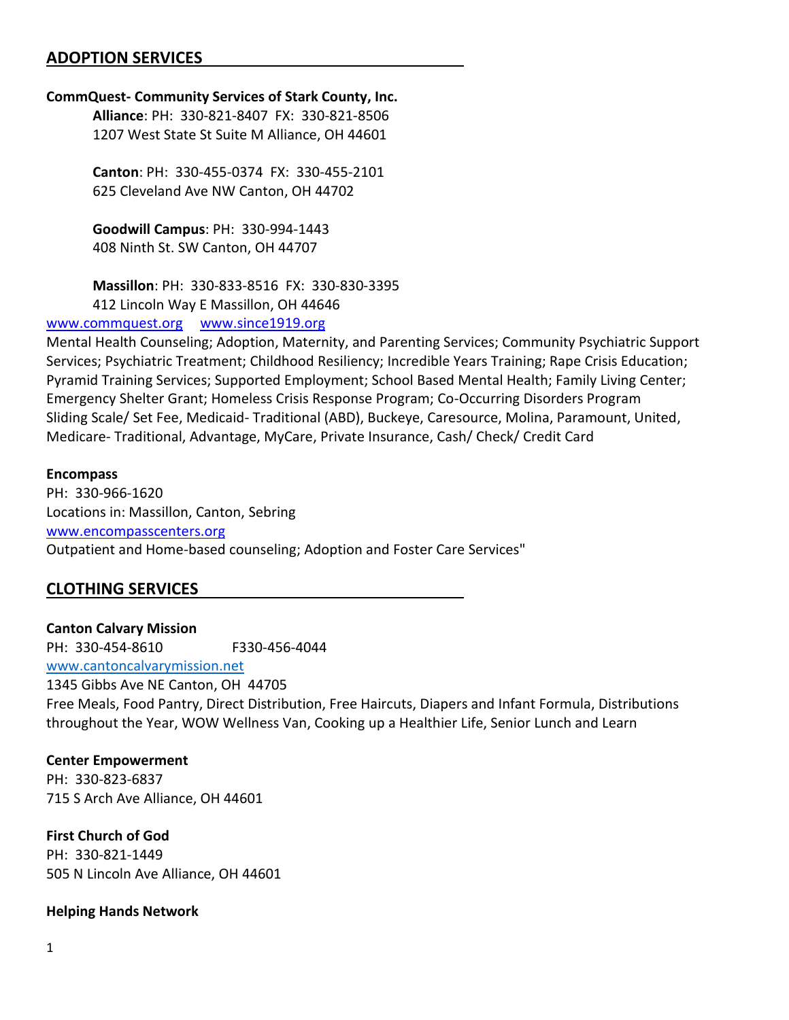### **ADOPTION SERVICES**

#### **CommQuest- Community Services of Stark County, Inc.**

**Alliance**: PH: 330-821-8407 FX: 330-821-8506 1207 West State St Suite M Alliance, OH 44601

**Canton**: PH: 330-455-0374 FX: 330-455-2101 625 Cleveland Ave NW Canton, OH 44702

**Goodwill Campus**: PH: 330-994-1443 408 Ninth St. SW Canton, OH 44707

**Massillon**: PH: 330-833-8516 FX: 330-830-3395 412 Lincoln Way E Massillon, OH 44646

#### [www.commquest.org](http://www.commquest.org/) [www.since1919.org](http://www.since1919.org/)

Mental Health Counseling; Adoption, Maternity, and Parenting Services; Community Psychiatric Support Services; Psychiatric Treatment; Childhood Resiliency; Incredible Years Training; Rape Crisis Education; Pyramid Training Services; Supported Employment; School Based Mental Health; Family Living Center; Emergency Shelter Grant; Homeless Crisis Response Program; Co-Occurring Disorders Program Sliding Scale/ Set Fee, Medicaid- Traditional (ABD), Buckeye, Caresource, Molina, Paramount, United, Medicare- Traditional, Advantage, MyCare, Private Insurance, Cash/ Check/ Credit Card

#### **Encompass**

PH: 330-966-1620 Locations in: Massillon, Canton, Sebring [www.encompasscenters.org](http://www.encompasscenters.org/) Outpatient and Home-based counseling; Adoption and Foster Care Services"

### **CLOTHING SERVICES**

**Canton Calvary Mission** PH: 330-454-8610 F330-456-4044 [www.cantoncalvarymission.net](http://www.cantoncalvarymission.net/) 1345 Gibbs Ave NE Canton, OH 44705 Free Meals, Food Pantry, Direct Distribution, Free Haircuts, Diapers and Infant Formula, Distributions throughout the Year, WOW Wellness Van, Cooking up a Healthier Life, Senior Lunch and Learn

### **Center Empowerment**

PH: 330-823-6837 715 S Arch Ave Alliance, OH 44601

# **First Church of God**

PH: 330-821-1449 505 N Lincoln Ave Alliance, OH 44601

#### **Helping Hands Network**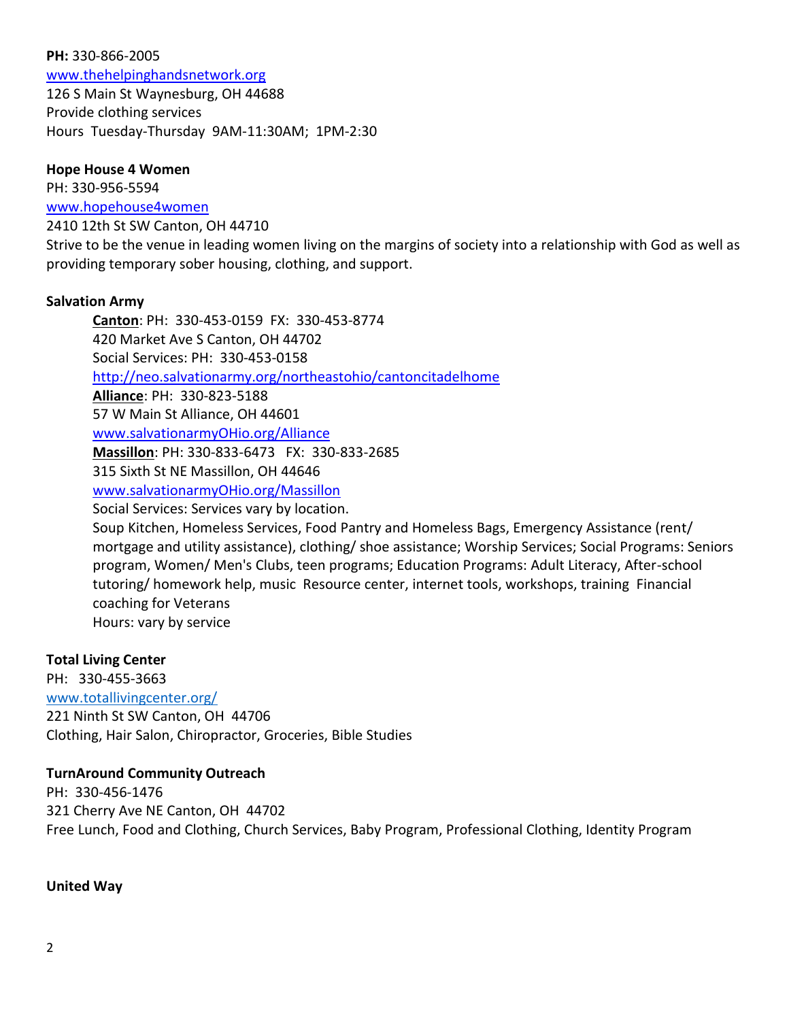#### **PH:** 330-866-2005

[www.thehelpinghandsnetwork.org](http://www.thehelpinghandsnetwork.org/) 126 S Main St Waynesburg, OH 44688 Provide clothing services Hours Tuesday-Thursday 9AM-11:30AM; 1PM-2:30

#### **Hope House 4 Women**

PH: 330-956-5594

[www.hopehouse4women](http://www.hopehouse4women/)

2410 12th St SW Canton, OH 44710

Strive to be the venue in leading women living on the margins of society into a relationship with God as well as providing temporary sober housing, clothing, and support.

### **Salvation Army**

**Canton**: PH: 330-453-0159 FX: 330-453-8774 420 Market Ave S Canton, OH 44702 Social Services: PH: 330-453-0158 <http://neo.salvationarmy.org/northeastohio/cantoncitadelhome> **Alliance**: PH: 330-823-5188 57 W Main St Alliance, OH 44601 [www.salvationarmyOHio.org/Alliance](http://www.salvationarmyohio.org/Alliance) **Massillon**: PH: 330-833-6473 FX: 330-833-2685 315 Sixth St NE Massillon, OH 44646 [www.salvationarmyOHio.org/Massillon](http://www.salvationarmyohio.org/Massillon) Social Services: Services vary by location. Soup Kitchen, Homeless Services, Food Pantry and Homeless Bags, Emergency Assistance (rent/ mortgage and utility assistance), clothing/ shoe assistance; Worship Services; Social Programs: Seniors

program, Women/ Men's Clubs, teen programs; Education Programs: Adult Literacy, After-school tutoring/ homework help, music Resource center, internet tools, workshops, training Financial coaching for Veterans Hours: vary by service

#### **Total Living Center**

PH: 330-455-3663 [www.totallivingcenter.org/](http://www.totallivingcenter.org/) 221 Ninth St SW Canton, OH 44706 Clothing, Hair Salon, Chiropractor, Groceries, Bible Studies

#### **TurnAround Community Outreach**

PH: 330-456-1476 321 Cherry Ave NE Canton, OH 44702 Free Lunch, Food and Clothing, Church Services, Baby Program, Professional Clothing, Identity Program

### **United Way**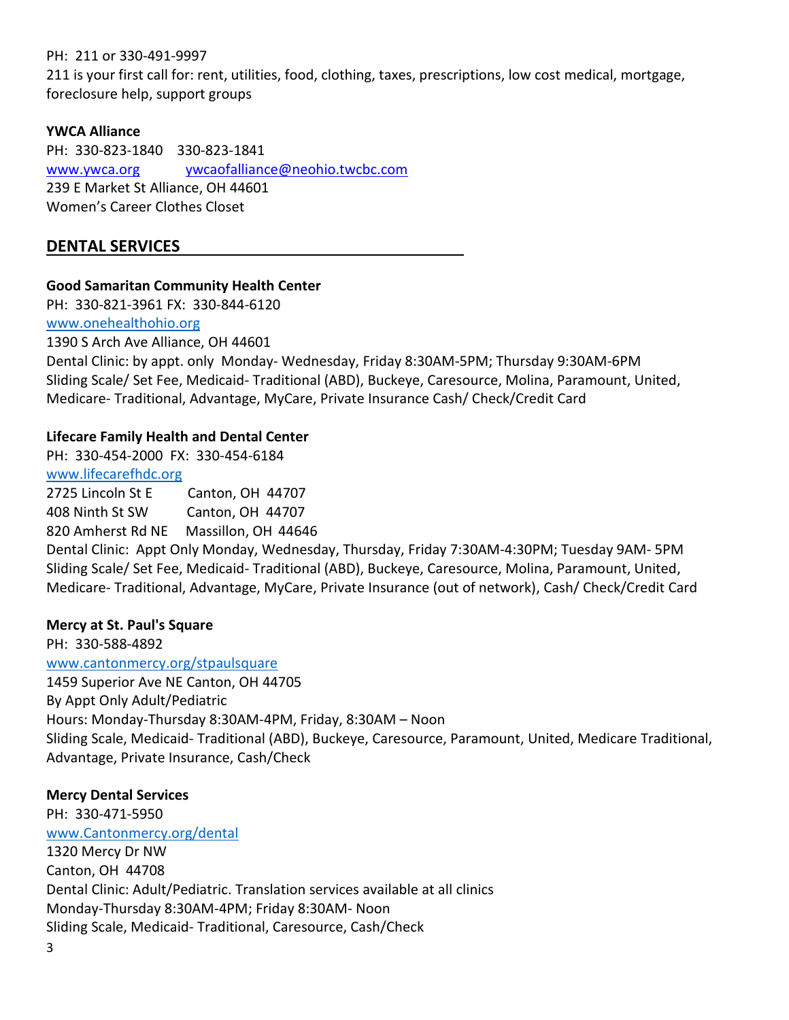### PH: 211 or 330-491-9997

211 is your first call for: rent, utilities, food, clothing, taxes, prescriptions, low cost medical, mortgage, foreclosure help, support groups

### **YWCA Alliance**

PH: 330-823-1840 330-823-1841 [www.ywca.org](http://www.ywca.org/) [ywcaofalliance@neohio.twcbc.com](mailto:ywcaofalliance@neohio.twcbc.com) 239 E Market St Alliance, OH 44601 Women's Career Clothes Closet

# **DENTAL SERVICES**

### **Good Samaritan Community Health Center**

PH: 330-821-3961 FX: 330-844-6120

[www.onehealthohio.org](http://www.onehealthohio.org/) 1390 S Arch Ave Alliance, OH 44601

Dental Clinic: by appt. only Monday- Wednesday, Friday 8:30AM-5PM; Thursday 9:30AM-6PM Sliding Scale/ Set Fee, Medicaid- Traditional (ABD), Buckeye, Caresource, Molina, Paramount, United, Medicare- Traditional, Advantage, MyCare, Private Insurance Cash/ Check/Credit Card

### **Lifecare Family Health and Dental Center**

PH: 330-454-2000 FX: 330-454-6184 [www.lifecarefhdc.org](http://www.lifecarefhdc.org/)

2725 Lincoln St E Canton, OH 44707

408 Ninth St SW Canton, OH 44707 820 Amherst Rd NE Massillon, OH 44646

Dental Clinic: Appt Only Monday, Wednesday, Thursday, Friday 7:30AM-4:30PM; Tuesday 9AM- 5PM Sliding Scale/ Set Fee, Medicaid- Traditional (ABD), Buckeye, Caresource, Molina, Paramount, United, Medicare- Traditional, Advantage, MyCare, Private Insurance (out of network), Cash/ Check/Credit Card

### **Mercy at St. Paul's Square**

PH: 330-588-4892 [www.cantonmercy.org/stpaulsquare](http://www.cantonmercy.org/stpaulsquare) 1459 Superior Ave NE Canton, OH 44705 By Appt Only Adult/Pediatric Hours: Monday-Thursday 8:30AM-4PM, Friday, 8:30AM – Noon Sliding Scale, Medicaid- Traditional (ABD), Buckeye, Caresource, Paramount, United, Medicare Traditional, Advantage, Private Insurance, Cash/Check

### **Mercy Dental Services**

PH: 330-471-5950 [www.Cantonmercy.org/dental](http://www.cantonmercy.org/dental) 1320 Mercy Dr NW Canton, OH 44708 Dental Clinic: Adult/Pediatric. Translation services available at all clinics Monday-Thursday 8:30AM-4PM; Friday 8:30AM- Noon Sliding Scale, Medicaid- Traditional, Caresource, Cash/Check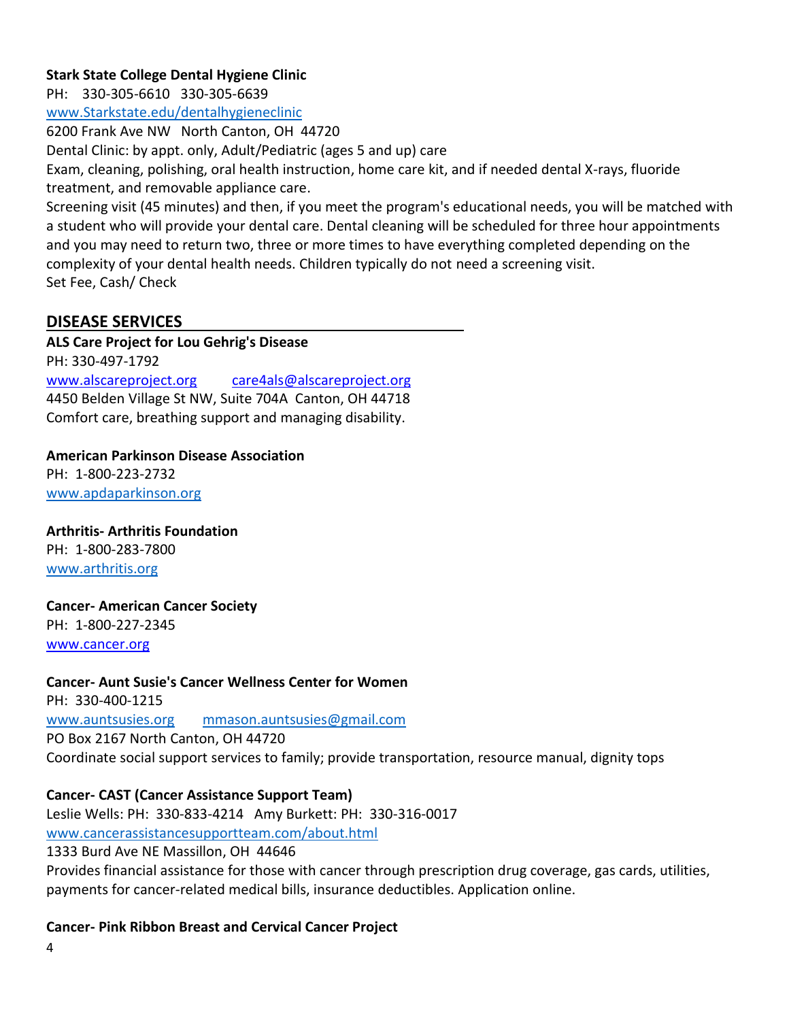### **Stark State College Dental Hygiene Clinic**

PH: 330-305-6610 330-305-6639

[www.Starkstate.edu/dentalhygieneclinic](http://www.starkstate.edu/dentalhygieneclinic)

6200 Frank Ave NW North Canton, OH 44720

Dental Clinic: by appt. only, Adult/Pediatric (ages 5 and up) care

Exam, cleaning, polishing, oral health instruction, home care kit, and if needed dental X-rays, fluoride treatment, and removable appliance care.

Screening visit (45 minutes) and then, if you meet the program's educational needs, you will be matched with a student who will provide your dental care. Dental cleaning will be scheduled for three hour appointments and you may need to return two, three or more times to have everything completed depending on the complexity of your dental health needs. Children typically do not need a screening visit. Set Fee, Cash/ Check

# **DISEASE SERVICES**

**ALS Care Project for Lou Gehrig's Disease**

PH: 330-497-1792

[www.alscareproject.org](http://www.alscareproject.org/) [care4als@alscareproject.org](mailto:care4als@alscareproject.org) 4450 Belden Village St NW, Suite 704A Canton, OH 44718 Comfort care, breathing support and managing disability.

### **American Parkinson Disease Association**

PH: 1-800-223-2732 [www.apdaparkinson.org](http://www.apdaparkinson.org/)

### **Arthritis- Arthritis Foundation**

PH: 1-800-283-7800 [www.arthritis.org](http://www.arthritis.org/)

### **Cancer- American Cancer Society**

PH: 1-800-227-2345 [www.cancer.org](http://www.cancer.org/)

### **Cancer- Aunt Susie's Cancer Wellness Center for Women**

PH: 330-400-1215 [www.auntsusies.org](http://www.auntsusies.org/) [mmason.auntsusies@gmail.com](mailto:mmason.auntsusies@gmail.com) PO Box 2167 North Canton, OH 44720 Coordinate social support services to family; provide transportation, resource manual, dignity tops

### **Cancer- CAST (Cancer Assistance Support Team)**

Leslie Wells: PH: 330-833-4214 Amy Burkett: PH: 330-316-0017 [www.cancerassistancesupportteam.com/about.html](http://www.cancerassistancesupportteam.com/about.html) 1333 Burd Ave NE Massillon, OH 44646 Provides financial assistance for those with cancer through prescription drug coverage, gas cards, utilities, payments for cancer-related medical bills, insurance deductibles. Application online.

### **Cancer- Pink Ribbon Breast and Cervical Cancer Project**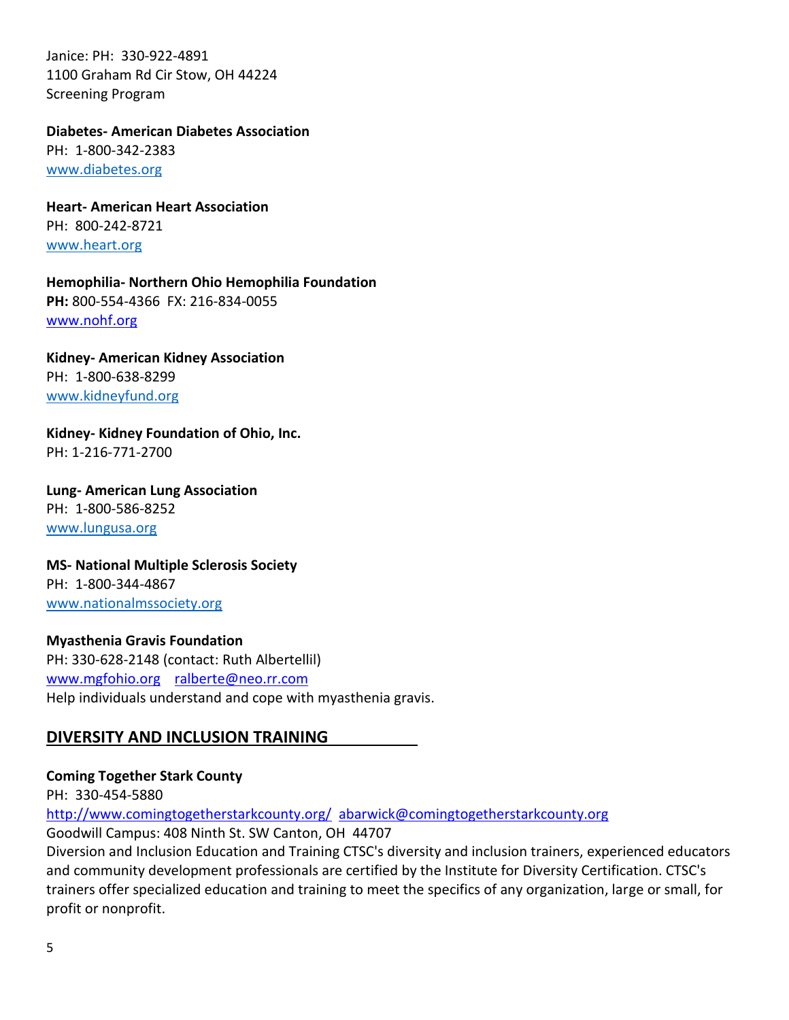Janice: PH: 330-922-4891 1100 Graham Rd Cir Stow, OH 44224 Screening Program

**Diabetes- American Diabetes Association** PH: 1-800-342-2383 [www.diabetes.org](http://www.diabetes.org/)

**Heart- American Heart Association** PH: 800-242-8721 [www.heart.org](http://www.heart.org/)

**Hemophilia- Northern Ohio Hemophilia Foundation PH:** 800-554-4366 FX: 216-834-0055 [www.nohf.org](http://www.nohf.org/)

**Kidney- American Kidney Association** PH: 1-800-638-8299 [www.kidneyfund.org](http://www.kidneyfund.org/)

**Kidney- Kidney Foundation of Ohio, Inc.** PH: 1-216-771-2700

**Lung- American Lung Association** PH: 1-800-586-8252 [www.lungusa.org](http://www.lungusa.org/)

**MS- National Multiple Sclerosis Society** PH: 1-800-344-4867 [www.nationalmssociety.org](http://www.nationalmssociety.org/)

**Myasthenia Gravis Foundation** PH: 330-628-2148 (contact: Ruth Albertellil) [www.mgfohio.org](http://www.mgfohio.org/) [ralberte@neo.rr.com](mailto:ralberte@neo.rr.com) Help individuals understand and cope with myasthenia gravis.

# **DIVERSITY AND INCLUSION TRAINING**

**Coming Together Stark County**

PH: 330-454-5880

<http://www.comingtogetherstarkcounty.org/> [abarwick@comingtogetherstarkcounty.org](mailto:abarwick@comingtogetherstarkcounty.org)

Goodwill Campus: 408 Ninth St. SW Canton, OH 44707

Diversion and Inclusion Education and Training CTSC's diversity and inclusion trainers, experienced educators and community development professionals are certified by the Institute for Diversity Certification. CTSC's trainers offer specialized education and training to meet the specifics of any organization, large or small, for profit or nonprofit.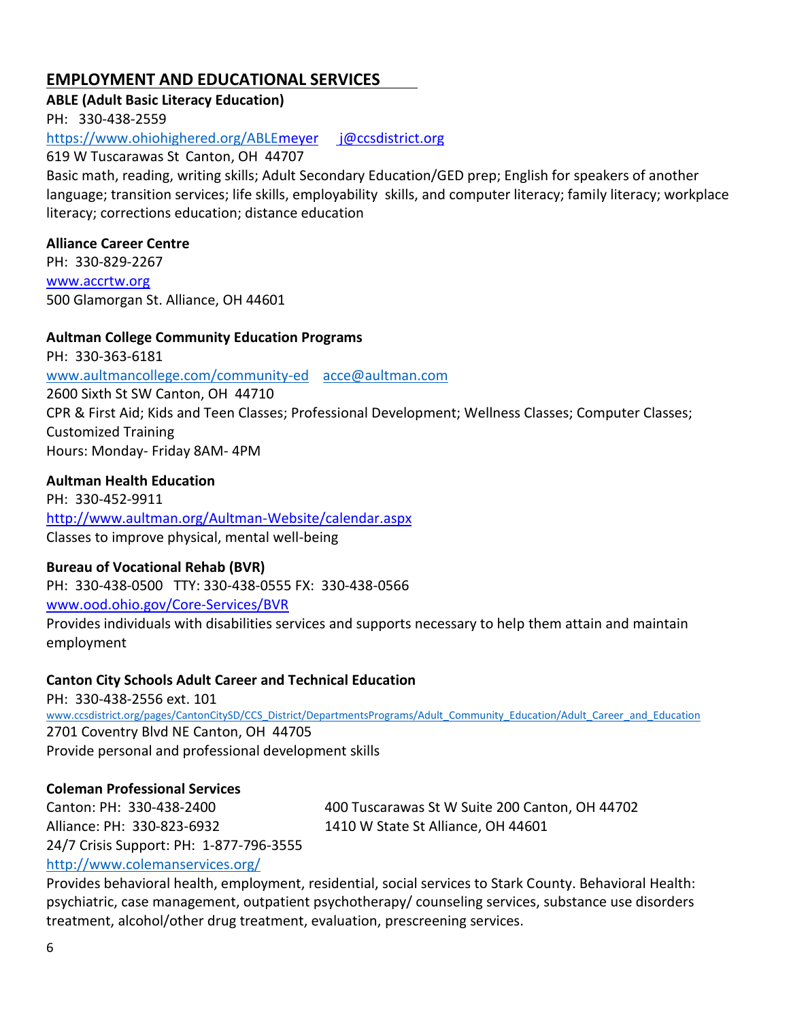# **EMPLOYMENT AND EDUCATIONAL SERVICES**

**ABLE (Adult Basic Literacy Education)**

PH: 330-438-2559

https://www.ohiohighered.org/ABL[Emeyer j@ccsdistrict.org](mailto:meyer%20%20%20%20%20%20j@ccsdistrict.org)

619 W Tuscarawas St Canton, OH 44707

Basic math, reading, writing skills; Adult Secondary Education/GED prep; English for speakers of another language; transition services; life skills, employability skills, and computer literacy; family literacy; workplace literacy; corrections education; distance education

### **Alliance Career Centre**

PH: 330-829-2267 [www.accrtw.org](http://www.accrtw.org/) 500 Glamorgan St. Alliance, OH 44601

**Aultman College Community Education Programs** PH: 330-363-6181 [www.aultmancollege.com/community-ed](http://www.aultmancollege.com/community-ed) [acce@aultman.com](mailto:acce@aultman.com) 2600 Sixth St SW Canton, OH 44710 CPR & First Aid; Kids and Teen Classes; Professional Development; Wellness Classes; Computer Classes; Customized Training Hours: Monday- Friday 8AM- 4PM

### **Aultman Health Education**

PH: 330-452-9911 <http://www.aultman.org/Aultman-Website/calendar.aspx> Classes to improve physical, mental well-being

### **Bureau of Vocational Rehab (BVR)**

PH: 330-438-0500 TTY: 330-438-0555 FX: 330-438-0566 [www.ood.ohio.gov/Core-Services/BVR](http://www.ood.ohio.gov/Core-Services/BVR) Provides individuals with disabilities services and supports necessary to help them attain and maintain

employment

### **Canton City Schools Adult Career and Technical Education**

PH: 330-438-2556 ext. 101 [www.ccsdistrict.org/pages/CantonCitySD/CCS\\_District/DepartmentsPrograms/Adult\\_Community\\_Education/Adult\\_Career\\_and\\_Education](http://www.ccsdistrict.org/pages/CantonCitySD/CCS_District/DepartmentsPrograms/Adult_Community_Education/Adult_Career_and_Education) 2701 Coventry Blvd NE Canton, OH 44705 Provide personal and professional development skills

### **Coleman Professional Services**

Canton: PH: 330-438-2400 400 Tuscarawas St W Suite 200 Canton, OH 44702 Alliance: PH: 330-823-6932 1410 W State St Alliance, OH 44601 24/7 Crisis Support: PH: 1-877-796-3555

<http://www.colemanservices.org/>

Provides behavioral health, employment, residential, social services to Stark County. Behavioral Health: psychiatric, case management, outpatient psychotherapy/ counseling services, substance use disorders treatment, alcohol/other drug treatment, evaluation, prescreening services.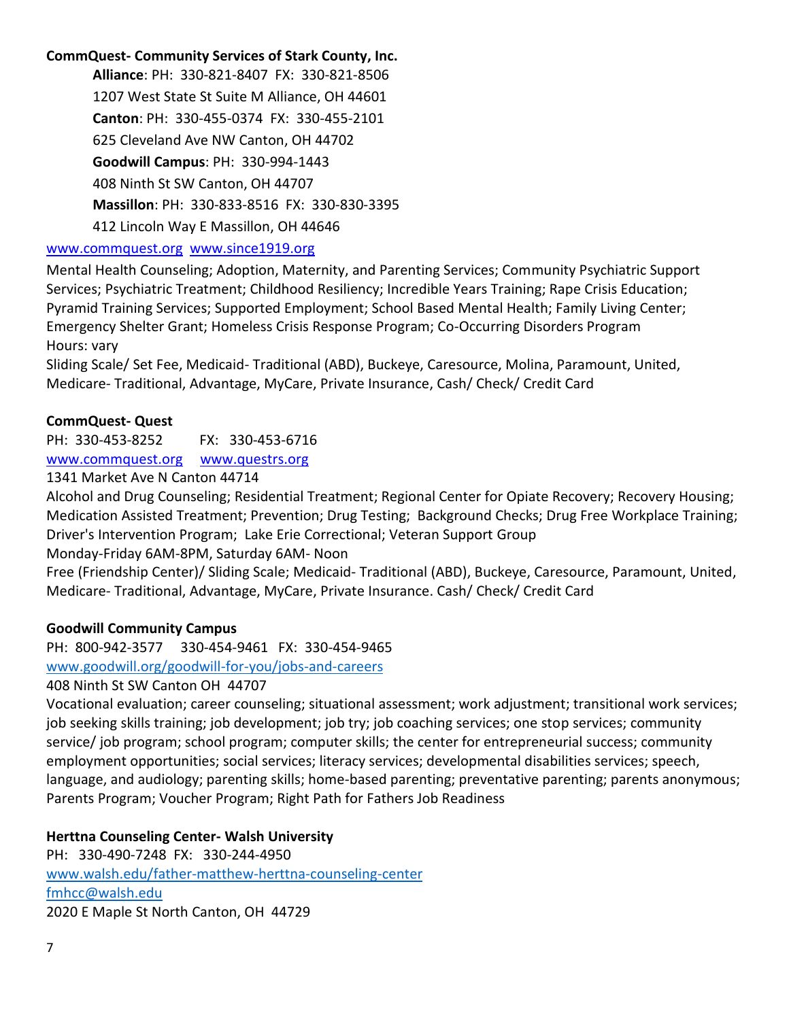# **CommQuest- Community Services of Stark County, Inc.**

**Alliance**: PH: 330-821-8407 FX: 330-821-8506 1207 West State St Suite M Alliance, OH 44601 **Canton**: PH: 330-455-0374 FX: 330-455-2101 625 Cleveland Ave NW Canton, OH 44702 **Goodwill Campus**: PH: 330-994-1443 408 Ninth St SW Canton, OH 44707 **Massillon**: PH: 330-833-8516 FX: 330-830-3395 412 Lincoln Way E Massillon, OH 44646

### [www.commquest.org](http://www.commquest.org/) [www.since1919.org](http://www.since1919.org/)

Mental Health Counseling; Adoption, Maternity, and Parenting Services; Community Psychiatric Support Services; Psychiatric Treatment; Childhood Resiliency; Incredible Years Training; Rape Crisis Education; Pyramid Training Services; Supported Employment; School Based Mental Health; Family Living Center; Emergency Shelter Grant; Homeless Crisis Response Program; Co-Occurring Disorders Program Hours: vary

Sliding Scale/ Set Fee, Medicaid- Traditional (ABD), Buckeye, Caresource, Molina, Paramount, United, Medicare- Traditional, Advantage, MyCare, Private Insurance, Cash/ Check/ Credit Card

### **CommQuest- Quest**

PH: 330-453-8252 FX: 330-453-6716 [www.commquest.org](http://www.commquest.org/) [www.questrs.org](http://www.questrs.org/)

1341 Market Ave N Canton 44714

Alcohol and Drug Counseling; Residential Treatment; Regional Center for Opiate Recovery; Recovery Housing; Medication Assisted Treatment; Prevention; Drug Testing; Background Checks; Drug Free Workplace Training; Driver's Intervention Program; Lake Erie Correctional; Veteran Support Group

Monday-Friday 6AM-8PM, Saturday 6AM- Noon

Free (Friendship Center)/ Sliding Scale; Medicaid- Traditional (ABD), Buckeye, Caresource, Paramount, United, Medicare- Traditional, Advantage, MyCare, Private Insurance. Cash/ Check/ Credit Card

### **Goodwill Community Campus**

PH: 800-942-3577 330-454-9461 FX: 330-454-9465

[www.goodwill.org/goodwill-for-you/jobs-and-careers](http://www.goodwill.org/goodwill-for-you/jobs-and-careers)

#### 408 Ninth St SW Canton OH 44707

Vocational evaluation; career counseling; situational assessment; work adjustment; transitional work services; job seeking skills training; job development; job try; job coaching services; one stop services; community service/ job program; school program; computer skills; the center for entrepreneurial success; community employment opportunities; social services; literacy services; developmental disabilities services; speech, language, and audiology; parenting skills; home-based parenting; preventative parenting; parents anonymous; Parents Program; Voucher Program; Right Path for Fathers Job Readiness

### **Herttna Counseling Center- Walsh University**

PH: 330-490-7248 FX: 330-244-4950 [www.walsh.edu/father-matthew-herttna-counseling-center](http://www.walsh.edu/father-matthew-herttna-counseling-center) [fmhcc@walsh.edu](mailto:fmhcc@walsh.edu) 2020 E Maple St North Canton, OH 44729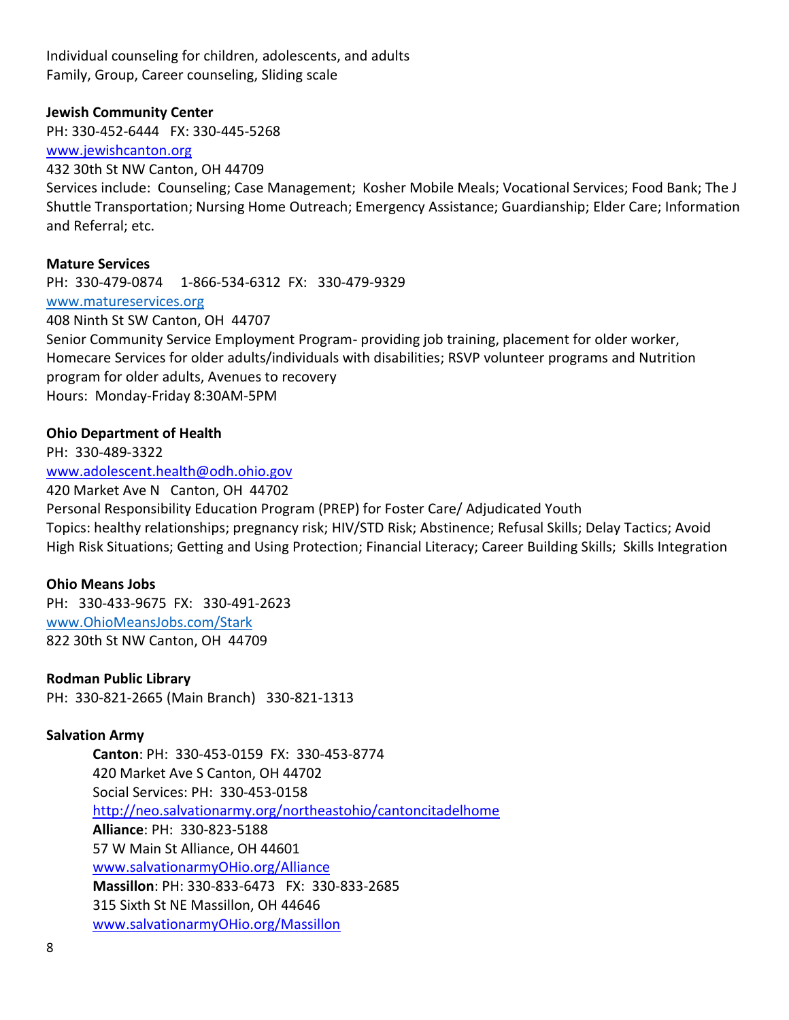Individual counseling for children, adolescents, and adults Family, Group, Career counseling, Sliding scale

#### **Jewish Community Center**

PH: 330-452-6444 FX: 330-445-5268

[www.jewishcanton.org](http://www.jewishcanton.org/)

#### 432 30th St NW Canton, OH 44709

Services include: Counseling; Case Management; Kosher Mobile Meals; Vocational Services; Food Bank; The J Shuttle Transportation; Nursing Home Outreach; Emergency Assistance; Guardianship; Elder Care; Information and Referral; etc.

#### **Mature Services**

PH: 330-479-0874 1-866-534-6312 FX: 330-479-9329 [www.matureservices.org](http://www.matureservices.org/) 408 Ninth St SW Canton, OH 44707

Senior Community Service Employment Program- providing job training, placement for older worker, Homecare Services for older adults/individuals with disabilities; RSVP volunteer programs and Nutrition program for older adults, Avenues to recovery Hours: Monday-Friday 8:30AM-5PM

#### **Ohio Department of Health**

PH: 330-489-3322 [www.adolescent.health@odh.ohio.gov](http://www.adolescent.health@odh.ohio.gov)

420 Market Ave N Canton, OH 44702

Personal Responsibility Education Program (PREP) for Foster Care/ Adjudicated Youth Topics: healthy relationships; pregnancy risk; HIV/STD Risk; Abstinence; Refusal Skills; Delay Tactics; Avoid High Risk Situations; Getting and Using Protection; Financial Literacy; Career Building Skills; Skills Integration

#### **Ohio Means Jobs**

PH: 330-433-9675 FX: 330-491-2623 [www.OhioMeansJobs.com/Stark](http://www.ohiomeansjobs.com/Stark) 822 30th St NW Canton, OH 44709

**Rodman Public Library** PH: 330-821-2665 (Main Branch) 330-821-1313

#### **Salvation Army**

**Canton**: PH: 330-453-0159 FX: 330-453-8774 420 Market Ave S Canton, OH 44702 Social Services: PH: 330-453-0158 <http://neo.salvationarmy.org/northeastohio/cantoncitadelhome> **Alliance**: PH: 330-823-5188 57 W Main St Alliance, OH 44601 [www.salvationarmyOHio.org/Alliance](http://www.salvationarmyohio.org/Alliance) **Massillon**: PH: 330-833-6473 FX: 330-833-2685 315 Sixth St NE Massillon, OH 44646 [www.salvationarmyOHio.org/Massillon](http://www.salvationarmyohio.org/Massillon)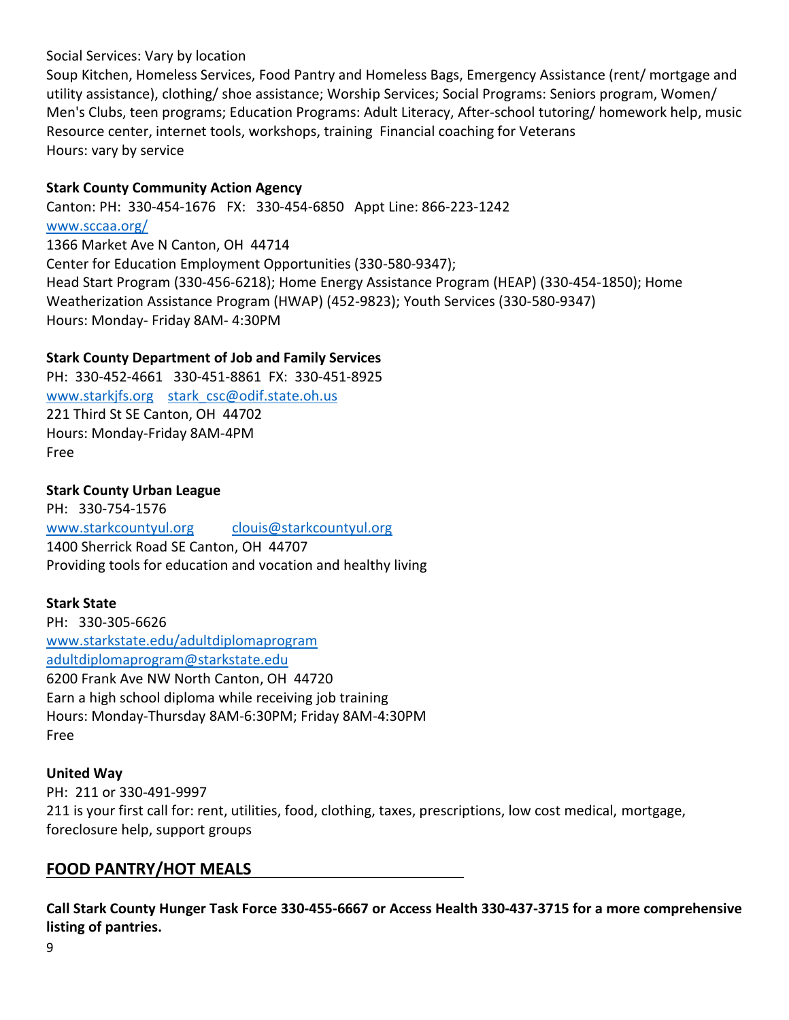### Social Services: Vary by location

Soup Kitchen, Homeless Services, Food Pantry and Homeless Bags, Emergency Assistance (rent/ mortgage and utility assistance), clothing/ shoe assistance; Worship Services; Social Programs: Seniors program, Women/ Men's Clubs, teen programs; Education Programs: Adult Literacy, After-school tutoring/ homework help, music Resource center, internet tools, workshops, training Financial coaching for Veterans Hours: vary by service

# **Stark County Community Action Agency**

Canton: PH: 330-454-1676 FX: 330-454-6850 Appt Line: 866-223-1242 [www.sccaa.org/](http://www.sccaa.org/) 1366 Market Ave N Canton, OH 44714 Center for Education Employment Opportunities (330-580-9347); Head Start Program (330-456-6218); Home Energy Assistance Program (HEAP) (330-454-1850); Home Weatherization Assistance Program (HWAP) (452-9823); Youth Services (330-580-9347) Hours: Monday- Friday 8AM- 4:30PM

# **Stark County Department of Job and Family Services**

PH: 330-452-4661 330-451-8861 FX: 330-451-8925 [www.starkjfs.org](http://www.starkjfs.org/) stark csc@odif.state.oh.us 221 Third St SE Canton, OH 44702 Hours: Monday-Friday 8AM-4PM Free

### **Stark County Urban League**

PH: 330-754-1576 [www.starkcountyul.org](http://www.starkcountyul.org/) [clouis@starkcountyul.org](mailto:clouis@starkcountyul.org) 1400 Sherrick Road SE Canton, OH 44707 Providing tools for education and vocation and healthy living

### **Stark State**

PH: 330-305-6626 [www.starkstate.edu/adultdiplomaprogram](http://www.starkstate.edu/adultdiplomaprogram) [adultdiplomaprogram@starkstate.edu](mailto:adultdiplomaprogram@starkstate.edu) 6200 Frank Ave NW North Canton, OH 44720 Earn a high school diploma while receiving job training Hours: Monday-Thursday 8AM-6:30PM; Friday 8AM-4:30PM Free

### **United Way**

PH: 211 or 330-491-9997 211 is your first call for: rent, utilities, food, clothing, taxes, prescriptions, low cost medical, mortgage, foreclosure help, support groups

# **FOOD PANTRY/HOT MEALS**

**Call Stark County Hunger Task Force 330-455-6667 or Access Health 330-437-3715 for a more comprehensive listing of pantries.**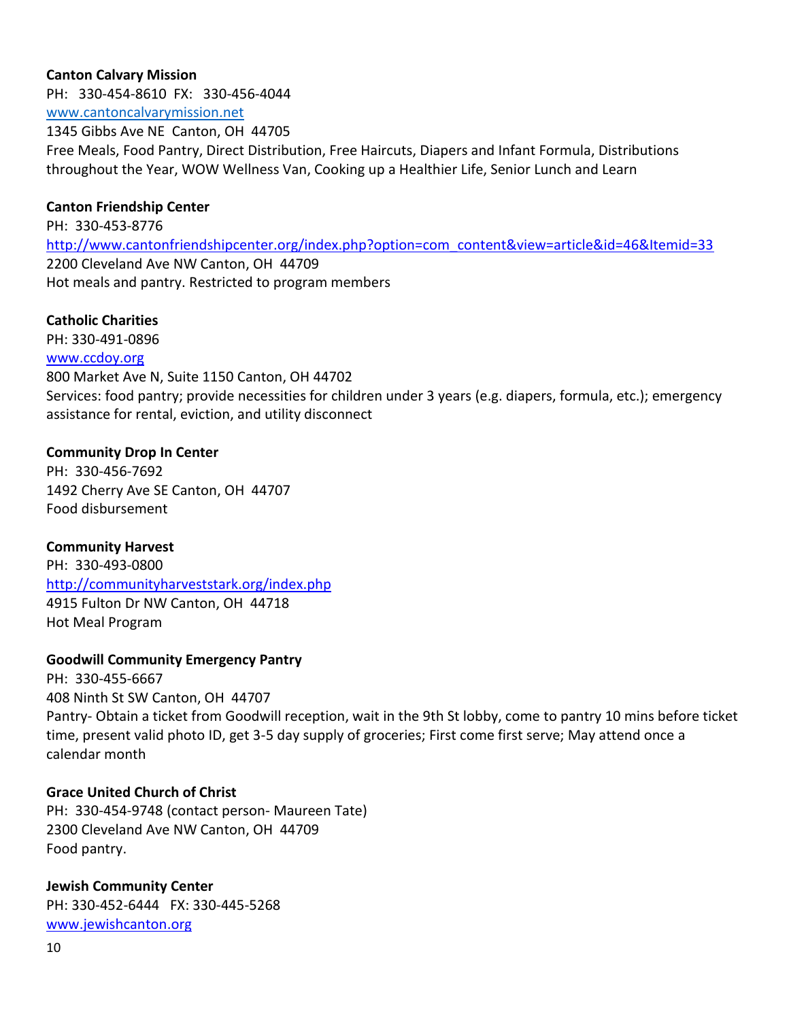### **Canton Calvary Mission**

PH: 330-454-8610 FX: 330-456-4044 [www.cantoncalvarymission.net](http://www.cantoncalvarymission.net/) 1345 Gibbs Ave NE Canton, OH 44705 Free Meals, Food Pantry, Direct Distribution, Free Haircuts, Diapers and Infant Formula, Distributions throughout the Year, WOW Wellness Van, Cooking up a Healthier Life, Senior Lunch and Learn

### **Canton Friendship Center**

PH: 330-453-8776 [http://www.cantonfriendshipcenter.org/index.php?option=com\\_content&view=article&id=46&Itemid=33](http://www.cantonfriendshipcenter.org/index.php?option=com_content&view=article&id=46&Itemid=33) 2200 Cleveland Ave NW Canton, OH 44709 Hot meals and pantry. Restricted to program members

### **Catholic Charities**

PH: 330-491-0896

### [www.ccdoy.org](http://www.ccdoy.org/)

800 Market Ave N, Suite 1150 Canton, OH 44702 Services: food pantry; provide necessities for children under 3 years (e.g. diapers, formula, etc.); emergency assistance for rental, eviction, and utility disconnect

### **Community Drop In Center**

PH: 330-456-7692 1492 Cherry Ave SE Canton, OH 44707 Food disbursement

### **Community Harvest**

PH: 330-493-0800 <http://communityharveststark.org/index.php> 4915 Fulton Dr NW Canton, OH 44718 Hot Meal Program

### **Goodwill Community Emergency Pantry**

PH: 330-455-6667 408 Ninth St SW Canton, OH 44707 Pantry- Obtain a ticket from Goodwill reception, wait in the 9th St lobby, come to pantry 10 mins before ticket time, present valid photo ID, get 3-5 day supply of groceries; First come first serve; May attend once a calendar month

### **Grace United Church of Christ**

PH: 330-454-9748 (contact person- Maureen Tate) 2300 Cleveland Ave NW Canton, OH 44709 Food pantry.

### **Jewish Community Center** PH: 330-452-6444 FX: 330-445-5268

[www.jewishcanton.org](http://www.jewishcanton.org/)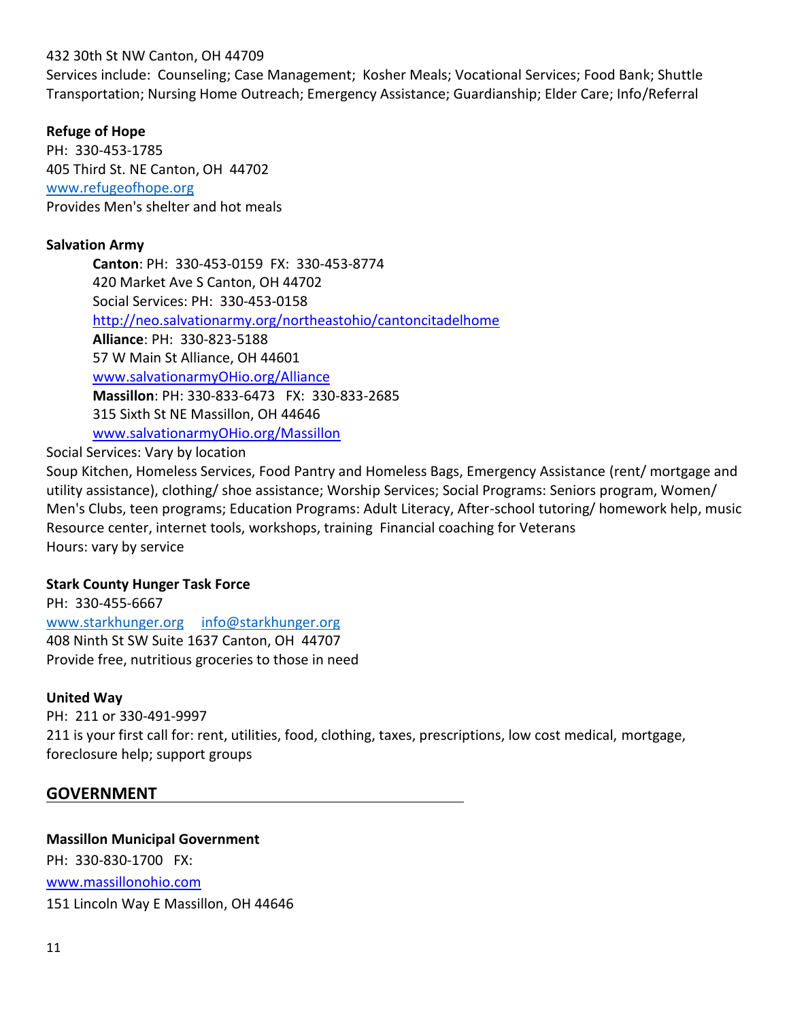### 432 30th St NW Canton, OH 44709

Services include: Counseling; Case Management; Kosher Meals; Vocational Services; Food Bank; Shuttle Transportation; Nursing Home Outreach; Emergency Assistance; Guardianship; Elder Care; Info/Referral

### **Refuge of Hope**

PH: 330-453-1785 405 Third St. NE Canton, OH 44702 [www.refugeofhope.org](http://www.refugeofhope.org/) Provides Men's shelter and hot meals

### **Salvation Army**

**Canton**: PH: 330-453-0159 FX: 330-453-8774 420 Market Ave S Canton, OH 44702 Social Services: PH: 330-453-0158 <http://neo.salvationarmy.org/northeastohio/cantoncitadelhome> **Alliance**: PH: 330-823-5188 57 W Main St Alliance, OH 44601 [www.salvationarmyOHio.org/Alliance](http://www.salvationarmyohio.org/Alliance) **Massillon**: PH: 330-833-6473 FX: 330-833-2685 315 Sixth St NE Massillon, OH 44646 [www.salvationarmyOHio.org/Massillon](http://www.salvationarmyohio.org/Massillon)

Social Services: Vary by location

Soup Kitchen, Homeless Services, Food Pantry and Homeless Bags, Emergency Assistance (rent/ mortgage and utility assistance), clothing/ shoe assistance; Worship Services; Social Programs: Seniors program, Women/ Men's Clubs, teen programs; Education Programs: Adult Literacy, After-school tutoring/ homework help, music Resource center, internet tools, workshops, training Financial coaching for Veterans Hours: vary by service

### **Stark County Hunger Task Force**

PH: 330-455-6667 [www.starkhunger.org](http://www.starkhunger.org/) [info@starkhunger.org](mailto:info@starkhunger.org) 408 Ninth St SW Suite 1637 Canton, OH 44707 Provide free, nutritious groceries to those in need

### **United Way**

PH: 211 or 330-491-9997 211 is your first call for: rent, utilities, food, clothing, taxes, prescriptions, low cost medical, mortgage, foreclosure help; support groups

### **GOVERNMENT**

**Massillon Municipal Government** PH: 330-830-1700 FX: [www.massillonohio.com](http://www.massillonohio.com/) 151 Lincoln Way E Massillon, OH 44646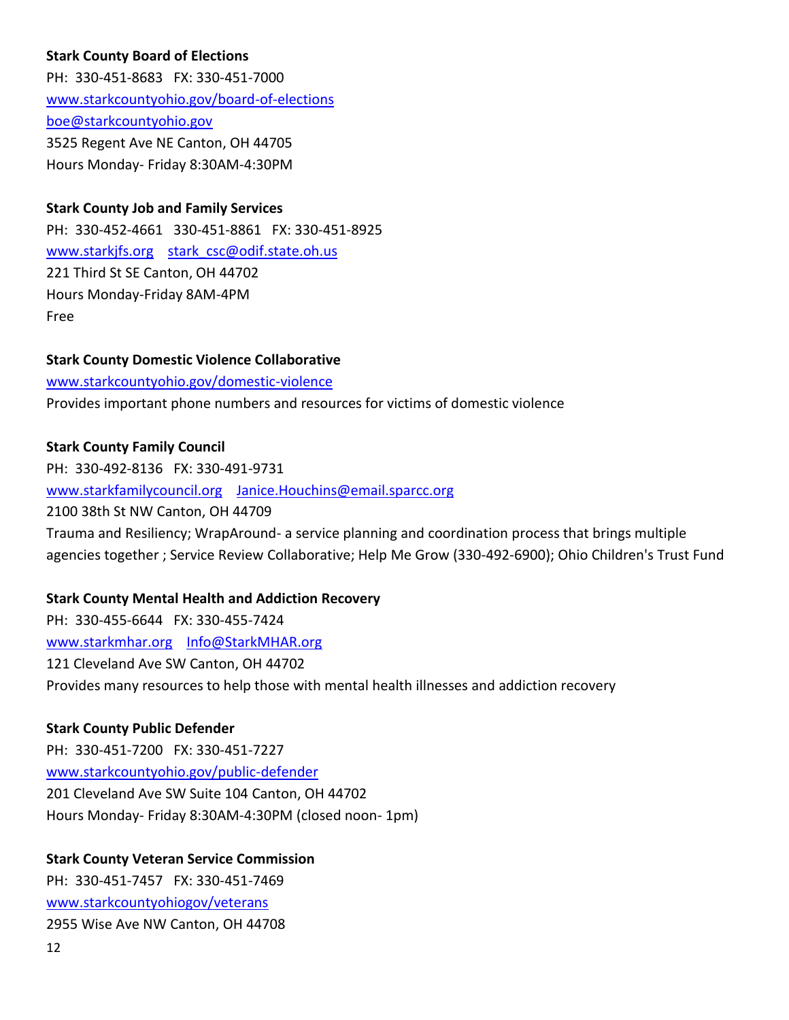## **Stark County Board of Elections**

PH: 330-451-8683 FX: 330-451-7000 [www.starkcountyohio.gov/board-of-elections](http://www.starkcountyohio.gov/board-of-elections) [boe@starkcountyohio.gov](mailto:boe@starkcountyohio.gov) 3525 Regent Ave NE Canton, OH 44705 Hours Monday- Friday 8:30AM-4:30PM

### **Stark County Job and Family Services**

PH: 330-452-4661 330-451-8861 FX: 330-451-8925 [www.starkjfs.org](http://www.starkjfs.org/) stark csc@odif.state.oh.us 221 Third St SE Canton, OH 44702 Hours Monday-Friday 8AM-4PM Free

### **Stark County Domestic Violence Collaborative**

[www.starkcountyohio.gov/domestic-violence](http://www.starkcountyohio.gov/domestic-violence) Provides important phone numbers and resources for victims of domestic violence

### **Stark County Family Council**

PH: 330-492-8136 FX: 330-491-9731 [www.starkfamilycouncil.org](http://www.starkfamilycouncil.org/) [Janice.Houchins@email.sparcc.org](mailto:Janice.Houchins@email.sparcc.org) 2100 38th St NW Canton, OH 44709 Trauma and Resiliency; WrapAround- a service planning and coordination process that brings multiple agencies together ; Service Review Collaborative; Help Me Grow (330-492-6900); Ohio Children's Trust Fund

### **Stark County Mental Health and Addiction Recovery**

PH: 330-455-6644 FX: 330-455-7424 [www.starkmhar.org](http://www.starkmhar.org/) [Info@StarkMHAR.org](mailto:Info@StarkMHAR.org) 121 Cleveland Ave SW Canton, OH 44702 Provides many resources to help those with mental health illnesses and addiction recovery

### **Stark County Public Defender**

PH: 330-451-7200 FX: 330-451-7227 [www.starkcountyohio.gov/public-defender](http://www.starkcountyohio.gov/public-defender) 201 Cleveland Ave SW Suite 104 Canton, OH 44702 Hours Monday- Friday 8:30AM-4:30PM (closed noon- 1pm)

### **Stark County Veteran Service Commission**

PH: 330-451-7457 FX: 330-451-7469 [www.starkcountyohiogov/veterans](http://www.starkcountyohiogov/veterans)

2955 Wise Ave NW Canton, OH 44708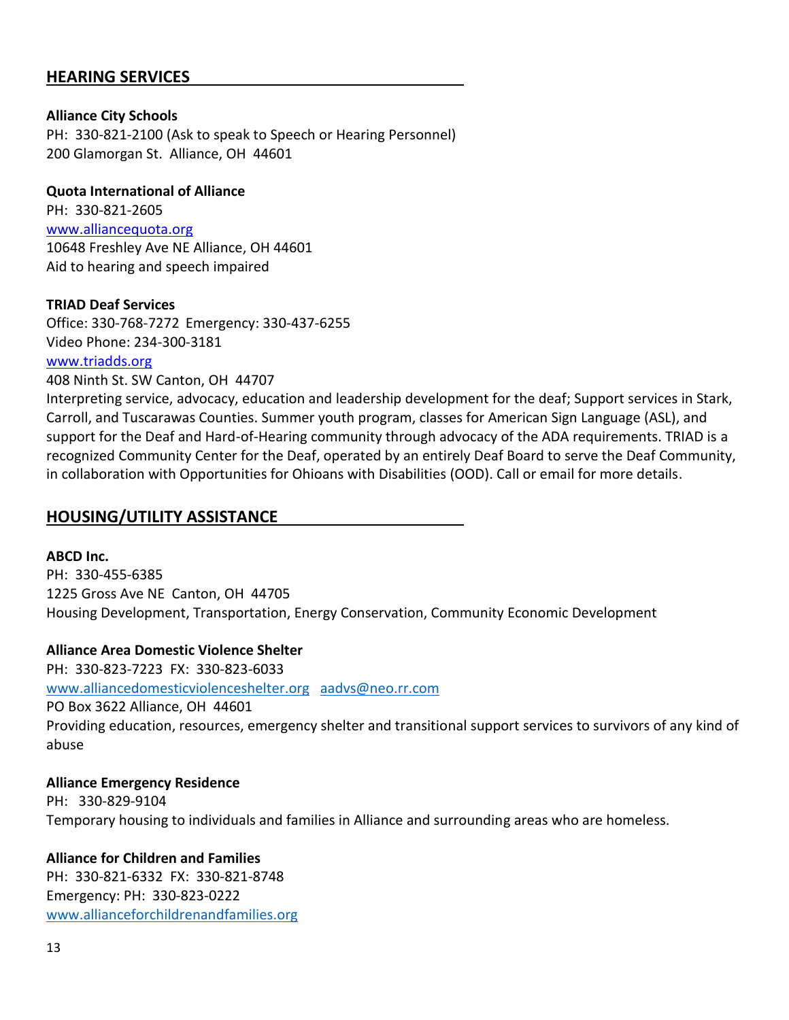# **HEARING SERVICES**

### **Alliance City Schools**

PH: 330-821-2100 (Ask to speak to Speech or Hearing Personnel) 200 Glamorgan St. Alliance, OH 44601

### **Quota International of Alliance**

PH: 330-821-2605 [www.alliancequota.org](http://www.alliancequota.org/) 10648 Freshley Ave NE Alliance, OH 44601 Aid to hearing and speech impaired

### **TRIAD Deaf Services**

Office: 330-768-7272 Emergency: 330-437-6255 Video Phone: 234-300-3181

### [www.triadds.org](http://www.triadds.org/)

408 Ninth St. SW Canton, OH 44707

Interpreting service, advocacy, education and leadership development for the deaf; Support services in Stark, Carroll, and Tuscarawas Counties. Summer youth program, classes for American Sign Language (ASL), and support for the Deaf and Hard-of-Hearing community through advocacy of the ADA requirements. TRIAD is a recognized Community Center for the Deaf, operated by an entirely Deaf Board to serve the Deaf Community, in collaboration with Opportunities for Ohioans with Disabilities (OOD). Call or email for more details.

# **HOUSING/UTILITY ASSISTANCE**

**ABCD Inc.** PH: 330-455-6385 1225 Gross Ave NE Canton, OH 44705 Housing Development, Transportation, Energy Conservation, Community Economic Development

### **Alliance Area Domestic Violence Shelter**

PH: 330-823-7223 FX: 330-823-6033 [www.alliancedomesticviolenceshelter.org](http://www.alliancedomesticviolenceshelter.org/) [aadvs@neo.rr.com](mailto:aadvs@neo.rr.com) PO Box 3622 Alliance, OH 44601 Providing education, resources, emergency shelter and transitional support services to survivors of any kind of abuse

### **Alliance Emergency Residence** PH: 330-829-9104 Temporary housing to individuals and families in Alliance and surrounding areas who are homeless.

### **Alliance for Children and Families**

PH: 330-821-6332 FX: 330-821-8748 Emergency: PH: 330-823-0222 [www.allianceforchildrenandfamilies.org](http://www.allianceforchildrenandfamilies.org/)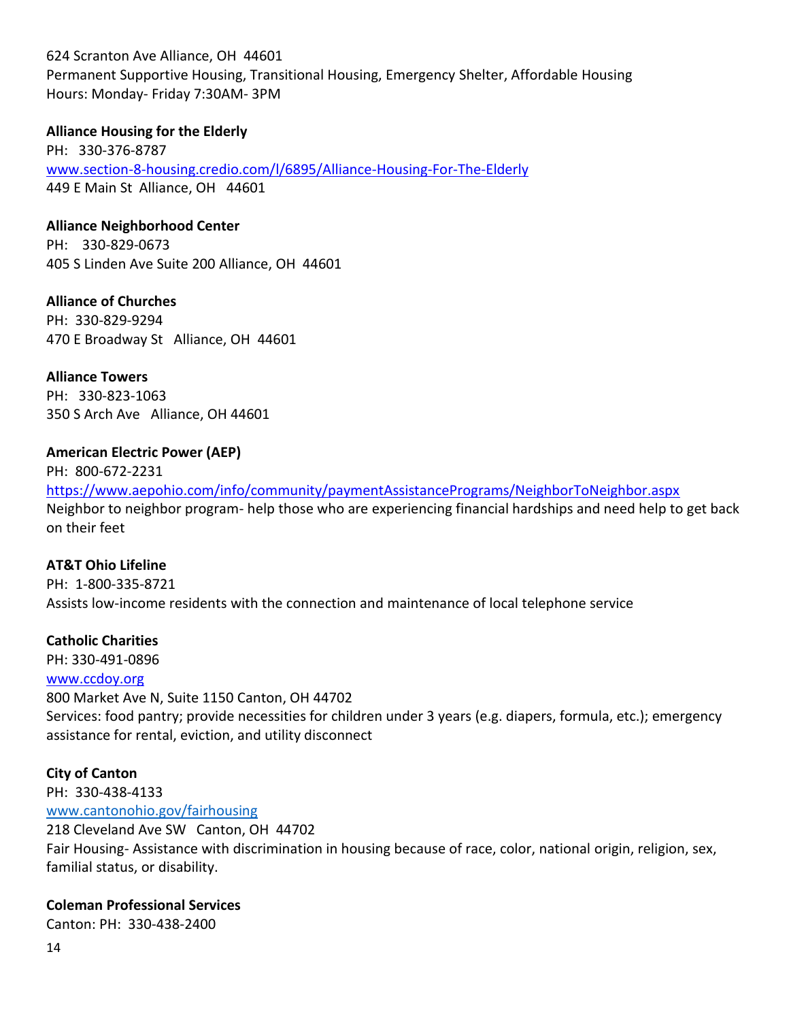624 Scranton Ave Alliance, OH 44601

Permanent Supportive Housing, Transitional Housing, Emergency Shelter, Affordable Housing Hours: Monday- Friday 7:30AM- 3PM

### **Alliance Housing for the Elderly**

PH: 330-376-8787 [www.section-8-housing.credio.com/l/6895/Alliance-Housing-For-The-Elderly](http://www.section-8-housing.credio.com/l/6895/Alliance-Housing-For-The-Elderly) 449 E Main St Alliance, OH 44601

**Alliance Neighborhood Center**

PH: 330-829-0673 405 S Linden Ave Suite 200 Alliance, OH 44601

**Alliance of Churches** PH: 330-829-9294 470 E Broadway St Alliance, OH 44601

**Alliance Towers** PH: 330-823-1063 350 S Arch Ave Alliance, OH 44601

### **American Electric Power (AEP)**

PH: 800-672-2231 <https://www.aepohio.com/info/community/paymentAssistancePrograms/NeighborToNeighbor.aspx> Neighbor to neighbor program- help those who are experiencing financial hardships and need help to get back on their feet

### **AT&T Ohio Lifeline**

PH: 1-800-335-8721 Assists low-income residents with the connection and maintenance of local telephone service

### **Catholic Charities**

PH: 330-491-0896

### [www.ccdoy.org](http://www.ccdoy.org/)

800 Market Ave N, Suite 1150 Canton, OH 44702 Services: food pantry; provide necessities for children under 3 years (e.g. diapers, formula, etc.); emergency assistance for rental, eviction, and utility disconnect

### **City of Canton**

PH: 330-438-4133 [www.cantonohio.gov/fairhousing](http://www.cantonohio.gov/fairhousing) 218 Cleveland Ave SW Canton, OH 44702

Fair Housing- Assistance with discrimination in housing because of race, color, national origin, religion, sex, familial status, or disability.

### **Coleman Professional Services**

Canton: PH: 330-438-2400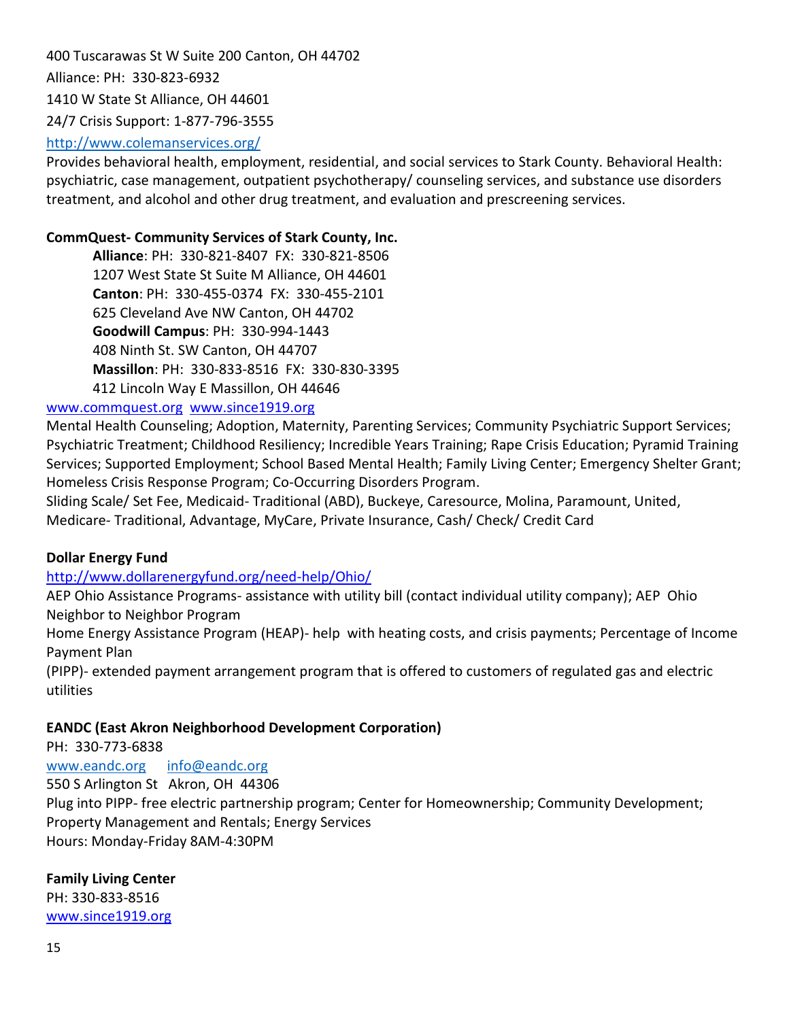400 Tuscarawas St W Suite 200 Canton, OH 44702 Alliance: PH: 330-823-6932 1410 W State St Alliance, OH 44601 24/7 Crisis Support: 1-877-796-3555

### <http://www.colemanservices.org/>

Provides behavioral health, employment, residential, and social services to Stark County. Behavioral Health: psychiatric, case management, outpatient psychotherapy/ counseling services, and substance use disorders treatment, and alcohol and other drug treatment, and evaluation and prescreening services.

### **CommQuest- Community Services of Stark County, Inc.**

**Alliance**: PH: 330-821-8407 FX: 330-821-8506 1207 West State St Suite M Alliance, OH 44601 **Canton**: PH: 330-455-0374 FX: 330-455-2101 625 Cleveland Ave NW Canton, OH 44702 **Goodwill Campus**: PH: 330-994-1443 408 Ninth St. SW Canton, OH 44707 **Massillon**: PH: 330-833-8516 FX: 330-830-3395 412 Lincoln Way E Massillon, OH 44646

### [www.commquest.org](http://www.commquest.org/) [www.since1919.org](http://www.since1919.org/)

Mental Health Counseling; Adoption, Maternity, Parenting Services; Community Psychiatric Support Services; Psychiatric Treatment; Childhood Resiliency; Incredible Years Training; Rape Crisis Education; Pyramid Training Services; Supported Employment; School Based Mental Health; Family Living Center; Emergency Shelter Grant; Homeless Crisis Response Program; Co-Occurring Disorders Program.

Sliding Scale/ Set Fee, Medicaid- Traditional (ABD), Buckeye, Caresource, Molina, Paramount, United, Medicare- Traditional, Advantage, MyCare, Private Insurance, Cash/ Check/ Credit Card

### **Dollar Energy Fund**

### <http://www.dollarenergyfund.org/need-help/Ohio/>

AEP Ohio Assistance Programs- assistance with utility bill (contact individual utility company); AEP Ohio Neighbor to Neighbor Program

Home Energy Assistance Program (HEAP)- help with heating costs, and crisis payments; Percentage of Income Payment Plan

(PIPP)- extended payment arrangement program that is offered to customers of regulated gas and electric utilities

### **EANDC (East Akron Neighborhood Development Corporation)**

PH: 330-773-6838

[www.eandc.org](http://www.eandc.org/) [info@eandc.org](mailto:info@eandc.org) 550 S Arlington St Akron, OH 44306 Plug into PIPP- free electric partnership program; Center for Homeownership; Community Development; Property Management and Rentals; Energy Services Hours: Monday-Friday 8AM-4:30PM

### **Family Living Center**

PH: 330-833-8516 [www.since1919.org](http://www.since1919.org/)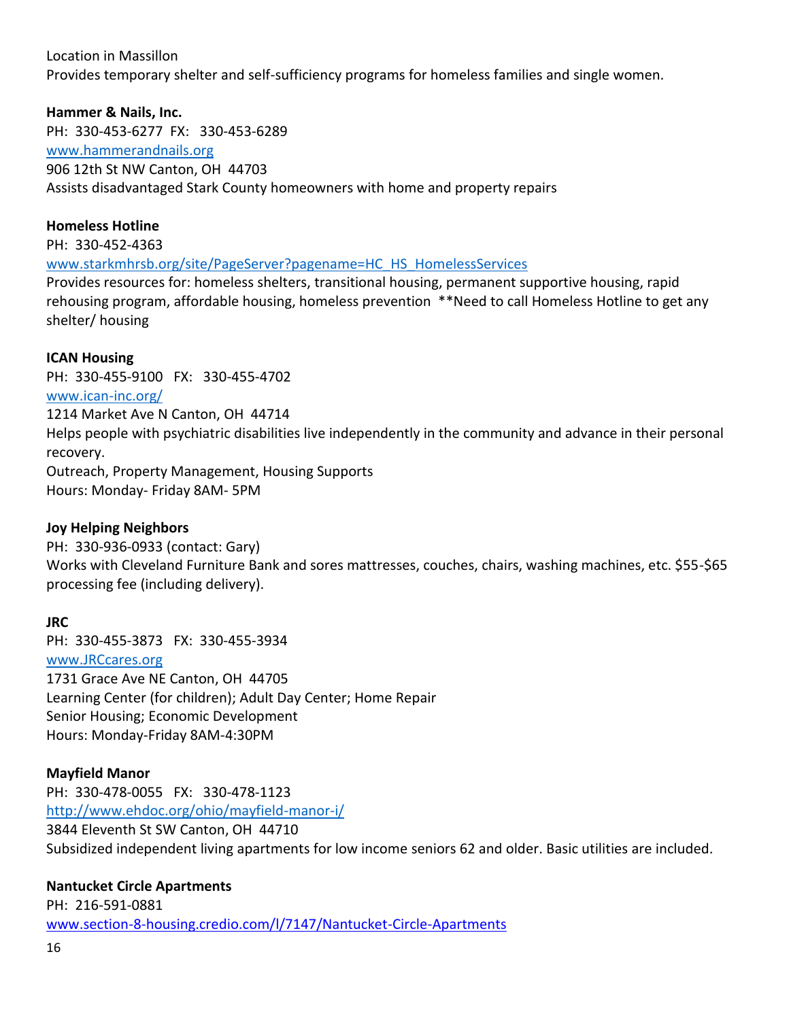### Location in Massillon

Provides temporary shelter and self-sufficiency programs for homeless families and single women.

### **Hammer & Nails, Inc.**

PH: 330-453-6277 FX: 330-453-6289 [www.hammerandnails.org](http://www.hammerandnails.org/) 906 12th St NW Canton, OH 44703 Assists disadvantaged Stark County homeowners with home and property repairs

### **Homeless Hotline**

PH: 330-452-4363

[www.starkmhrsb.org/site/PageServer?pagename=HC\\_HS\\_HomelessServices](http://www.starkmhrsb.org/site/PageServer?pagename=HC_HS_HomelessServices)

Provides resources for: homeless shelters, transitional housing, permanent supportive housing, rapid rehousing program, affordable housing, homeless prevention \*\*Need to call Homeless Hotline to get any shelter/ housing

### **ICAN Housing**

PH: 330-455-9100 FX: 330-455-4702 [www.ican-inc.org/](http://www.ican-inc.org/) 1214 Market Ave N Canton, OH 44714 Helps people with psychiatric disabilities live independently in the community and advance in their personal recovery. Outreach, Property Management, Housing Supports Hours: Monday- Friday 8AM- 5PM

### **Joy Helping Neighbors**

PH: 330-936-0933 (contact: Gary) Works with Cleveland Furniture Bank and sores mattresses, couches, chairs, washing machines, etc. \$55-\$65 processing fee (including delivery).

### **JRC**

PH: 330-455-3873 FX: 330-455-3934 [www.JRCcares.org](http://www.jrccares.org/) 1731 Grace Ave NE Canton, OH 44705 Learning Center (for children); Adult Day Center; Home Repair Senior Housing; Economic Development Hours: Monday-Friday 8AM-4:30PM

### **Mayfield Manor**

PH: 330-478-0055 FX: 330-478-1123 <http://www.ehdoc.org/ohio/mayfield-manor-i/> 3844 Eleventh St SW Canton, OH 44710 Subsidized independent living apartments for low income seniors 62 and older. Basic utilities are included.

### **Nantucket Circle Apartments**

PH: 216-591-0881 [www.section-8-housing.credio.com/l/7147/Nantucket-Circle-Apartments](http://www.section-8-housing.credio.com/l/7147/Nantucket-Circle-Apartments)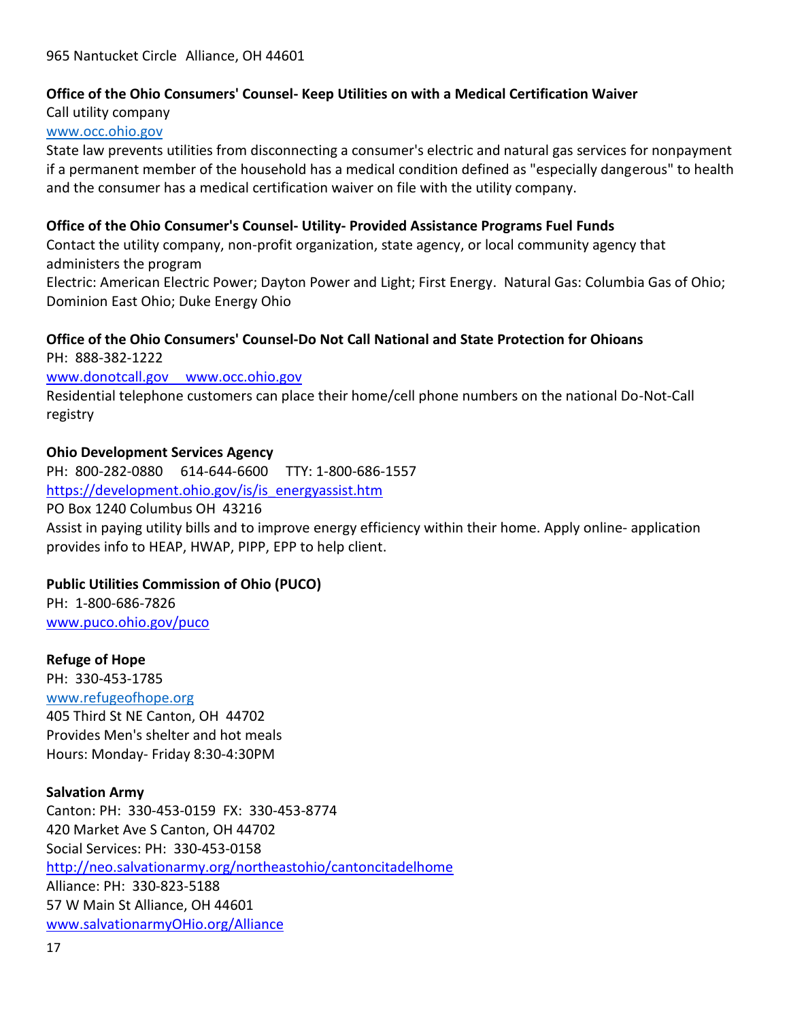### **Office of the Ohio Consumers' Counsel- Keep Utilities on with a Medical Certification Waiver**

Call utility company [www.occ.ohio.gov](http://www.occ.ohio.gov/)

State law prevents utilities from disconnecting a consumer's electric and natural gas services for nonpayment if a permanent member of the household has a medical condition defined as "especially dangerous" to health and the consumer has a medical certification waiver on file with the utility company.

### **Office of the Ohio Consumer's Counsel- Utility- Provided Assistance Programs Fuel Funds**

Contact the utility company, non-profit organization, state agency, or local community agency that administers the program

Electric: American Electric Power; Dayton Power and Light; First Energy. Natural Gas: Columbia Gas of Ohio; Dominion East Ohio; Duke Energy Ohio

### **Office of the Ohio Consumers' Counsel-Do Not Call National and State Protection for Ohioans**

PH: 888-382-1222 www.donotcall.gov www.occ.ohio.gov Residential telephone customers can place their home/cell phone numbers on the national Do-Not-Call registry

### **Ohio Development Services Agency**

PH: 800-282-0880 614-644-6600 TTY: 1-800-686-1557 [https://development.ohio.gov/is/is\\_energyassist.htm](https://development.ohio.gov/is/is_energyassist.htm) PO Box 1240 Columbus OH 43216 Assist in paying utility bills and to improve energy efficiency within their home. Apply online- application provides info to HEAP, HWAP, PIPP, EPP to help client.

### **Public Utilities Commission of Ohio (PUCO)**

PH: 1-800-686-7826 [www.puco.ohio.gov/puco](http://www.puco.ohio.gov/puco)

### **Refuge of Hope**

PH: 330-453-1785 [www.refugeofhope.org](http://www.refugeofhope.org/) 405 Third St NE Canton, OH 44702 Provides Men's shelter and hot meals Hours: Monday- Friday 8:30-4:30PM

### **Salvation Army**

Canton: PH: 330-453-0159 FX: 330-453-8774 420 Market Ave S Canton, OH 44702 Social Services: PH: 330-453-0158 <http://neo.salvationarmy.org/northeastohio/cantoncitadelhome> Alliance: PH: 330-823-5188 57 W Main St Alliance, OH 44601 [www.salvationarmyOHio.org/Alliance](http://www.salvationarmyohio.org/Alliance)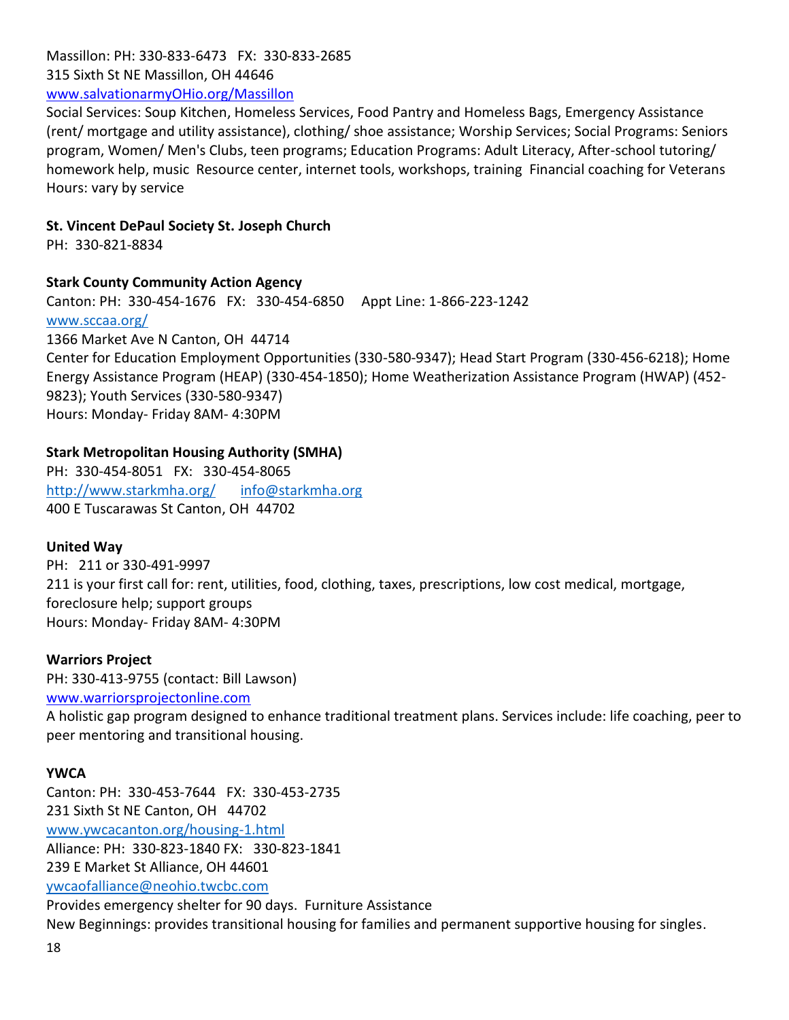Massillon: PH: 330-833-6473 FX: 330-833-2685 315 Sixth St NE Massillon, OH 44646 [www.salvationarmyOHio.org/Massillon](http://www.salvationarmyohio.org/Massillon)

Social Services: Soup Kitchen, Homeless Services, Food Pantry and Homeless Bags, Emergency Assistance (rent/ mortgage and utility assistance), clothing/ shoe assistance; Worship Services; Social Programs: Seniors program, Women/ Men's Clubs, teen programs; Education Programs: Adult Literacy, After-school tutoring/ homework help, music Resource center, internet tools, workshops, training Financial coaching for Veterans Hours: vary by service

### **St. Vincent DePaul Society St. Joseph Church**

PH: 330-821-8834

### **Stark County Community Action Agency**

Canton: PH: 330-454-1676 FX: 330-454-6850 Appt Line: 1-866-223-1242

[www.sccaa.org/](http://www.sccaa.org/)

1366 Market Ave N Canton, OH 44714

Center for Education Employment Opportunities (330-580-9347); Head Start Program (330-456-6218); Home Energy Assistance Program (HEAP) (330-454-1850); Home Weatherization Assistance Program (HWAP) (452- 9823); Youth Services (330-580-9347) Hours: Monday- Friday 8AM- 4:30PM

### **Stark Metropolitan Housing Authority (SMHA)**

PH: 330-454-8051 FX: 330-454-8065 <http://www.starkmha.org/>[info@starkmha.org](mailto:info@starkmha.org) 400 E Tuscarawas St Canton, OH 44702

### **United Way**

PH: 211 or 330-491-9997 211 is your first call for: rent, utilities, food, clothing, taxes, prescriptions, low cost medical, mortgage, foreclosure help; support groups Hours: Monday- Friday 8AM- 4:30PM

### **Warriors Project**

PH: 330-413-9755 (contact: Bill Lawson) [www.warriorsprojectonline.com](http://www.warriorsprojectonline.com/) A holistic gap program designed to enhance traditional treatment plans. Services include: life coaching, peer to peer mentoring and transitional housing.

### **YWCA**

Canton: PH: 330-453-7644 FX: 330-453-2735 231 Sixth St NE Canton, OH 44702 [www.ywcacanton.org/housing-1.html](http://www.ywcacanton.org/housing-1.html) Alliance: PH: 330-823-1840 FX: 330-823-1841 239 E Market St Alliance, OH 44601 ywcaofalliance@neohio.twcbc.com Provides emergency shelter for 90 days. Furniture Assistance New Beginnings: provides transitional housing for families and permanent supportive housing for singles.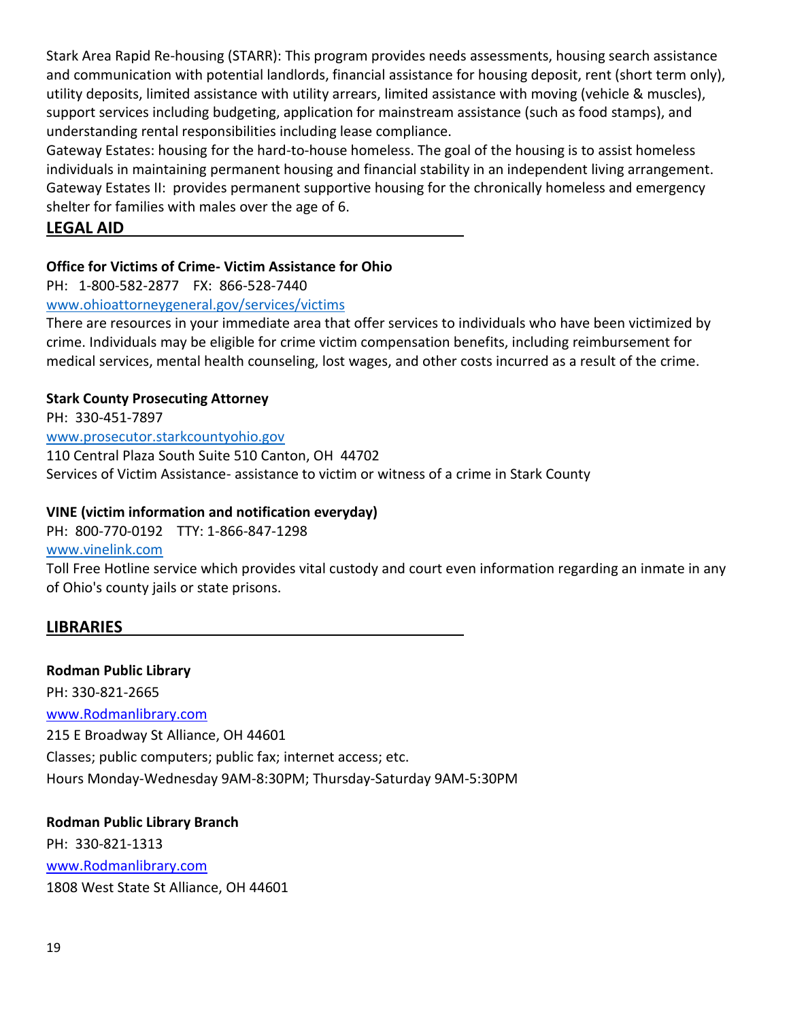Stark Area Rapid Re-housing (STARR): This program provides needs assessments, housing search assistance and communication with potential landlords, financial assistance for housing deposit, rent (short term only), utility deposits, limited assistance with utility arrears, limited assistance with moving (vehicle & muscles), support services including budgeting, application for mainstream assistance (such as food stamps), and understanding rental responsibilities including lease compliance.

Gateway Estates: housing for the hard-to-house homeless. The goal of the housing is to assist homeless individuals in maintaining permanent housing and financial stability in an independent living arrangement. Gateway Estates II: provides permanent supportive housing for the chronically homeless and emergency shelter for families with males over the age of 6.

## **LEGAL AID**

## **Office for Victims of Crime- Victim Assistance for Ohio**

PH: 1-800-582-2877 FX: 866-528-7440

### [www.ohioattorneygeneral.gov/services/victims](http://www.ohioattorneygeneral.gov/services/victims)

There are resources in your immediate area that offer services to individuals who have been victimized by crime. Individuals may be eligible for crime victim compensation benefits, including reimbursement for medical services, mental health counseling, lost wages, and other costs incurred as a result of the crime.

### **Stark County Prosecuting Attorney**

PH: 330-451-7897 [www.prosecutor.starkcountyohio.gov](http://www.prosecutor.starkcountyohio.gov/) 110 Central Plaza South Suite 510 Canton, OH 44702 Services of Victim Assistance- assistance to victim or witness of a crime in Stark County

### **VINE (victim information and notification everyday)**

PH: 800-770-0192 TTY: 1-866-847-1298

### [www.vinelink.com](http://www.vinelink.com/)

Toll Free Hotline service which provides vital custody and court even information regarding an inmate in any of Ohio's county jails or state prisons.

# **LIBRARIES**

### **Rodman Public Library**

PH: 330-821-2665 [www.Rodmanlibrary.com](http://www.rodmanlibrary.com/) 215 E Broadway St Alliance, OH 44601 Classes; public computers; public fax; internet access; etc. Hours Monday-Wednesday 9AM-8:30PM; Thursday-Saturday 9AM-5:30PM

**Rodman Public Library Branch** PH: 330-821-1313 [www.Rodmanlibrary.com](http://www.rodmanlibrary.com/) 1808 West State St Alliance, OH 44601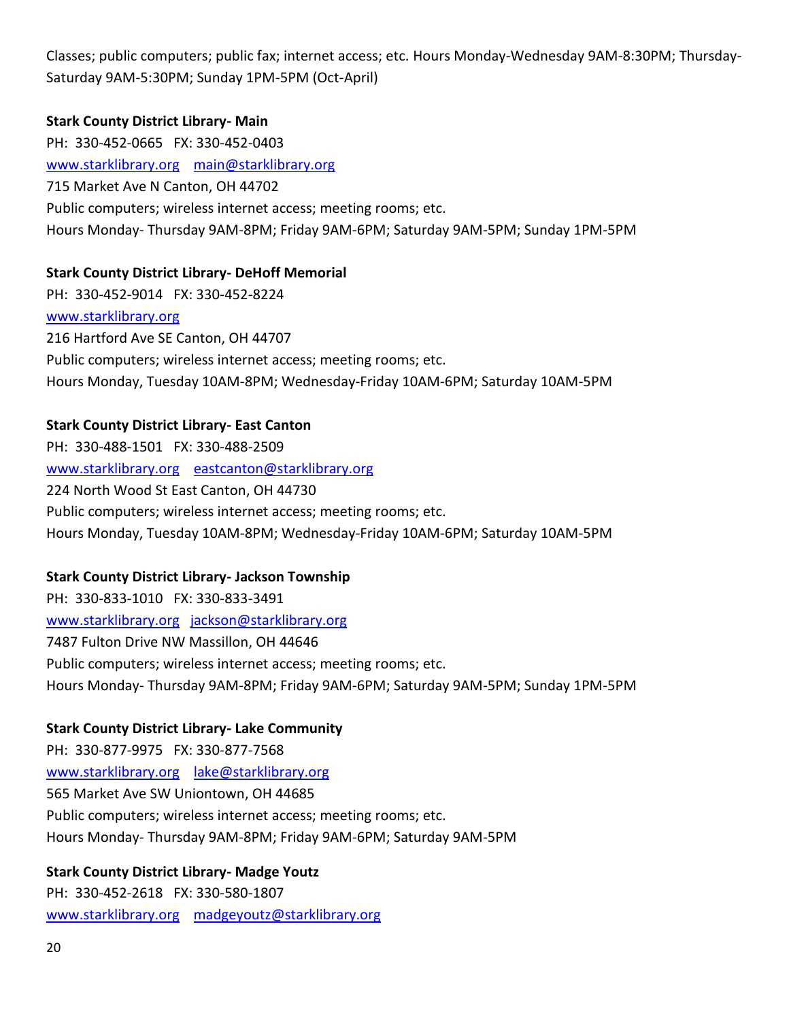Classes; public computers; public fax; internet access; etc. Hours Monday-Wednesday 9AM-8:30PM; Thursday-Saturday 9AM-5:30PM; Sunday 1PM-5PM (Oct-April)

### **Stark County District Library- Main**

PH: 330-452-0665 FX: 330-452-0403 [www.starklibrary.org](http://www.starklibrary.org/) [main@starklibrary.org](mailto:main@starklibrary.org) 715 Market Ave N Canton, OH 44702 Public computers; wireless internet access; meeting rooms; etc. Hours Monday- Thursday 9AM-8PM; Friday 9AM-6PM; Saturday 9AM-5PM; Sunday 1PM-5PM

### **Stark County District Library- DeHoff Memorial**

PH: 330-452-9014 FX: 330-452-8224 [www.starklibrary.org](http://www.starklibrary.org/) 216 Hartford Ave SE Canton, OH 44707 Public computers; wireless internet access; meeting rooms; etc. Hours Monday, Tuesday 10AM-8PM; Wednesday-Friday 10AM-6PM; Saturday 10AM-5PM

### **Stark County District Library- East Canton**

PH: 330-488-1501 FX: 330-488-2509 [www.starklibrary.org](http://www.starklibrary.org/) [eastcanton@starklibrary.org](mailto:eastcanton@starklibrary.org) 224 North Wood St East Canton, OH 44730 Public computers; wireless internet access; meeting rooms; etc. Hours Monday, Tuesday 10AM-8PM; Wednesday-Friday 10AM-6PM; Saturday 10AM-5PM

### **Stark County District Library- Jackson Township**

PH: 330-833-1010 FX: 330-833-3491 [www.starklibrary.org](http://www.starklibrary.org/) [jackson@starklibrary.org](mailto:jackson@starklibrary.org) 7487 Fulton Drive NW Massillon, OH 44646 Public computers; wireless internet access; meeting rooms; etc. Hours Monday- Thursday 9AM-8PM; Friday 9AM-6PM; Saturday 9AM-5PM; Sunday 1PM-5PM

### **Stark County District Library- Lake Community**

PH: 330-877-9975 FX: 330-877-7568 [www.starklibrary.org](http://www.starklibrary.org/) [lake@starklibrary.org](mailto:lake@starklibrary.org) 565 Market Ave SW Uniontown, OH 44685 Public computers; wireless internet access; meeting rooms; etc. Hours Monday- Thursday 9AM-8PM; Friday 9AM-6PM; Saturday 9AM-5PM

### **Stark County District Library- Madge Youtz**

PH: 330-452-2618 FX: 330-580-1807 [www.starklibrary.org](http://www.starklibrary.org/) [madgeyoutz@starklibrary.org](mailto:madgeyoutz@starklibrary.org)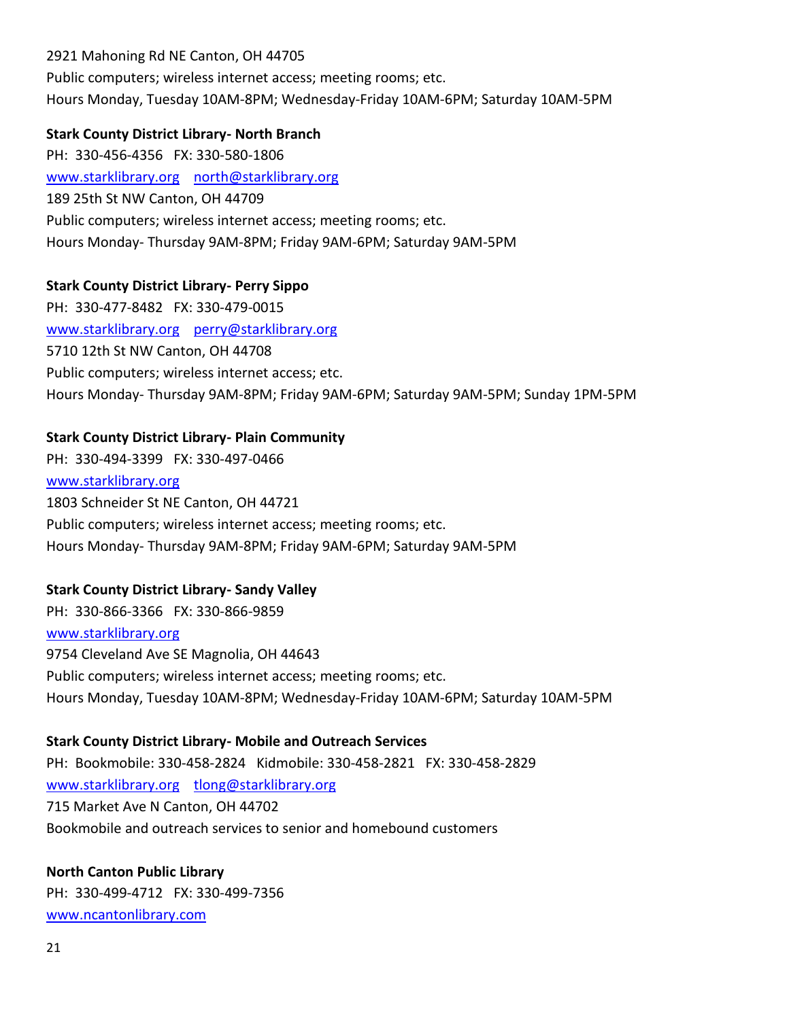2921 Mahoning Rd NE Canton, OH 44705 Public computers; wireless internet access; meeting rooms; etc. Hours Monday, Tuesday 10AM-8PM; Wednesday-Friday 10AM-6PM; Saturday 10AM-5PM

#### **Stark County District Library- North Branch**

PH: 330-456-4356 FX: 330-580-1806 [www.starklibrary.org](http://www.starklibrary.org/) [north@starklibrary.org](mailto:north@starklibrary.org) 189 25th St NW Canton, OH 44709 Public computers; wireless internet access; meeting rooms; etc. Hours Monday- Thursday 9AM-8PM; Friday 9AM-6PM; Saturday 9AM-5PM

### **Stark County District Library- Perry Sippo**

PH: 330-477-8482 FX: 330-479-0015 [www.starklibrary.org](http://www.starklibrary.org/) [perry@starklibrary.org](mailto:perry@starklibrary.org) 5710 12th St NW Canton, OH 44708 Public computers; wireless internet access; etc. Hours Monday- Thursday 9AM-8PM; Friday 9AM-6PM; Saturday 9AM-5PM; Sunday 1PM-5PM

### **Stark County District Library- Plain Community**

PH: 330-494-3399 FX: 330-497-0466 [www.starklibrary.org](http://www.starklibrary.org/) 1803 Schneider St NE Canton, OH 44721 Public computers; wireless internet access; meeting rooms; etc. Hours Monday- Thursday 9AM-8PM; Friday 9AM-6PM; Saturday 9AM-5PM

### **Stark County District Library- Sandy Valley**

PH: 330-866-3366 FX: 330-866-9859 [www.starklibrary.org](http://www.starklibrary.org/) 9754 Cleveland Ave SE Magnolia, OH 44643 Public computers; wireless internet access; meeting rooms; etc. Hours Monday, Tuesday 10AM-8PM; Wednesday-Friday 10AM-6PM; Saturday 10AM-5PM

### **Stark County District Library- Mobile and Outreach Services**

PH: Bookmobile: 330-458-2824 Kidmobile: 330-458-2821 FX: 330-458-2829 [www.starklibrary.org](http://www.starklibrary.org/) [tlong@starklibrary.org](mailto:tlong@starklibrary.org) 715 Market Ave N Canton, OH 44702 Bookmobile and outreach services to senior and homebound customers

### **North Canton Public Library**

PH: 330-499-4712 FX: 330-499-7356 [www.ncantonlibrary.com](http://www.ncantonlibrary.com/)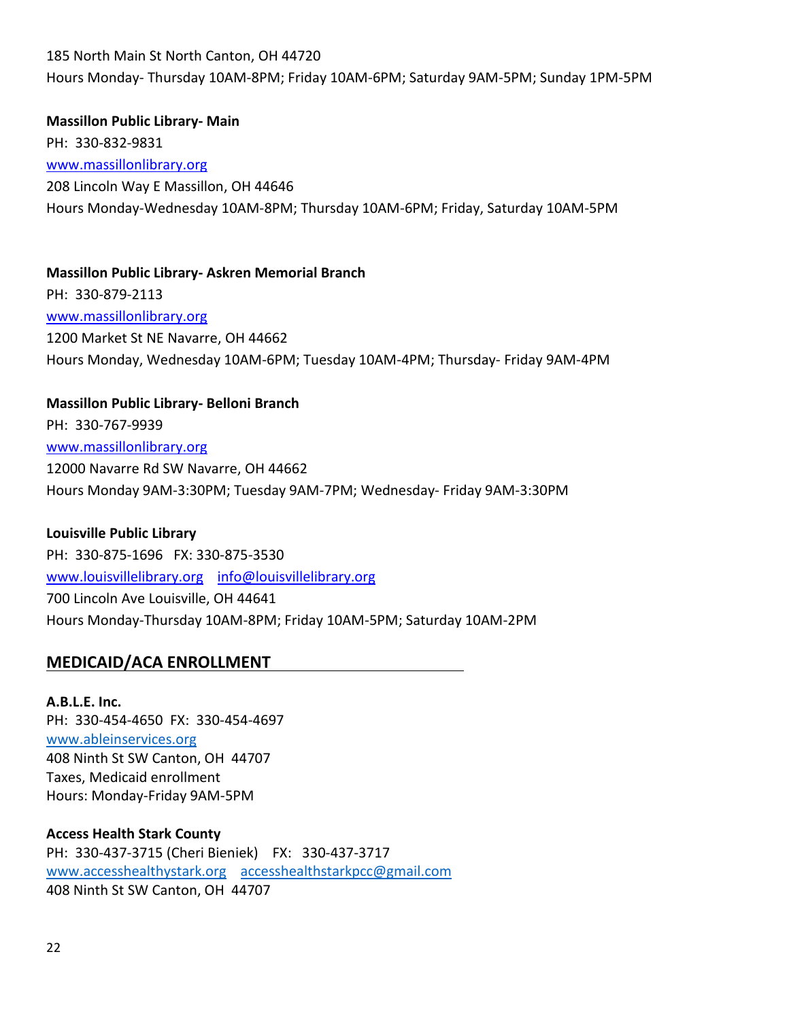185 North Main St North Canton, OH 44720 Hours Monday- Thursday 10AM-8PM; Friday 10AM-6PM; Saturday 9AM-5PM; Sunday 1PM-5PM

**Massillon Public Library- Main** PH: 330-832-9831 [www.massillonlibrary.org](http://www.massillonlibrary.org/) 208 Lincoln Way E Massillon, OH 44646 Hours Monday-Wednesday 10AM-8PM; Thursday 10AM-6PM; Friday, Saturday 10AM-5PM

**Massillon Public Library- Askren Memorial Branch** PH: 330-879-2113 [www.massillonlibrary.org](http://www.massillonlibrary.org/) 1200 Market St NE Navarre, OH 44662 Hours Monday, Wednesday 10AM-6PM; Tuesday 10AM-4PM; Thursday- Friday 9AM-4PM

### **Massillon Public Library- Belloni Branch**

PH: 330-767-9939 [www.massillonlibrary.org](http://www.massillonlibrary.org/) 12000 Navarre Rd SW Navarre, OH 44662 Hours Monday 9AM-3:30PM; Tuesday 9AM-7PM; Wednesday- Friday 9AM-3:30PM

#### **Louisville Public Library**

PH: 330-875-1696 FX: 330-875-3530 [www.louisvillelibrary.org](http://www.louisvillelibrary.org/) [info@louisvillelibrary.org](mailto:info@louisvillelibrary.org) 700 Lincoln Ave Louisville, OH 44641 Hours Monday-Thursday 10AM-8PM; Friday 10AM-5PM; Saturday 10AM-2PM

### **MEDICAID/ACA ENROLLMENT**

**A.B.L.E. Inc.** PH: 330-454-4650 FX: 330-454-4697 [www.ableinservices.org](http://www.ableinservices.org/) 408 Ninth St SW Canton, OH 44707 Taxes, Medicaid enrollment Hours: Monday-Friday 9AM-5PM

### **Access Health Stark County** PH: 330-437-3715 (Cheri Bieniek) FX: 330-437-3717 [www.accesshealthystark.org](http://www.accesshealthystark.org/) [accesshealthstarkpcc@gmail.com](mailto:accesshealthstarkpcc@gmail.com) 408 Ninth St SW Canton, OH 44707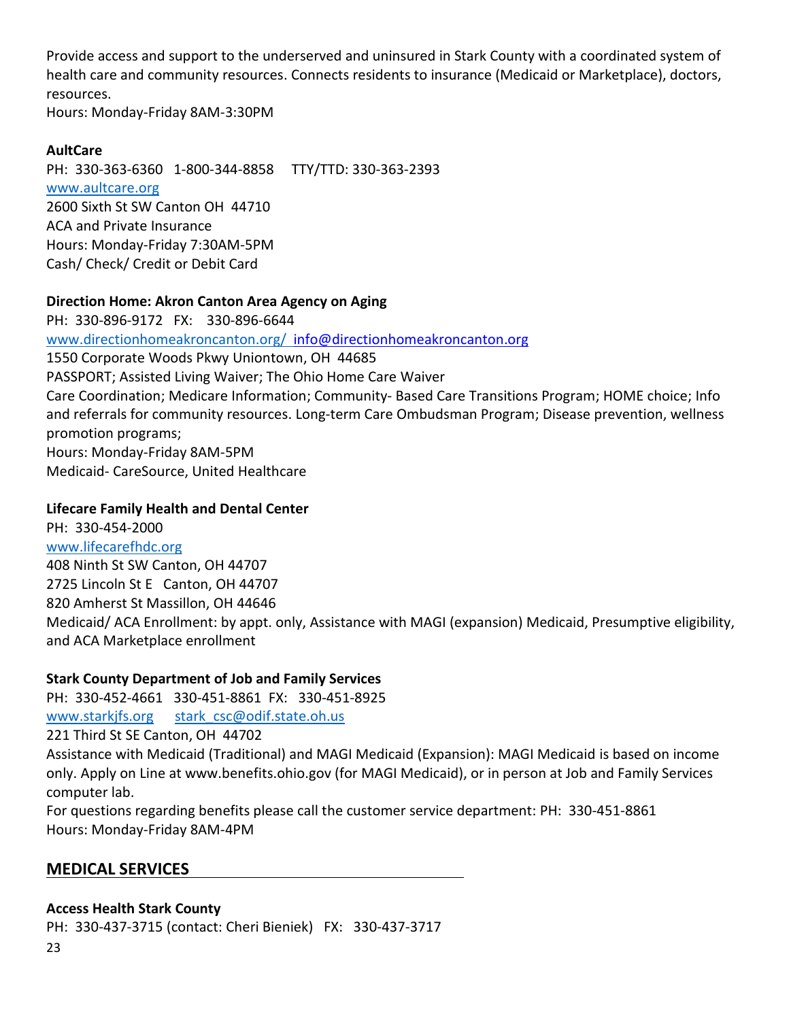Provide access and support to the underserved and uninsured in Stark County with a coordinated system of health care and community resources. Connects residents to insurance (Medicaid or Marketplace), doctors, resources.

Hours: Monday-Friday 8AM-3:30PM

### **AultCare**

PH: 330-363-6360 1-800-344-8858 TTY/TTD: 330-363-2393 [www.aultcare.org](http://www.aultcare.org/) 2600 Sixth St SW Canton OH 44710 ACA and Private Insurance Hours: Monday-Friday 7:30AM-5PM Cash/ Check/ Credit or Debit Card

### **Direction Home: Akron Canton Area Agency on Aging**

PH: 330-896-9172 FX: 330-896-6644 [www.directionhomeakroncanton.org/](http://www.directionhomeakroncanton.org/) [info@directionhomeakroncanton.org](mailto:info@directionhomeakroncanton.org) 1550 Corporate Woods Pkwy Uniontown, OH 44685 PASSPORT; Assisted Living Waiver; The Ohio Home Care Waiver Care Coordination; Medicare Information; Community- Based Care Transitions Program; HOME choice; Info and referrals for community resources. Long-term Care Ombudsman Program; Disease prevention, wellness promotion programs; Hours: Monday-Friday 8AM-5PM Medicaid- CareSource, United Healthcare

### **Lifecare Family Health and Dental Center**

PH: 330-454-2000 [www.lifecarefhdc.org](http://www.cantoncommunityclinic.org/) 408 Ninth St SW Canton, OH 44707 2725 Lincoln St E Canton, OH 44707 820 Amherst St Massillon, OH 44646 Medicaid/ ACA Enrollment: by appt. only, Assistance with MAGI (expansion) Medicaid, Presumptive eligibility, and ACA Marketplace enrollment

### **Stark County Department of Job and Family Services**

PH: 330-452-4661 330-451-8861 FX: 330-451-8925

[www.starkjfs.org](http://www.starkjfs.org/) stark csc@odif.state.oh.us

221 Third St SE Canton, OH 44702

Assistance with Medicaid (Traditional) and MAGI Medicaid (Expansion): MAGI Medicaid is based on income only. Apply on Line at www.benefits.ohio.gov (for MAGI Medicaid), or in person at Job and Family Services computer lab.

For questions regarding benefits please call the customer service department: PH: 330-451-8861 Hours: Monday-Friday 8AM-4PM

# **MEDICAL SERVICES**

### **Access Health Stark County**

PH: 330-437-3715 (contact: Cheri Bieniek) FX: 330-437-3717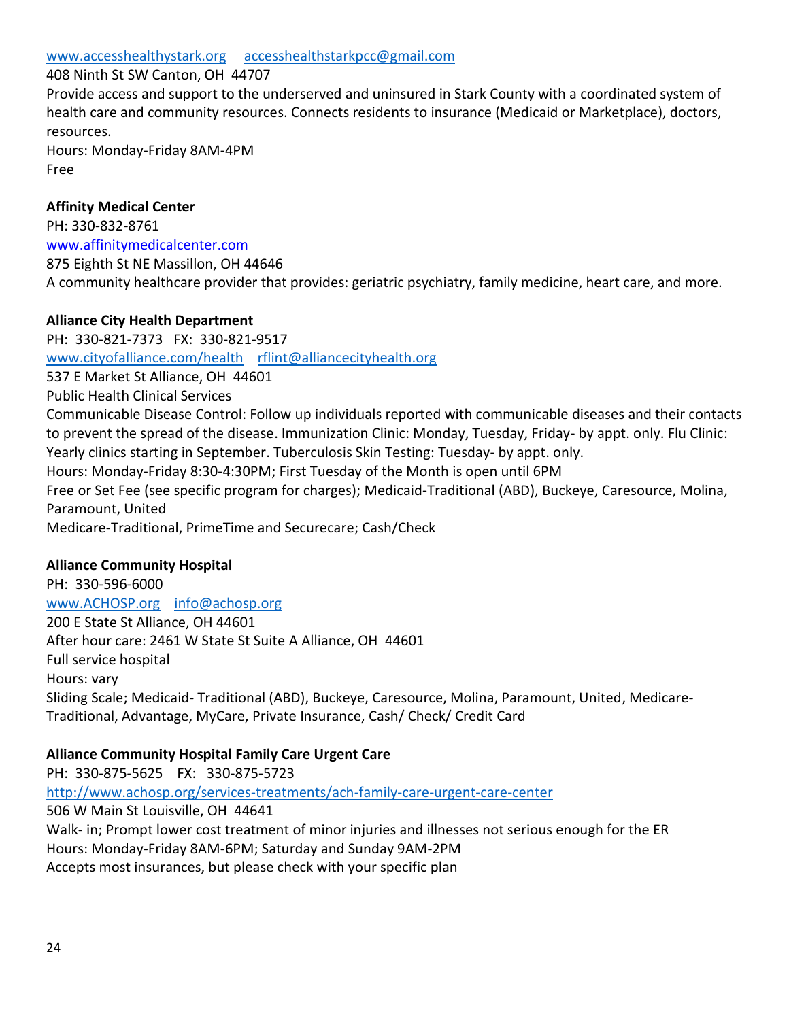#### 408 Ninth St SW Canton, OH 44707

Provide access and support to the underserved and uninsured in Stark County with a coordinated system of health care and community resources. Connects residents to insurance (Medicaid or Marketplace), doctors, resources.

Hours: Monday-Friday 8AM-4PM Free

### **Affinity Medical Center**

PH: 330-832-8761 [www.affinitymedicalcenter.com](http://www.affinitymedicalcenter.com/) 875 Eighth St NE Massillon, OH 44646 A community healthcare provider that provides: geriatric psychiatry, family medicine, heart care, and more.

### **Alliance City Health Department**

PH: 330-821-7373 FX: 330-821-9517 [www.cityofalliance.com/health](http://www.cityofalliance.com/health) [rflint@alliancecityhealth.org](mailto:rflint@alliancecityhealth.org) 537 E Market St Alliance, OH 44601 Public Health Clinical Services Communicable Disease Control: Follow up individuals reported with communicable diseases and their contacts to prevent the spread of the disease. Immunization Clinic: Monday, Tuesday, Friday- by appt. only. Flu Clinic: Yearly clinics starting in September. Tuberculosis Skin Testing: Tuesday- by appt. only. Hours: Monday-Friday 8:30-4:30PM; First Tuesday of the Month is open until 6PM Free or Set Fee (see specific program for charges); Medicaid-Traditional (ABD), Buckeye, Caresource, Molina, Paramount, United Medicare-Traditional, PrimeTime and Securecare; Cash/Check

### **Alliance Community Hospital**

PH: 330-596-6000 [www.ACHOSP.org](http://www.achosp.org/) [info@achosp.org](mailto:info@achosp.org) 200 E State St Alliance, OH 44601 After hour care: 2461 W State St Suite A Alliance, OH 44601 Full service hospital Hours: vary Sliding Scale; Medicaid- Traditional (ABD), Buckeye, Caresource, Molina, Paramount, United, Medicare-Traditional, Advantage, MyCare, Private Insurance, Cash/ Check/ Credit Card

### **Alliance Community Hospital Family Care Urgent Care**

PH: 330-875-5625 FX: 330-875-5723 <http://www.achosp.org/services-treatments/ach-family-care-urgent-care-center> 506 W Main St Louisville, OH 44641 Walk- in; Prompt lower cost treatment of minor injuries and illnesses not serious enough for the ER Hours: Monday-Friday 8AM-6PM; Saturday and Sunday 9AM-2PM Accepts most insurances, but please check with your specific plan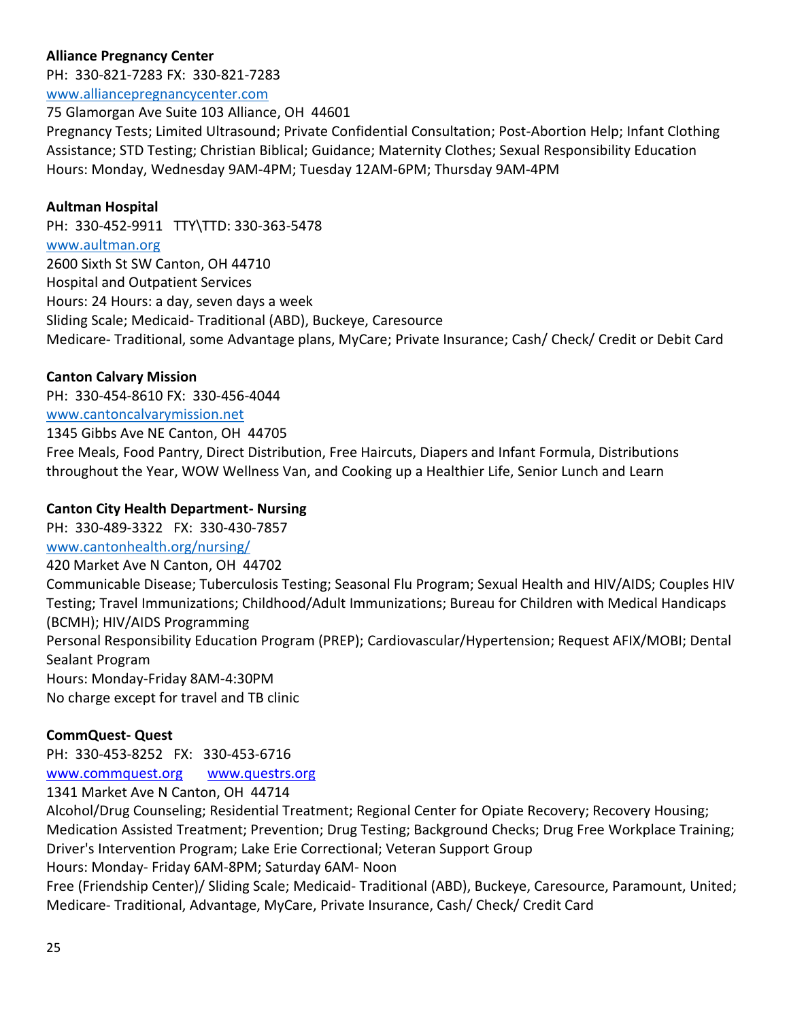## **Alliance Pregnancy Center**

PH: 330-821-7283 FX: 330-821-7283 [www.alliancepregnancycenter.com](http://www.alliancepregnancycenter.com/)

75 Glamorgan Ave Suite 103 Alliance, OH 44601 Pregnancy Tests; Limited Ultrasound; Private Confidential Consultation; Post-Abortion Help; Infant Clothing Assistance; STD Testing; Christian Biblical; Guidance; Maternity Clothes; Sexual Responsibility Education Hours: Monday, Wednesday 9AM-4PM; Tuesday 12AM-6PM; Thursday 9AM-4PM

### **Aultman Hospital**

PH: 330-452-9911 TTY\TTD: 330-363-5478 [www.aultman.org](http://www.aultman.org/) 2600 Sixth St SW Canton, OH 44710 Hospital and Outpatient Services Hours: 24 Hours: a day, seven days a week Sliding Scale; Medicaid- Traditional (ABD), Buckeye, Caresource Medicare- Traditional, some Advantage plans, MyCare; Private Insurance; Cash/ Check/ Credit or Debit Card

### **Canton Calvary Mission**

PH: 330-454-8610 FX: 330-456-4044 [www.cantoncalvarymission.net](http://www.cantoncalvarymission.net/) 1345 Gibbs Ave NE Canton, OH 44705 Free Meals, Food Pantry, Direct Distribution, Free Haircuts, Diapers and Infant Formula, Distributions throughout the Year, WOW Wellness Van, and Cooking up a Healthier Life, Senior Lunch and Learn

#### **Canton City Health Department- Nursing**

PH: 330-489-3322 FX: 330-430-7857

[www.cantonhealth.org/nursing/](http://www.cantonhealth.org/nursing/)

420 Market Ave N Canton, OH 44702 Communicable Disease; Tuberculosis Testing; Seasonal Flu Program; Sexual Health and HIV/AIDS; Couples HIV Testing; Travel Immunizations; Childhood/Adult Immunizations; Bureau for Children with Medical Handicaps (BCMH); HIV/AIDS Programming Personal Responsibility Education Program (PREP); Cardiovascular/Hypertension; Request AFIX/MOBI; Dental Sealant Program Hours: Monday-Friday 8AM-4:30PM

No charge except for travel and TB clinic

### **CommQuest- Quest**

PH: 330-453-8252 FX: 330-453-6716

[www.commquest.org](http://www.commquest.org/) [www.questrs.org](http://www.questrs.org/)

1341 Market Ave N Canton, OH 44714

Alcohol/Drug Counseling; Residential Treatment; Regional Center for Opiate Recovery; Recovery Housing; Medication Assisted Treatment; Prevention; Drug Testing; Background Checks; Drug Free Workplace Training; Driver's Intervention Program; Lake Erie Correctional; Veteran Support Group Hours: Monday- Friday 6AM-8PM; Saturday 6AM- Noon

Free (Friendship Center)/ Sliding Scale; Medicaid- Traditional (ABD), Buckeye, Caresource, Paramount, United; Medicare- Traditional, Advantage, MyCare, Private Insurance, Cash/ Check/ Credit Card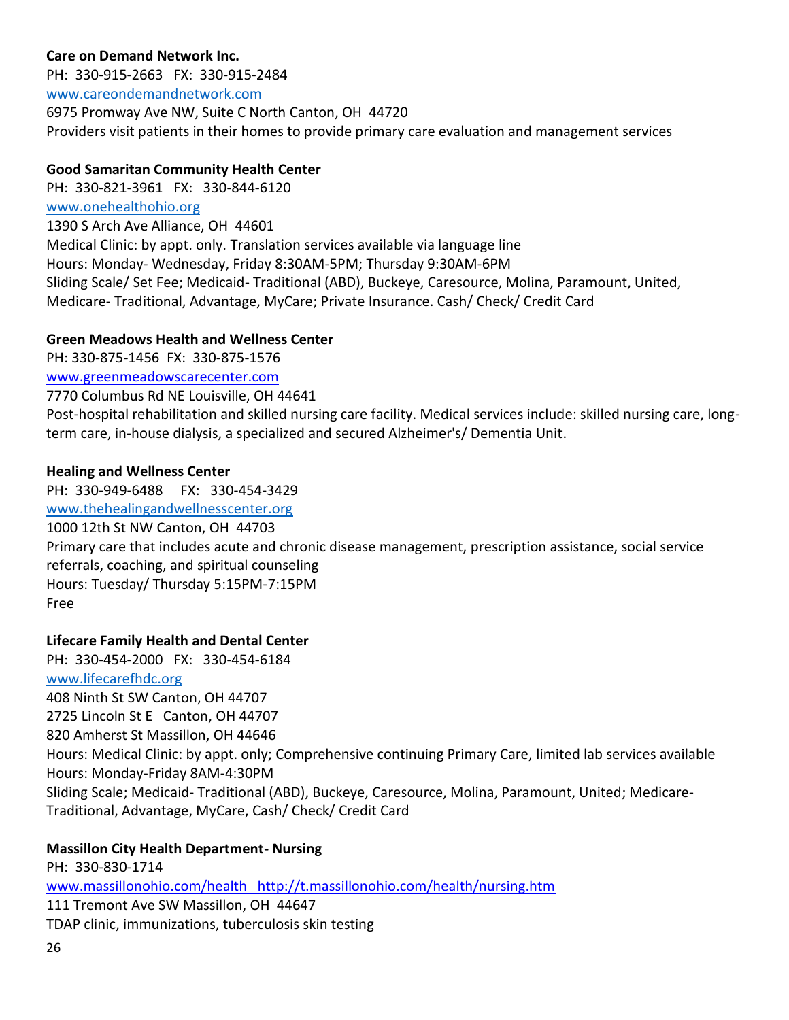## **Care on Demand Network Inc.**

PH: 330-915-2663 FX: 330-915-2484 [www.careondemandnetwork.com](http://www.careondemandnetwork.com/) 6975 Promway Ave NW, Suite C North Canton, OH 44720 Providers visit patients in their homes to provide primary care evaluation and management services

### **Good Samaritan Community Health Center**

PH: 330-821-3961 FX: 330-844-6120 [www.onehealthohio.org](http://www.onehealthohio.org/) 1390 S Arch Ave Alliance, OH 44601 Medical Clinic: by appt. only. Translation services available via language line Hours: Monday- Wednesday, Friday 8:30AM-5PM; Thursday 9:30AM-6PM Sliding Scale/ Set Fee; Medicaid- Traditional (ABD), Buckeye, Caresource, Molina, Paramount, United, Medicare- Traditional, Advantage, MyCare; Private Insurance. Cash/ Check/ Credit Card

### **Green Meadows Health and Wellness Center**

PH: 330-875-1456 FX: 330-875-1576 [www.greenmeadowscarecenter.com](http://www.greenmeadowscarecenter.com/)

7770 Columbus Rd NE Louisville, OH 44641

Post-hospital rehabilitation and skilled nursing care facility. Medical services include: skilled nursing care, longterm care, in-house dialysis, a specialized and secured Alzheimer's/ Dementia Unit.

### **Healing and Wellness Center**

PH: 330-949-6488 FX: 330-454-3429

[www.thehealingandwellnesscenter.org](http://www.thehealingandwellnesscenter.org/)

1000 12th St NW Canton, OH 44703 Primary care that includes acute and chronic disease management, prescription assistance, social service referrals, coaching, and spiritual counseling Hours: Tuesday/ Thursday 5:15PM-7:15PM Free

### **Lifecare Family Health and Dental Center**

PH: 330-454-2000 FX: 330-454-6184 [www.lifecarefhdc.org](http://www.cantoncommunityclinic.org/) 408 Ninth St SW Canton, OH 44707 2725 Lincoln St E Canton, OH 44707 820 Amherst St Massillon, OH 44646 Hours: Medical Clinic: by appt. only; Comprehensive continuing Primary Care, limited lab services available Hours: Monday-Friday 8AM-4:30PM Sliding Scale; Medicaid- Traditional (ABD), Buckeye, Caresource, Molina, Paramount, United; Medicare-Traditional, Advantage, MyCare, Cash/ Check/ Credit Card

### **Massillon City Health Department- Nursing**

PH: 330-830-1714 [www.massillonohio.com/health http://t.massillonohio.com/health/nursing.htm](http://www.massillonohio.com/health%20%20%20http:/t.massillonohio.com/health/nursing.htm) 111 Tremont Ave SW Massillon, OH 44647 TDAP clinic, immunizations, tuberculosis skin testing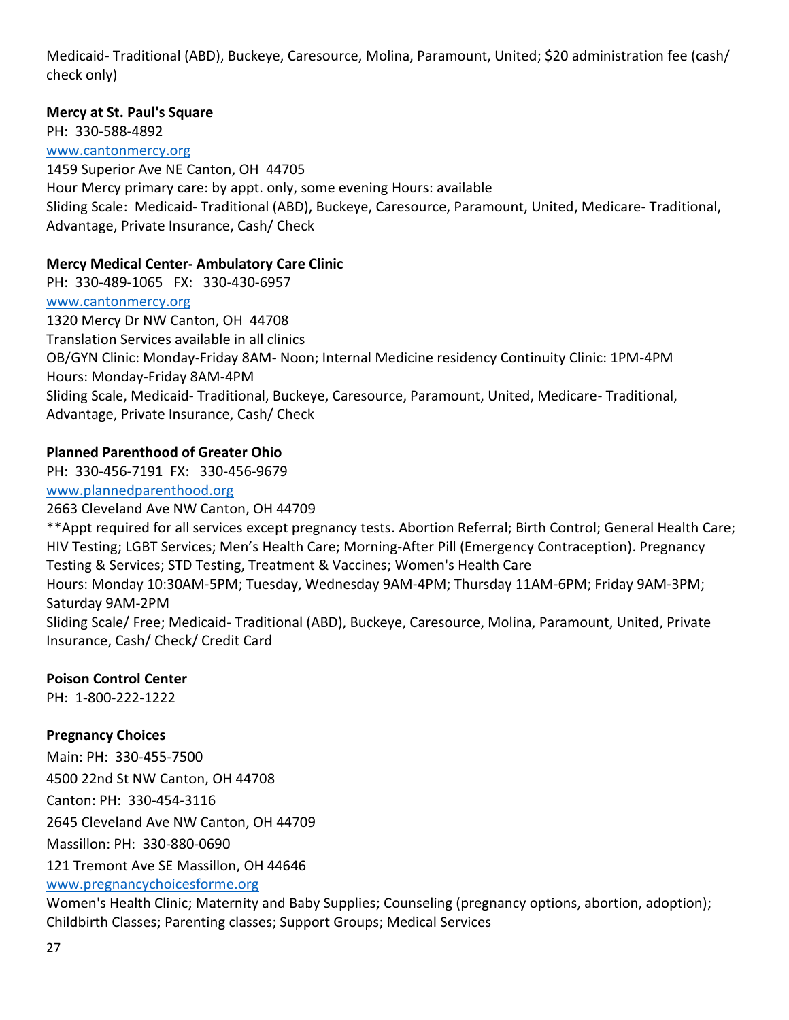Medicaid- Traditional (ABD), Buckeye, Caresource, Molina, Paramount, United; \$20 administration fee (cash/ check only)

### **Mercy at St. Paul's Square**

PH: 330-588-4892

[www.cantonmercy.org](http://www.cantonmercy.org/)

1459 Superior Ave NE Canton, OH 44705 Hour Mercy primary care: by appt. only, some evening Hours: available Sliding Scale: Medicaid- Traditional (ABD), Buckeye, Caresource, Paramount, United, Medicare- Traditional, Advantage, Private Insurance, Cash/ Check

### **Mercy Medical Center- Ambulatory Care Clinic**

PH: 330-489-1065 FX: 330-430-6957 [www.cantonmercy.org](http://www.cantonmercy.org/) 1320 Mercy Dr NW Canton, OH 44708 Translation Services available in all clinics OB/GYN Clinic: Monday-Friday 8AM- Noon; Internal Medicine residency Continuity Clinic: 1PM-4PM Hours: Monday-Friday 8AM-4PM Sliding Scale, Medicaid- Traditional, Buckeye, Caresource, Paramount, United, Medicare- Traditional, Advantage, Private Insurance, Cash/ Check

# **Planned Parenthood of Greater Ohio**

PH: 330-456-7191 FX: 330-456-9679

[www.plannedparenthood.org](http://www.plannedparenthood.org/)

2663 Cleveland Ave NW Canton, OH 44709

\*\*Appt required for all services except pregnancy tests. Abortion Referral; Birth Control; General Health Care; HIV Testing; LGBT Services; Men's Health Care; Morning-After Pill (Emergency Contraception). Pregnancy Testing & Services; STD Testing, Treatment & Vaccines; Women's Health Care Hours: Monday 10:30AM-5PM; Tuesday, Wednesday 9AM-4PM; Thursday 11AM-6PM; Friday 9AM-3PM; Saturday 9AM-2PM Sliding Scale/ Free; Medicaid- Traditional (ABD), Buckeye, Caresource, Molina, Paramount, United, Private

Insurance, Cash/ Check/ Credit Card

# **Poison Control Center**

PH: 1-800-222-1222

# **Pregnancy Choices**

Main: PH: 330-455-7500 4500 22nd St NW Canton, OH 44708 Canton: PH: 330-454-3116 2645 Cleveland Ave NW Canton, OH 44709 Massillon: PH: 330-880-0690 121 Tremont Ave SE Massillon, OH 44646 [www.pregnancychoicesforme.org](http://www.pregnancychoicesforme.org/)

Women's Health Clinic; Maternity and Baby Supplies; Counseling (pregnancy options, abortion, adoption); Childbirth Classes; Parenting classes; Support Groups; Medical Services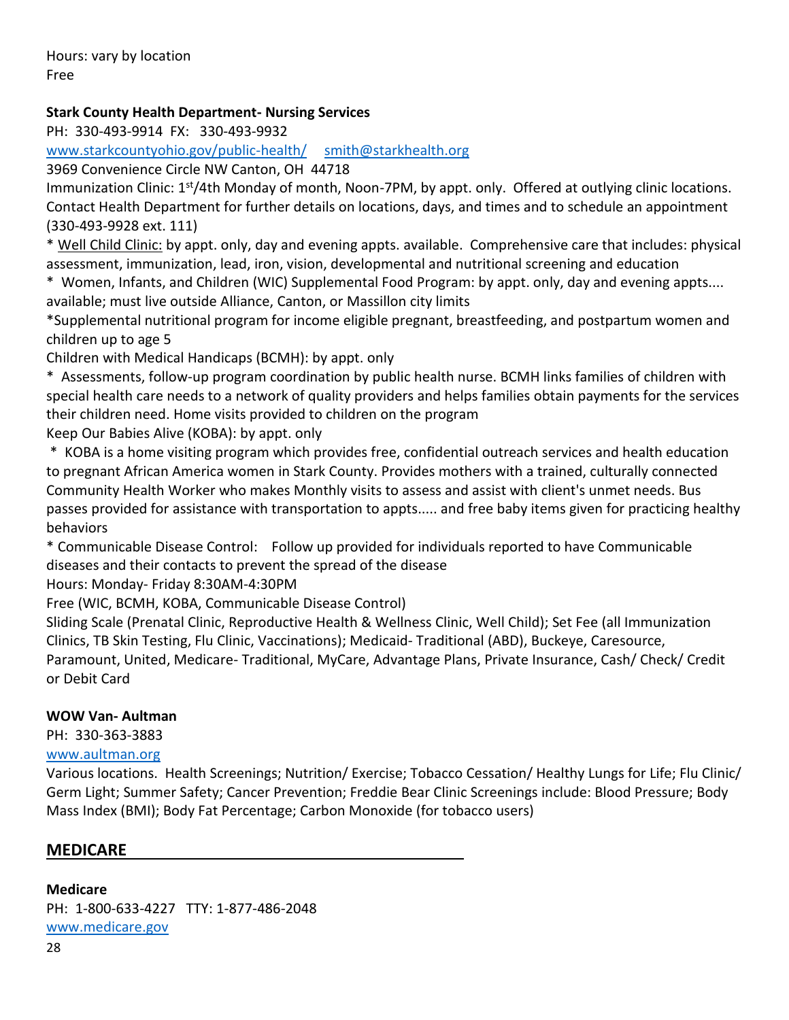Hours: vary by location Free

## **Stark County Health Department- Nursing Services**

PH: 330-493-9914 FX: 330-493-9932

[www.starkcountyohio.gov/public-health/](http://www.starkcountyohio.gov/public-health/) [smith@starkhealth.org](mailto:smith@starkhealth.org)

3969 Convenience Circle NW Canton, OH 44718

Immunization Clinic: 1<sup>st</sup>/4th Monday of month, Noon-7PM, by appt. only. Offered at outlying clinic locations. Contact Health Department for further details on locations, days, and times and to schedule an appointment (330-493-9928 ext. 111)

\* Well Child Clinic: by appt. only, day and evening appts. available. Comprehensive care that includes: physical assessment, immunization, lead, iron, vision, developmental and nutritional screening and education

\* Women, Infants, and Children (WIC) Supplemental Food Program: by appt. only, day and evening appts.... available; must live outside Alliance, Canton, or Massillon city limits

\*Supplemental nutritional program for income eligible pregnant, breastfeeding, and postpartum women and children up to age 5

Children with Medical Handicaps (BCMH): by appt. only

\* Assessments, follow-up program coordination by public health nurse. BCMH links families of children with special health care needs to a network of quality providers and helps families obtain payments for the services their children need. Home visits provided to children on the program

Keep Our Babies Alive (KOBA): by appt. only

\* KOBA is a home visiting program which provides free, confidential outreach services and health education to pregnant African America women in Stark County. Provides mothers with a trained, culturally connected Community Health Worker who makes Monthly visits to assess and assist with client's unmet needs. Bus passes provided for assistance with transportation to appts..... and free baby items given for practicing healthy behaviors

\* Communicable Disease Control: Follow up provided for individuals reported to have Communicable diseases and their contacts to prevent the spread of the disease

Hours: Monday- Friday 8:30AM-4:30PM

Free (WIC, BCMH, KOBA, Communicable Disease Control)

Sliding Scale (Prenatal Clinic, Reproductive Health & Wellness Clinic, Well Child); Set Fee (all Immunization Clinics, TB Skin Testing, Flu Clinic, Vaccinations); Medicaid- Traditional (ABD), Buckeye, Caresource, Paramount, United, Medicare- Traditional, MyCare, Advantage Plans, Private Insurance, Cash/ Check/ Credit or Debit Card

### **WOW Van- Aultman**

PH: 330-363-3883

# [www.aultman.org](http://www.aultman.org/)

Various locations. Health Screenings; Nutrition/ Exercise; Tobacco Cessation/ Healthy Lungs for Life; Flu Clinic/ Germ Light; Summer Safety; Cancer Prevention; Freddie Bear Clinic Screenings include: Blood Pressure; Body Mass Index (BMI); Body Fat Percentage; Carbon Monoxide (for tobacco users)

### **MEDICARE**

**Medicare** PH: 1-800-633-4227 TTY: 1-877-486-2048 [www.medicare.gov](http://www.medicare.gov/)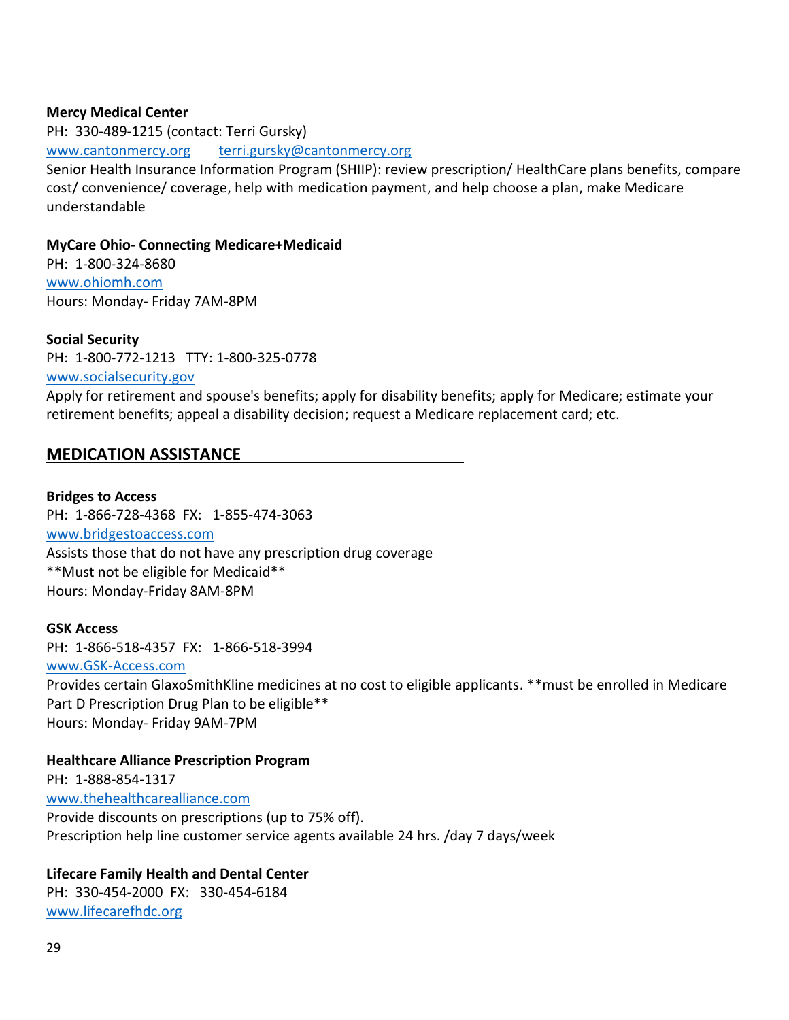#### **Mercy Medical Center**

PH: 330-489-1215 (contact: Terri Gursky) [www.cantonmercy.org](http://www.cantonmercy.org/) [terri.gursky@cantonmercy.org](mailto:terri.gursky@cantonmercy.org) Senior Health Insurance Information Program (SHIIP): review prescription/ HealthCare plans benefits, compare cost/ convenience/ coverage, help with medication payment, and help choose a plan, make Medicare understandable

#### **MyCare Ohio- Connecting Medicare+Medicaid**

PH: 1-800-324-8680 [www.ohiomh.com](http://www.ohiomh.com/) Hours: Monday- Friday 7AM-8PM

#### **Social Security**

PH: 1-800-772-1213 TTY: 1-800-325-0778 [www.socialsecurity.gov](http://www.socialsecurity.gov/)

Apply for retirement and spouse's benefits; apply for disability benefits; apply for Medicare; estimate your retirement benefits; appeal a disability decision; request a Medicare replacement card; etc.

### **MEDICATION ASSISTANCE**

**Bridges to Access** PH: 1-866-728-4368 FX: 1-855-474-3063 [www.bridgestoaccess.com](http://www.bridgestoaccess.com/) Assists those that do not have any prescription drug coverage \*\*Must not be eligible for Medicaid\*\* Hours: Monday-Friday 8AM-8PM

**GSK Access** PH: 1-866-518-4357 FX: 1-866-518-3994 [www.GSK-Access.com](http://www.gsk-access.com/) Provides certain GlaxoSmithKline medicines at no cost to eligible applicants. \*\*must be enrolled in Medicare Part D Prescription Drug Plan to be eligible\*\* Hours: Monday- Friday 9AM-7PM

**Healthcare Alliance Prescription Program** PH: 1-888-854-1317 [www.thehealthcarealliance.com](http://www.thehealthcarealliance.com/) Provide discounts on prescriptions (up to 75% off). Prescription help line customer service agents available 24 hrs. /day 7 days/week

# **Lifecare Family Health and Dental Center**

PH: 330-454-2000 FX: 330-454-6184 [www.lifecarefhdc.org](http://www.cantoncommunityclinic.org/)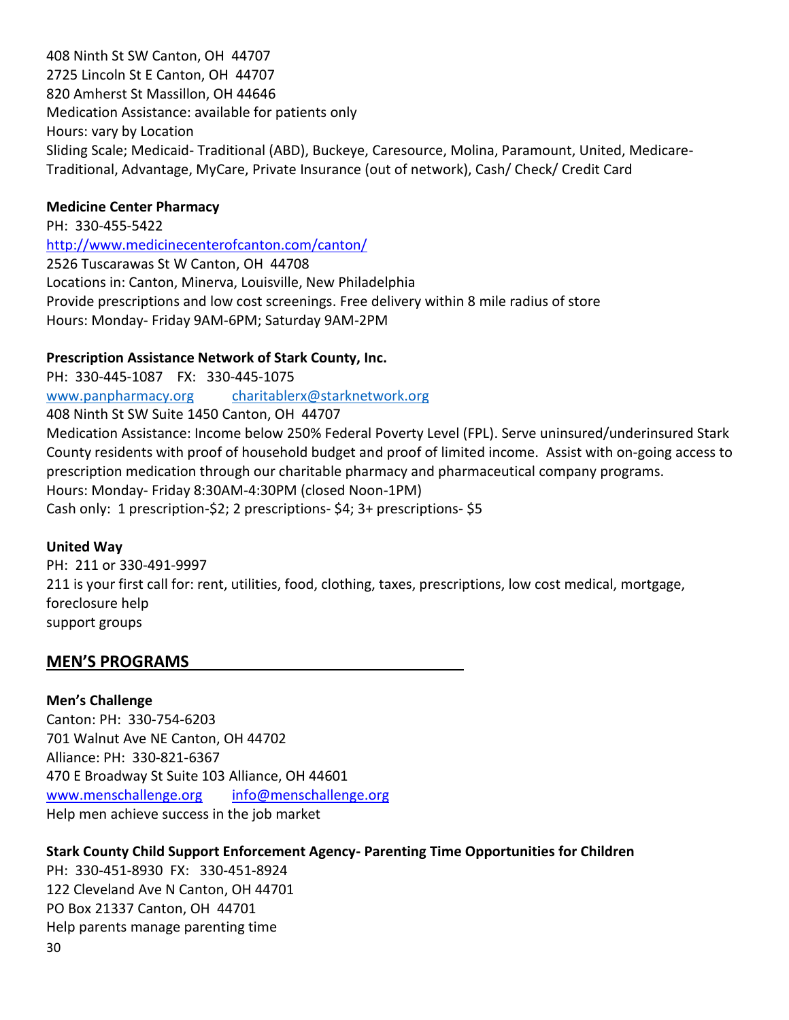408 Ninth St SW Canton, OH 44707 2725 Lincoln St E Canton, OH 44707 820 Amherst St Massillon, OH 44646 Medication Assistance: available for patients only Hours: vary by Location Sliding Scale; Medicaid- Traditional (ABD), Buckeye, Caresource, Molina, Paramount, United, Medicare-Traditional, Advantage, MyCare, Private Insurance (out of network), Cash/ Check/ Credit Card

### **Medicine Center Pharmacy**

PH: 330-455-5422 <http://www.medicinecenterofcanton.com/canton/> 2526 Tuscarawas St W Canton, OH 44708 Locations in: Canton, Minerva, Louisville, New Philadelphia Provide prescriptions and low cost screenings. Free delivery within 8 mile radius of store Hours: Monday- Friday 9AM-6PM; Saturday 9AM-2PM

### **Prescription Assistance Network of Stark County, Inc.**

PH: 330-445-1087 FX: 330-445-1075 [www.panpharmacy.org](http://www.panpharmacy.org/) [charitablerx@starknetwork.org](mailto:charitablerx@starknetwork.org) 408 Ninth St SW Suite 1450 Canton, OH 44707 Medication Assistance: Income below 250% Federal Poverty Level (FPL). Serve uninsured/underinsured Stark County residents with proof of household budget and proof of limited income. Assist with on-going access to prescription medication through our charitable pharmacy and pharmaceutical company programs. Hours: Monday- Friday 8:30AM-4:30PM (closed Noon-1PM) Cash only: 1 prescription-\$2; 2 prescriptions- \$4; 3+ prescriptions- \$5

### **United Way**

PH: 211 or 330-491-9997 211 is your first call for: rent, utilities, food, clothing, taxes, prescriptions, low cost medical, mortgage, foreclosure help support groups

### **MEN'S PROGRAMS**

**Men's Challenge** Canton: PH: 330-754-6203 701 Walnut Ave NE Canton, OH 44702 Alliance: PH: 330-821-6367 470 E Broadway St Suite 103 Alliance, OH 44601 [www.menschallenge.org](http://www.menschallenge.org/) [info@menschallenge.org](mailto:info@menschallenge.org) Help men achieve success in the job market

### **Stark County Child Support Enforcement Agency- Parenting Time Opportunities for Children**

30 PH: 330-451-8930 FX: 330-451-8924 122 Cleveland Ave N Canton, OH 44701 PO Box 21337 Canton, OH 44701 Help parents manage parenting time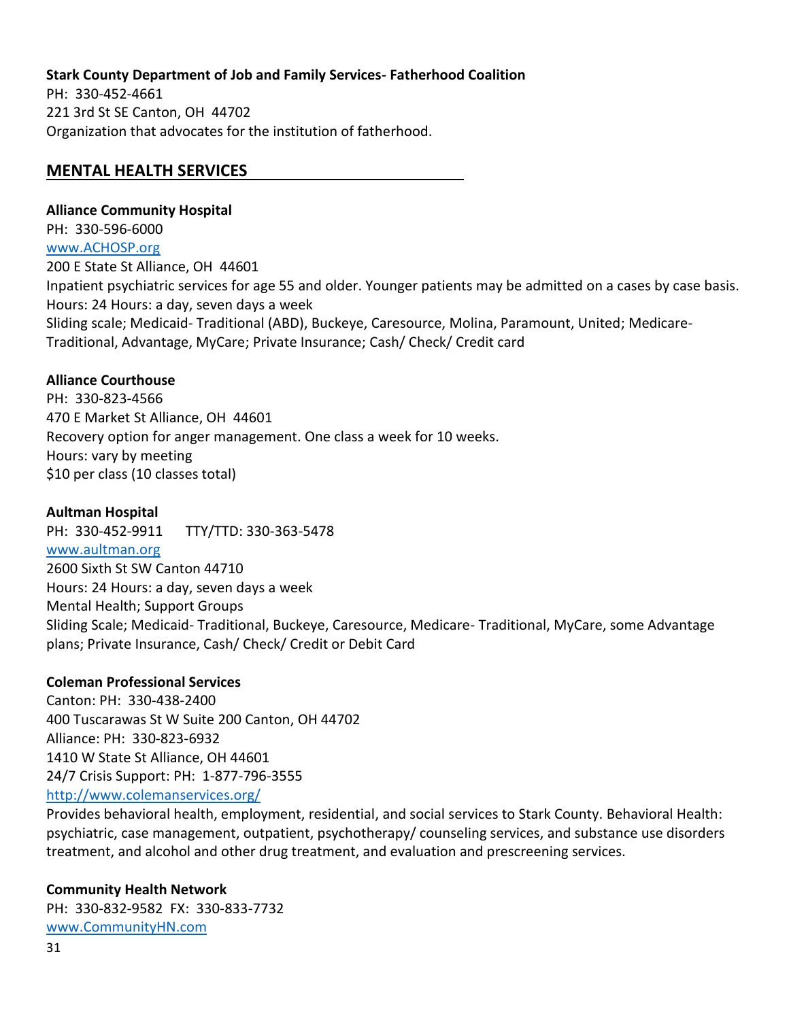### **Stark County Department of Job and Family Services- Fatherhood Coalition**

PH: 330-452-4661 221 3rd St SE Canton, OH 44702 Organization that advocates for the institution of fatherhood.

### **MENTAL HEALTH SERVICES**

### **Alliance Community Hospital**

PH: 330-596-6000 [www.ACHOSP.org](http://www.achosp.org/) 200 E State St Alliance, OH 44601 Inpatient psychiatric services for age 55 and older. Younger patients may be admitted on a cases by case basis. Hours: 24 Hours: a day, seven days a week Sliding scale; Medicaid- Traditional (ABD), Buckeye, Caresource, Molina, Paramount, United; Medicare-Traditional, Advantage, MyCare; Private Insurance; Cash/ Check/ Credit card

### **Alliance Courthouse**

PH: 330-823-4566 470 E Market St Alliance, OH 44601 Recovery option for anger management. One class a week for 10 weeks. Hours: vary by meeting \$10 per class (10 classes total)

### **Aultman Hospital**

PH: 330-452-9911 TTY/TTD: 330-363-5478 [www.aultman.org](http://www.aultman.org/) 2600 Sixth St SW Canton 44710 Hours: 24 Hours: a day, seven days a week Mental Health; Support Groups Sliding Scale; Medicaid- Traditional, Buckeye, Caresource, Medicare- Traditional, MyCare, some Advantage plans; Private Insurance, Cash/ Check/ Credit or Debit Card

### **Coleman Professional Services**

Canton: PH: 330-438-2400 400 Tuscarawas St W Suite 200 Canton, OH 44702 Alliance: PH: 330-823-6932 1410 W State St Alliance, OH 44601 24/7 Crisis Support: PH: 1-877-796-3555 <http://www.colemanservices.org/>

Provides behavioral health, employment, residential, and social services to Stark County. Behavioral Health: psychiatric, case management, outpatient, psychotherapy/ counseling services, and substance use disorders treatment, and alcohol and other drug treatment, and evaluation and prescreening services.

### **Community Health Network**

PH: 330-832-9582 FX: 330-833-7732 [www.CommunityHN.com](http://www.communityhn.com/)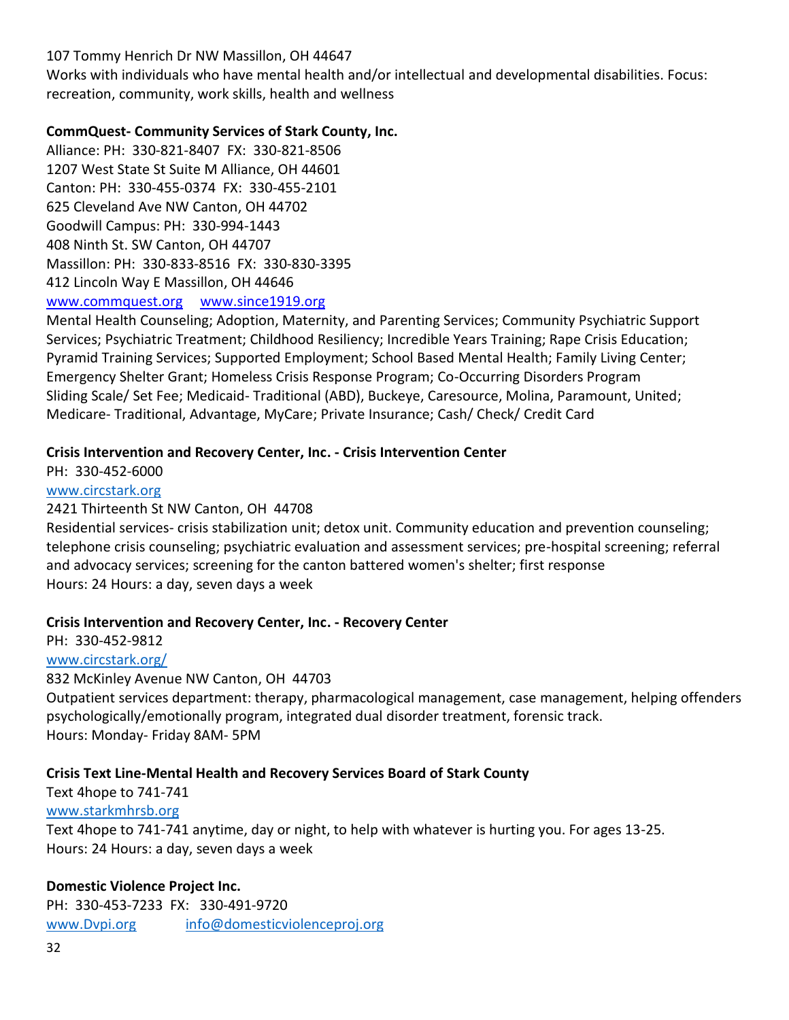### 107 Tommy Henrich Dr NW Massillon, OH 44647

Works with individuals who have mental health and/or intellectual and developmental disabilities. Focus: recreation, community, work skills, health and wellness

### **CommQuest- Community Services of Stark County, Inc.**

Alliance: PH: 330-821-8407 FX: 330-821-8506 1207 West State St Suite M Alliance, OH 44601 Canton: PH: 330-455-0374 FX: 330-455-2101 625 Cleveland Ave NW Canton, OH 44702 Goodwill Campus: PH: 330-994-1443 408 Ninth St. SW Canton, OH 44707 Massillon: PH: 330-833-8516 FX: 330-830-3395 412 Lincoln Way E Massillon, OH 44646 [www.commquest.org](http://www.commquest.org/) [www.since1919.org](http://www.since1919.org/)

Mental Health Counseling; Adoption, Maternity, and Parenting Services; Community Psychiatric Support Services; Psychiatric Treatment; Childhood Resiliency; Incredible Years Training; Rape Crisis Education; Pyramid Training Services; Supported Employment; School Based Mental Health; Family Living Center; Emergency Shelter Grant; Homeless Crisis Response Program; Co-Occurring Disorders Program Sliding Scale/ Set Fee; Medicaid- Traditional (ABD), Buckeye, Caresource, Molina, Paramount, United; Medicare- Traditional, Advantage, MyCare; Private Insurance; Cash/ Check/ Credit Card

### **Crisis Intervention and Recovery Center, Inc. - Crisis Intervention Center**

PH: 330-452-6000

### www.circstark.org

### 2421 Thirteenth St NW Canton, OH 44708

Residential services- crisis stabilization unit; detox unit. Community education and prevention counseling; telephone crisis counseling; psychiatric evaluation and assessment services; pre-hospital screening; referral and advocacy services; screening for the canton battered women's shelter; first response Hours: 24 Hours: a day, seven days a week

### **Crisis Intervention and Recovery Center, Inc. - Recovery Center**

PH: 330-452-9812

## [www.circstark.org/](http://www.circstark.org/)

832 McKinley Avenue NW Canton, OH 44703

Outpatient services department: therapy, pharmacological management, case management, helping offenders psychologically/emotionally program, integrated dual disorder treatment, forensic track. Hours: Monday- Friday 8AM- 5PM

### **Crisis Text Line-Mental Health and Recovery Services Board of Stark County**

Text 4hope to 741-741

### [www.starkmhrsb.org](http://www.starkmhrsb.org/)

Text 4hope to 741-741 anytime, day or night, to help with whatever is hurting you. For ages 13-25. Hours: 24 Hours: a day, seven days a week

### **Domestic Violence Project Inc.**

PH: 330-453-7233 FX: 330-491-9720 [www.Dvpi.org](http://www.dvpi.org/) [info@domesticviolenceproj.org](mailto:info@domesticviolenceproj.org)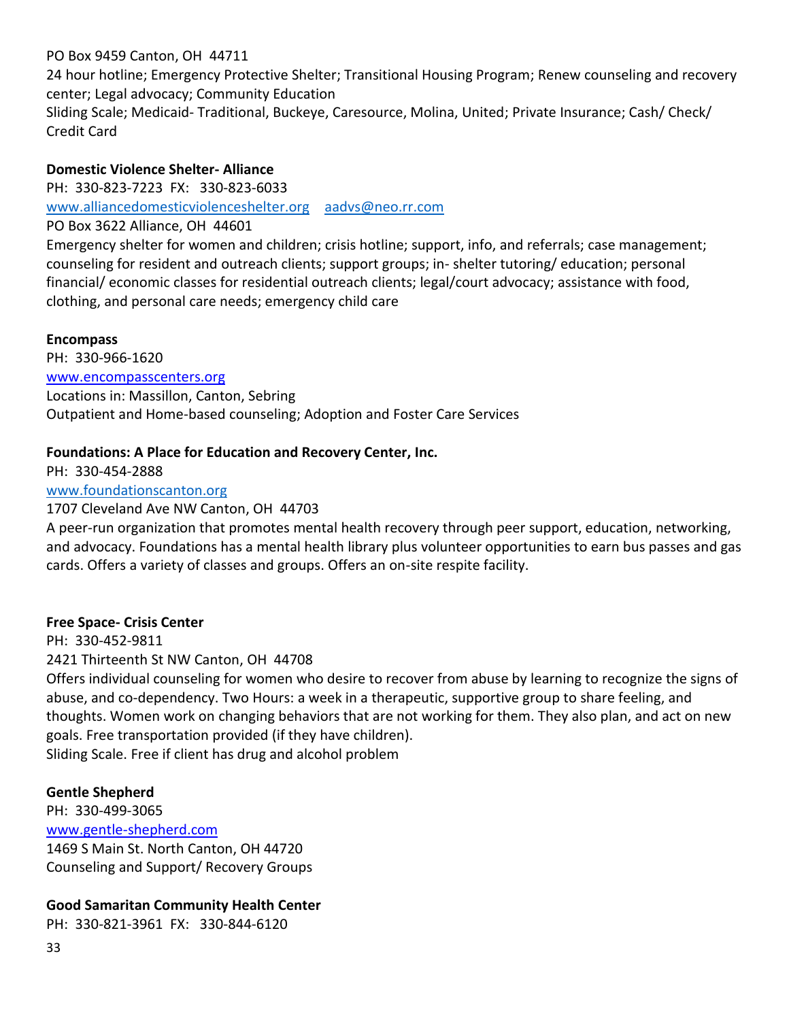PO Box 9459 Canton, OH 44711

24 hour hotline; Emergency Protective Shelter; Transitional Housing Program; Renew counseling and recovery center; Legal advocacy; Community Education

Sliding Scale; Medicaid- Traditional, Buckeye, Caresource, Molina, United; Private Insurance; Cash/ Check/ Credit Card

### **Domestic Violence Shelter- Alliance**

PH: 330-823-7223 FX: 330-823-6033

[www.alliancedomesticviolenceshelter.org](http://www.alliancedomesticviolenceshelter.org/) [aadvs@neo.rr.com](mailto:aadvs@neo.rr.com)

PO Box 3622 Alliance, OH 44601

Emergency shelter for women and children; crisis hotline; support, info, and referrals; case management; counseling for resident and outreach clients; support groups; in- shelter tutoring/ education; personal financial/ economic classes for residential outreach clients; legal/court advocacy; assistance with food, clothing, and personal care needs; emergency child care

### **Encompass**

PH: 330-966-1620 [www.encompasscenters.org](http://www.encompasscenters.org/) Locations in: Massillon, Canton, Sebring Outpatient and Home-based counseling; Adoption and Foster Care Services

### **Foundations: A Place for Education and Recovery Center, Inc.**

PH: 330-454-2888 [www.foundationscanton.org](http://www.foundationscanton.org/)

## 1707 Cleveland Ave NW Canton, OH 44703

A peer-run organization that promotes mental health recovery through peer support, education, networking, and advocacy. Foundations has a mental health library plus volunteer opportunities to earn bus passes and gas cards. Offers a variety of classes and groups. Offers an on-site respite facility.

### **Free Space- Crisis Center**

PH: 330-452-9811 2421 Thirteenth St NW Canton, OH 44708

Offers individual counseling for women who desire to recover from abuse by learning to recognize the signs of abuse, and co-dependency. Two Hours: a week in a therapeutic, supportive group to share feeling, and thoughts. Women work on changing behaviors that are not working for them. They also plan, and act on new goals. Free transportation provided (if they have children).

Sliding Scale. Free if client has drug and alcohol problem

### **Gentle Shepherd**

PH: 330-499-3065 [www.gentle-shepherd.com](http://www.gentle-shepherd.com/) 1469 S Main St. North Canton, OH 44720 Counseling and Support/ Recovery Groups

### **Good Samaritan Community Health Center**

PH: 330-821-3961 FX: 330-844-6120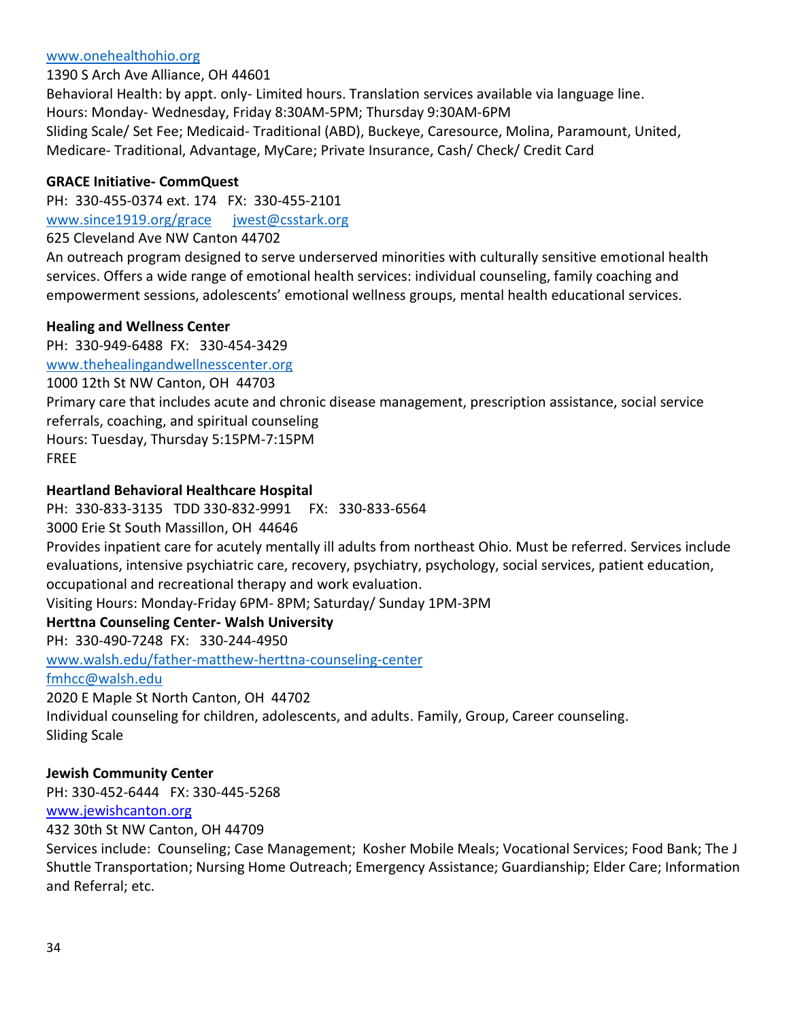### [www.onehealthohio.org](http://www.onehealthohio.org/)

1390 S Arch Ave Alliance, OH 44601

Behavioral Health: by appt. only- Limited hours. Translation services available via language line. Hours: Monday- Wednesday, Friday 8:30AM-5PM; Thursday 9:30AM-6PM Sliding Scale/ Set Fee; Medicaid- Traditional (ABD), Buckeye, Caresource, Molina, Paramount, United, Medicare- Traditional, Advantage, MyCare; Private Insurance, Cash/ Check/ Credit Card

### **GRACE Initiative- CommQuest**

PH: 330-455-0374 ext. 174 FX: 330-455-2101 [www.since1919.org/grace](http://www.since1919.org/grace) [jwest@csstark.org](mailto:jwest@csstark.org) 625 Cleveland Ave NW Canton 44702

An outreach program designed to serve underserved minorities with culturally sensitive emotional health services. Offers a wide range of emotional health services: individual counseling, family coaching and empowerment sessions, adolescents' emotional wellness groups, mental health educational services.

### **Healing and Wellness Center**

PH: 330-949-6488 FX: 330-454-3429

[www.thehealingandwellnesscenter.org](http://www.thehealingandwellnesscenter.org/)

```
1000 12th St NW Canton, OH 44703
```
Primary care that includes acute and chronic disease management, prescription assistance, social service referrals, coaching, and spiritual counseling Hours: Tuesday, Thursday 5:15PM-7:15PM

FREE

### **Heartland Behavioral Healthcare Hospital**

PH: 330-833-3135 TDD 330-832-9991 FX: 330-833-6564

3000 Erie St South Massillon, OH 44646

Provides inpatient care for acutely mentally ill adults from northeast Ohio. Must be referred. Services include evaluations, intensive psychiatric care, recovery, psychiatry, psychology, social services, patient education, occupational and recreational therapy and work evaluation.

Visiting Hours: Monday-Friday 6PM- 8PM; Saturday/ Sunday 1PM-3PM

### **Herttna Counseling Center- Walsh University**

PH: 330-490-7248 FX: 330-244-4950

[www.walsh.edu/father-matthew-herttna-counseling-center](http://www.walsh.edu/father-matthew-herttna-counseling-center)

[fmhcc@walsh.edu](mailto:fmhcc@walsh.edu)

2020 E Maple St North Canton, OH 44702

Individual counseling for children, adolescents, and adults. Family, Group, Career counseling. Sliding Scale

### **Jewish Community Center**

PH: 330-452-6444 FX: 330-445-5268

[www.jewishcanton.org](http://www.jewishcanton.org/)

432 30th St NW Canton, OH 44709

Services include: Counseling; Case Management; Kosher Mobile Meals; Vocational Services; Food Bank; The J Shuttle Transportation; Nursing Home Outreach; Emergency Assistance; Guardianship; Elder Care; Information and Referral; etc.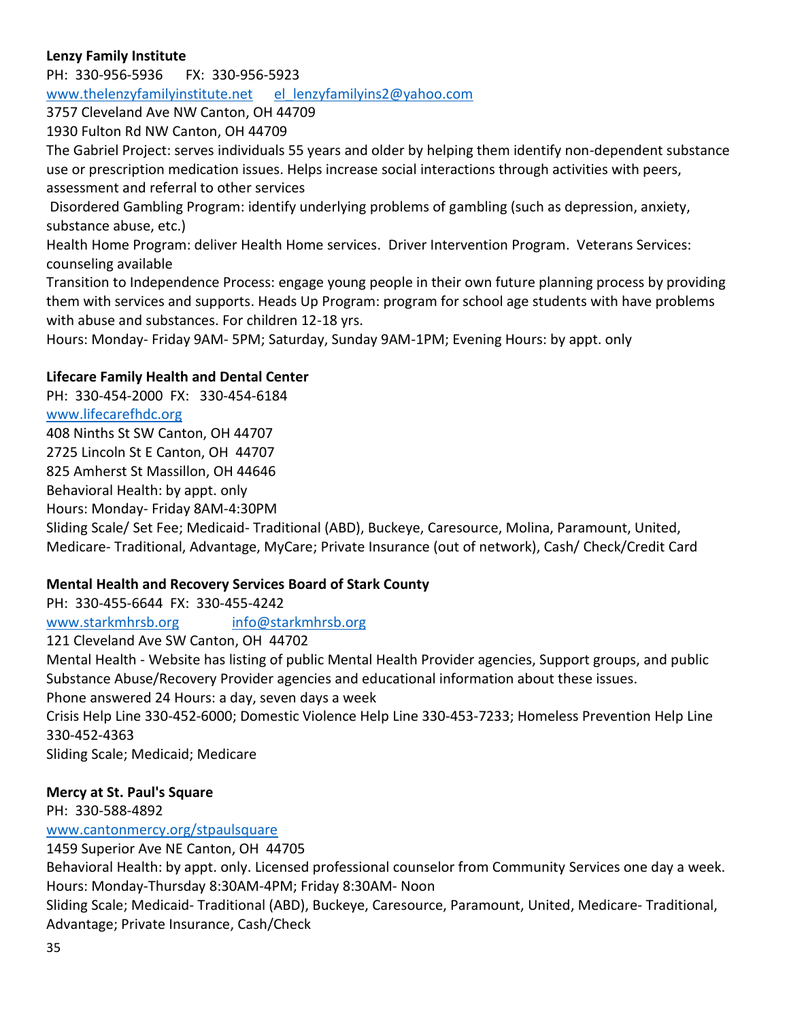## **Lenzy Family Institute**

PH: 330-956-5936 FX: 330-956-5923 [www.thelenzyfamilyinstitute.net](http://www.thelenzyfamilyinstitute.net/) [el\\_lenzyfamilyins2@yahoo.com](mailto:el_lenzyfamilyins2@yahoo.com)

3757 Cleveland Ave NW Canton, OH 44709

1930 Fulton Rd NW Canton, OH 44709

The Gabriel Project: serves individuals 55 years and older by helping them identify non-dependent substance use or prescription medication issues. Helps increase social interactions through activities with peers, assessment and referral to other services

Disordered Gambling Program: identify underlying problems of gambling (such as depression, anxiety, substance abuse, etc.)

Health Home Program: deliver Health Home services. Driver Intervention Program. Veterans Services: counseling available

Transition to Independence Process: engage young people in their own future planning process by providing them with services and supports. Heads Up Program: program for school age students with have problems with abuse and substances. For children 12-18 yrs.

Hours: Monday- Friday 9AM- 5PM; Saturday, Sunday 9AM-1PM; Evening Hours: by appt. only

### **Lifecare Family Health and Dental Center**

PH: 330-454-2000 FX: 330-454-6184 [www.lifecarefhdc.org](http://www.lifecarefhdc.org/) 408 Ninths St SW Canton, OH 44707 2725 Lincoln St E Canton, OH 44707 825 Amherst St Massillon, OH 44646 Behavioral Health: by appt. only Hours: Monday- Friday 8AM-4:30PM

Sliding Scale/ Set Fee; Medicaid- Traditional (ABD), Buckeye, Caresource, Molina, Paramount, United, Medicare- Traditional, Advantage, MyCare; Private Insurance (out of network), Cash/ Check/Credit Card

### **Mental Health and Recovery Services Board of Stark County**

PH: 330-455-6644 FX: 330-455-4242 [www.starkmhrsb.org](http://www.starkmhrsb.org/) [info@starkmhrsb.org](mailto:info@starkmhrsb.org) 121 Cleveland Ave SW Canton, OH 44702 Mental Health - Website has listing of public Mental Health Provider agencies, Support groups, and public Substance Abuse/Recovery Provider agencies and educational information about these issues. Phone answered 24 Hours: a day, seven days a week Crisis Help Line 330-452-6000; Domestic Violence Help Line 330-453-7233; Homeless Prevention Help Line 330-452-4363 Sliding Scale; Medicaid; Medicare

### **Mercy at St. Paul's Square**

PH: 330-588-4892

[www.cantonmercy.org/stpaulsquare](http://www.cantonmercy.org/stpaulsquare)

1459 Superior Ave NE Canton, OH 44705

Behavioral Health: by appt. only. Licensed professional counselor from Community Services one day a week. Hours: Monday-Thursday 8:30AM-4PM; Friday 8:30AM- Noon

Sliding Scale; Medicaid- Traditional (ABD), Buckeye, Caresource, Paramount, United, Medicare- Traditional, Advantage; Private Insurance, Cash/Check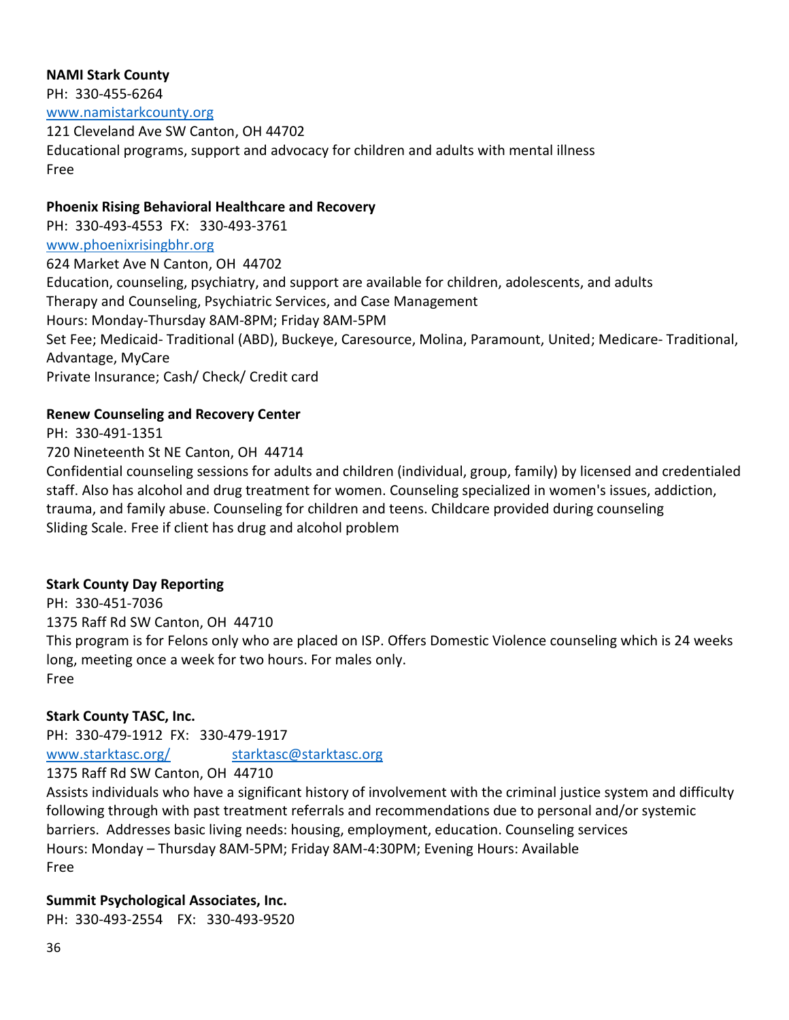#### **NAMI Stark County**

PH: 330-455-6264

[www.namistarkcounty.org](http://www.namistarkcounty.org/)

121 Cleveland Ave SW Canton, OH 44702 Educational programs, support and advocacy for children and adults with mental illness Free

### **Phoenix Rising Behavioral Healthcare and Recovery**

PH: 330-493-4553 FX: 330-493-3761 [www.phoenixrisingbhr.org](http://www.phoenixrisingbhr.org/) 624 Market Ave N Canton, OH 44702 Education, counseling, psychiatry, and support are available for children, adolescents, and adults Therapy and Counseling, Psychiatric Services, and Case Management Hours: Monday-Thursday 8AM-8PM; Friday 8AM-5PM Set Fee; Medicaid- Traditional (ABD), Buckeye, Caresource, Molina, Paramount, United; Medicare- Traditional, Advantage, MyCare Private Insurance; Cash/ Check/ Credit card

### **Renew Counseling and Recovery Center**

PH: 330-491-1351

720 Nineteenth St NE Canton, OH 44714

Confidential counseling sessions for adults and children (individual, group, family) by licensed and credentialed staff. Also has alcohol and drug treatment for women. Counseling specialized in women's issues, addiction, trauma, and family abuse. Counseling for children and teens. Childcare provided during counseling Sliding Scale. Free if client has drug and alcohol problem

### **Stark County Day Reporting**

PH: 330-451-7036 1375 Raff Rd SW Canton, OH 44710 This program is for Felons only who are placed on ISP. Offers Domestic Violence counseling which is 24 weeks long, meeting once a week for two hours. For males only. Free

### **Stark County TASC, Inc.**

PH: 330-479-1912 FX: 330-479-1917

[www.starktasc.org/](http://www.starktasc.org/) [starktasc@starktasc.org](mailto:starktasc@starktasc.org)

1375 Raff Rd SW Canton, OH 44710

Assists individuals who have a significant history of involvement with the criminal justice system and difficulty following through with past treatment referrals and recommendations due to personal and/or systemic barriers. Addresses basic living needs: housing, employment, education. Counseling services Hours: Monday – Thursday 8AM-5PM; Friday 8AM-4:30PM; Evening Hours: Available Free

### **Summit Psychological Associates, Inc.**

PH: 330-493-2554 FX: 330-493-9520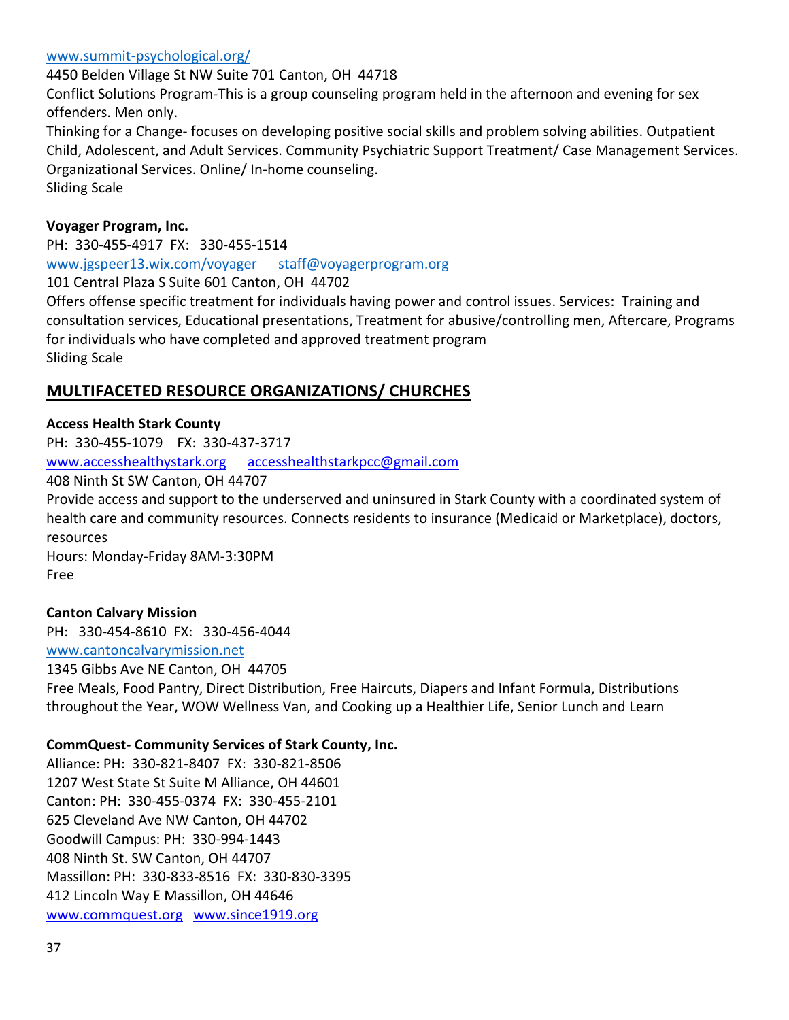[www.summit-psychological.org/](http://www.summit-psychological.org/)

4450 Belden Village St NW Suite 701 Canton, OH 44718 Conflict Solutions Program-This is a group counseling program held in the afternoon and evening for sex offenders. Men only. Thinking for a Change- focuses on developing positive social skills and problem solving abilities. Outpatient Child, Adolescent, and Adult Services. Community Psychiatric Support Treatment/ Case Management Services. Organizational Services. Online/ In-home counseling. Sliding Scale

## **Voyager Program, Inc.**

PH: 330-455-4917 FX: 330-455-1514 [www.jgspeer13.wix.com/voyager](http://www.jgspeer13.wix.com/voyager) [staff@voyagerprogram.org](mailto:staff@voyagerprogram.org)

101 Central Plaza S Suite 601 Canton, OH 44702

Offers offense specific treatment for individuals having power and control issues. Services: Training and consultation services, Educational presentations, Treatment for abusive/controlling men, Aftercare, Programs for individuals who have completed and approved treatment program Sliding Scale

# **MULTIFACETED RESOURCE ORGANIZATIONS/ CHURCHES**

### **Access Health Stark County**

PH: 330-455-1079 FX: 330-437-3717 [www.accesshealthystark.org](http://www.accesshealthystark.org/) [accesshealthstarkpcc@gmail.com](mailto:accesshealthstarkpcc@gmail.com)

408 Ninth St SW Canton, OH 44707

Provide access and support to the underserved and uninsured in Stark County with a coordinated system of health care and community resources. Connects residents to insurance (Medicaid or Marketplace), doctors, resources

Hours: Monday-Friday 8AM-3:30PM Free

## **Canton Calvary Mission**

PH: 330-454-8610 FX: 330-456-4044 [www.cantoncalvarymission.net](http://www.cantoncalvarymission.net/) 1345 Gibbs Ave NE Canton, OH 44705

Free Meals, Food Pantry, Direct Distribution, Free Haircuts, Diapers and Infant Formula, Distributions throughout the Year, WOW Wellness Van, and Cooking up a Healthier Life, Senior Lunch and Learn

#### **CommQuest- Community Services of Stark County, Inc.**

Alliance: PH: 330-821-8407 FX: 330-821-8506 1207 West State St Suite M Alliance, OH 44601 Canton: PH: 330-455-0374 FX: 330-455-2101 625 Cleveland Ave NW Canton, OH 44702 Goodwill Campus: PH: 330-994-1443 408 Ninth St. SW Canton, OH 44707 Massillon: PH: 330-833-8516 FX: 330-830-3395 412 Lincoln Way E Massillon, OH 44646 [www.commquest.org](http://www.commquest.org/) [www.since1919.org](http://www.since1919.org/)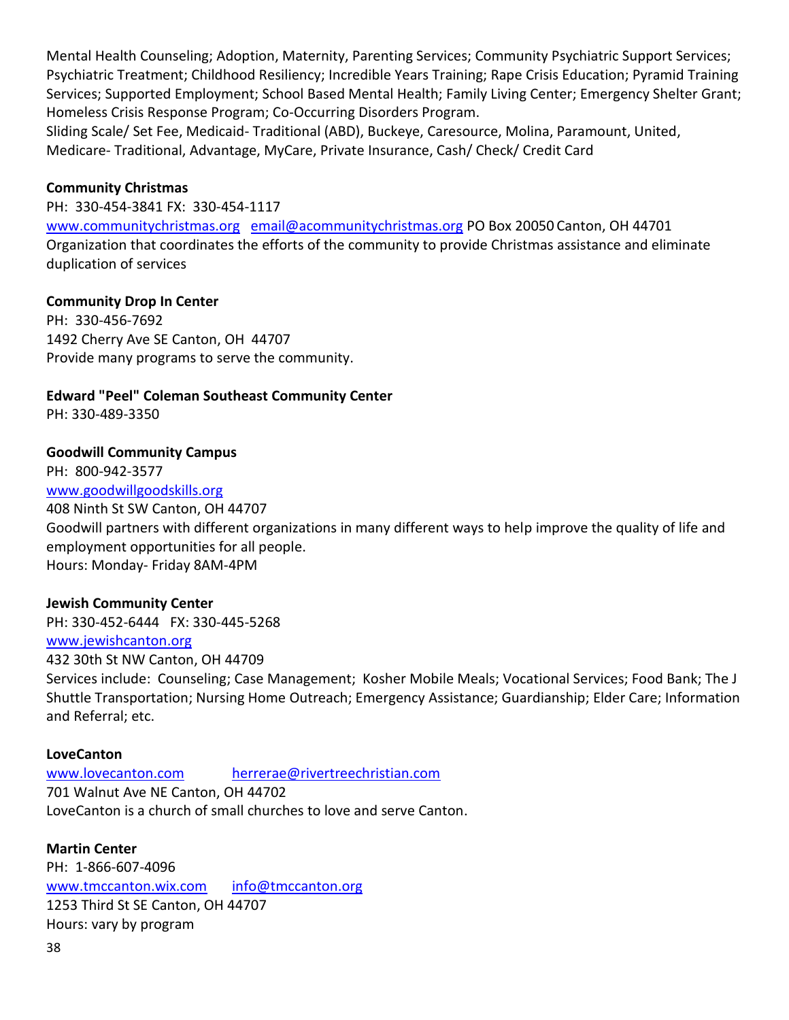Mental Health Counseling; Adoption, Maternity, Parenting Services; Community Psychiatric Support Services; Psychiatric Treatment; Childhood Resiliency; Incredible Years Training; Rape Crisis Education; Pyramid Training Services; Supported Employment; School Based Mental Health; Family Living Center; Emergency Shelter Grant; Homeless Crisis Response Program; Co-Occurring Disorders Program.

Sliding Scale/ Set Fee, Medicaid- Traditional (ABD), Buckeye, Caresource, Molina, Paramount, United, Medicare- Traditional, Advantage, MyCare, Private Insurance, Cash/ Check/ Credit Card

## **Community Christmas**

PH: 330-454-3841 FX: 330-454-1117

[www.communitychristmas.org](http://www.communitychristmas.org/) [email@acommunitychristmas.org](mailto:email@acommunitychristmas.org) PO Box 20050 Canton, OH 44701 Organization that coordinates the efforts of the community to provide Christmas assistance and eliminate duplication of services

### **Community Drop In Center**

PH: 330-456-7692 1492 Cherry Ave SE Canton, OH 44707 Provide many programs to serve the community.

## **Edward "Peel" Coleman Southeast Community Center**

PH: 330-489-3350

### **Goodwill Community Campus**

PH: 800-942-3577 [www.goodwillgoodskills.org](http://www.goodwillgoodskills.org/) 408 Ninth St SW Canton, OH 44707 Goodwill partners with different organizations in many different ways to help improve the quality of life and employment opportunities for all people. Hours: Monday- Friday 8AM-4PM

#### **Jewish Community Center**

PH: 330-452-6444 FX: 330-445-5268

#### [www.jewishcanton.org](http://www.jewishcanton.org/)

432 30th St NW Canton, OH 44709

Services include: Counseling; Case Management; Kosher Mobile Meals; Vocational Services; Food Bank; The J Shuttle Transportation; Nursing Home Outreach; Emergency Assistance; Guardianship; Elder Care; Information and Referral; etc.

#### **LoveCanton**

[www.lovecanton.com](http://www.lovecanton.com/) [herrerae@rivertreechristian.com](mailto:herrerae@rivertreechristian.com) 701 Walnut Ave NE Canton, OH 44702 LoveCanton is a church of small churches to love and serve Canton.

**Martin Center** PH: 1-866-607-4096 [www.tmccanton.wix.com](http://www.tmccanton.wix.com/) [info@tmccanton.org](mailto:info@tmccanton.org) 1253 Third St SE Canton, OH 44707 Hours: vary by program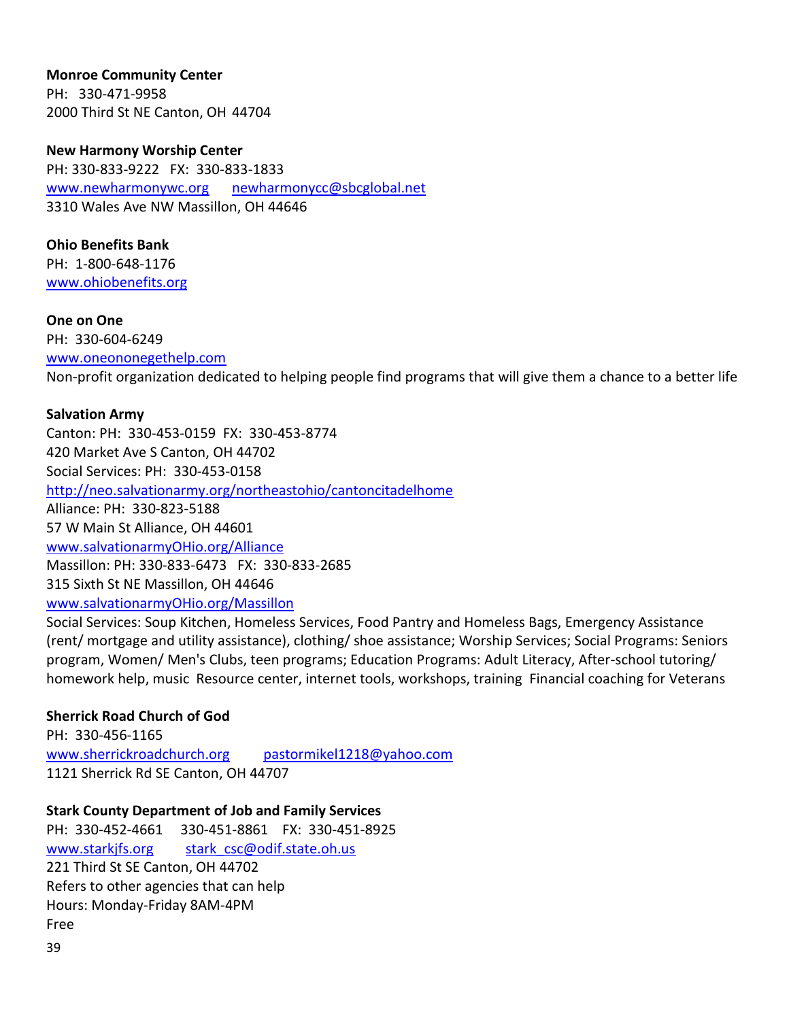**Monroe Community Center** PH: 330-471-9958 2000 Third St NE Canton, OH 44704

**New Harmony Worship Center** PH: 330-833-9222 FX: 330-833-1833 [www.newharmonywc.org](http://www.newharmonywc.org/) [newharmonycc@sbcglobal.net](mailto:newharmonycc@sbcglobal.net) 3310 Wales Ave NW Massillon, OH 44646

**Ohio Benefits Bank** PH: 1-800-648-1176 [www.ohiobenefits.org](http://www.ohiobenefits.org/)

**One on One** PH: 330-604-6249 [www.oneononegethelp.com](http://www.oneononegethelp.com/) Non-profit organization dedicated to helping people find programs that will give them a chance to a better life

#### **Salvation Army**

Canton: PH: 330-453-0159 FX: 330-453-8774 420 Market Ave S Canton, OH 44702 Social Services: PH: 330-453-0158 <http://neo.salvationarmy.org/northeastohio/cantoncitadelhome> Alliance: PH: 330-823-5188 57 W Main St Alliance, OH 44601 [www.salvationarmyOHio.org/Alliance](http://www.salvationarmyohio.org/Alliance) Massillon: PH: 330-833-6473 FX: 330-833-2685 315 Sixth St NE Massillon, OH 44646 [www.salvationarmyOHio.org/Massillon](http://www.salvationarmyohio.org/Massillon)

Social Services: Soup Kitchen, Homeless Services, Food Pantry and Homeless Bags, Emergency Assistance (rent/ mortgage and utility assistance), clothing/ shoe assistance; Worship Services; Social Programs: Seniors program, Women/ Men's Clubs, teen programs; Education Programs: Adult Literacy, After-school tutoring/ homework help, music Resource center, internet tools, workshops, training Financial coaching for Veterans

#### **Sherrick Road Church of God**

PH: 330-456-1165 [www.sherrickroadchurch.org](http://www.sherrickroadchurch.org/) [pastormikel1218@yahoo.com](mailto:pastormikel1218@yahoo.com) 1121 Sherrick Rd SE Canton, OH 44707

**Stark County Department of Job and Family Services**

PH: 330-452-4661 330-451-8861 FX: 330-451-8925 [www.starkjfs.org](http://www.starkjfs.org/) stark csc@odif.state.oh.us 221 Third St SE Canton, OH 44702 Refers to other agencies that can help Hours: Monday-Friday 8AM-4PM Free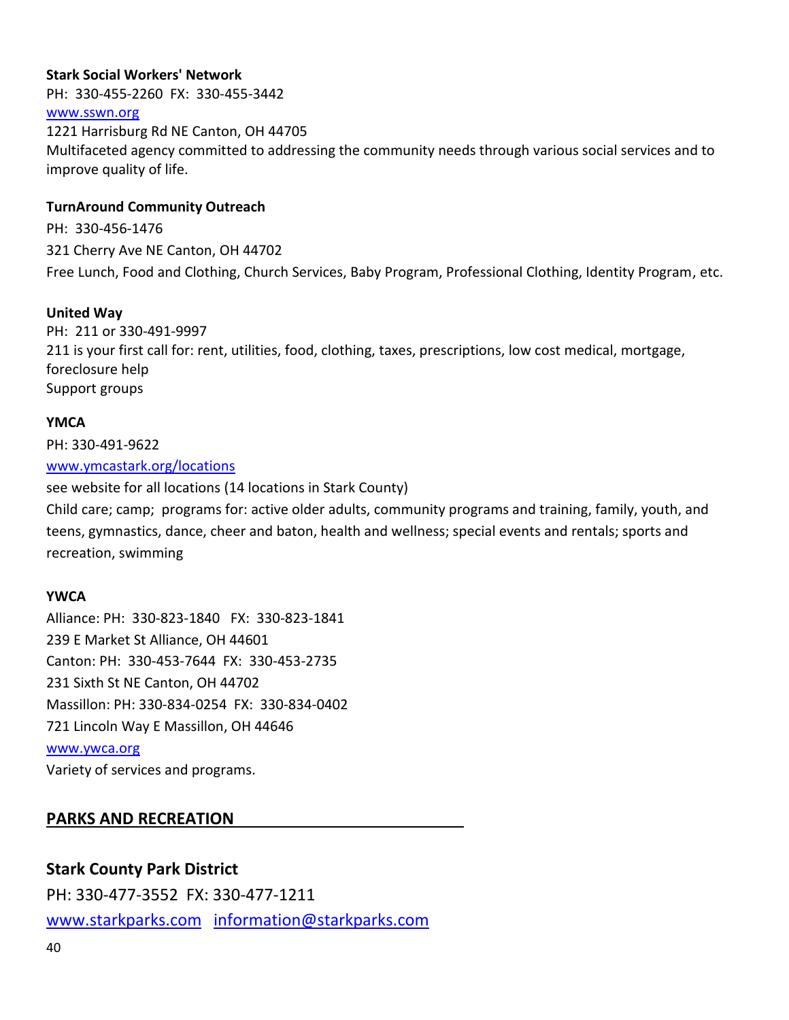#### **Stark Social Workers' Network**

PH: 330-455-2260 FX: 330-455-3442

#### [www.sswn.org](http://www.sswn.org/)

1221 Harrisburg Rd NE Canton, OH 44705 Multifaceted agency committed to addressing the community needs through various social services and to improve quality of life.

## **TurnAround Community Outreach**

PH: 330-456-1476 321 Cherry Ave NE Canton, OH 44702 Free Lunch, Food and Clothing, Church Services, Baby Program, Professional Clothing, Identity Program, etc.

## **United Way**

PH: 211 or 330-491-9997 211 is your first call for: rent, utilities, food, clothing, taxes, prescriptions, low cost medical, mortgage, foreclosure help Support groups

#### **YMCA**

PH: 330-491-9622

#### [www.ymcastark.org/locations](http://www.ymcastark.org/locations)

see website for all locations (14 locations in Stark County)

Child care; camp; programs for: active older adults, community programs and training, family, youth, and teens, gymnastics, dance, cheer and baton, health and wellness; special events and rentals; sports and recreation, swimming

#### **YWCA**

Alliance: PH: 330-823-1840 FX: 330-823-1841 239 E Market St Alliance, OH 44601 Canton: PH: 330-453-7644 FX: 330-453-2735 231 Sixth St NE Canton, OH 44702 Massillon: PH: 330-834-0254 FX: 330-834-0402 721 Lincoln Way E Massillon, OH 44646 [www.ywca.org](http://www.ywca.org/) Variety of services and programs.

# **PARKS AND RECREATION**

# **Stark County Park District**

PH: 330-477-3552 FX: 330-477-1211 [www.starkparks.com](http://www.starkparks.com/) [information@starkparks.com](mailto:information@starkparks.com)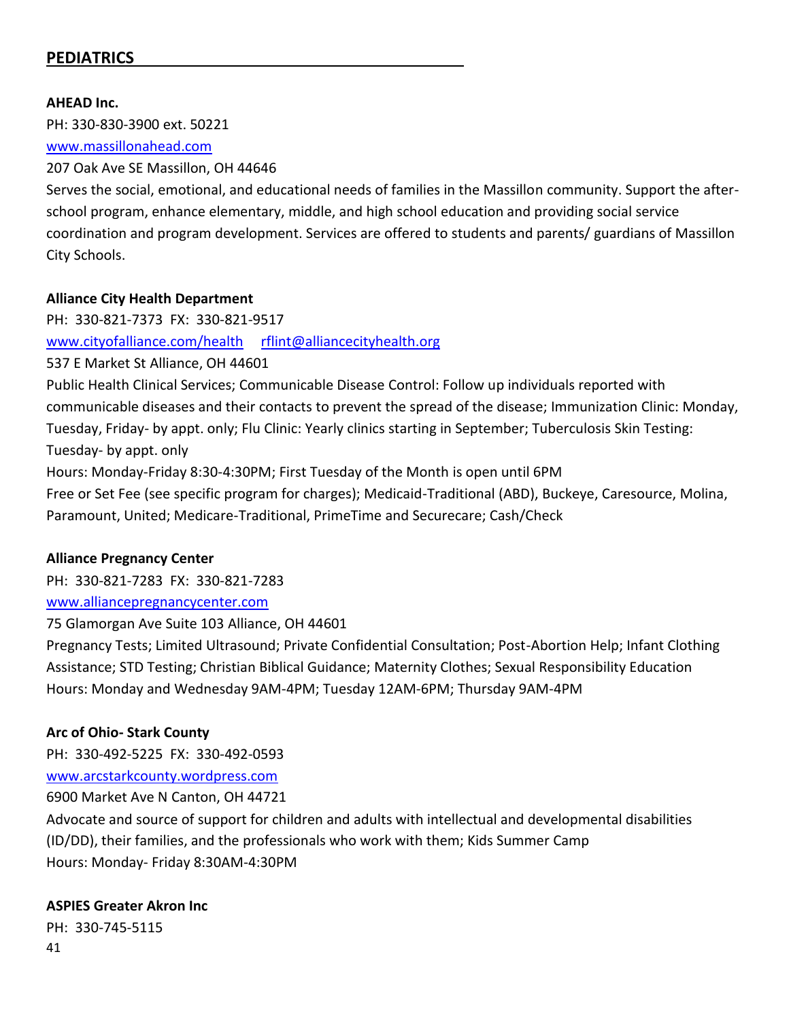# **PEDIATRICS**

#### **AHEAD Inc.**

PH: 330-830-3900 ext. 50221

#### [www.massillonahead.com](http://www.massillonahead.com/)

#### 207 Oak Ave SE Massillon, OH 44646

Serves the social, emotional, and educational needs of families in the Massillon community. Support the afterschool program, enhance elementary, middle, and high school education and providing social service coordination and program development. Services are offered to students and parents/ guardians of Massillon City Schools.

#### **Alliance City Health Department**

PH: 330-821-7373 FX: 330-821-9517 [www.cityofalliance.com/health](http://www.cityofalliance.com/health) [rflint@alliancecityhealth.org](mailto:rflint@alliancecityhealth.org)

537 E Market St Alliance, OH 44601 Public Health Clinical Services; Communicable Disease Control: Follow up individuals reported with communicable diseases and their contacts to prevent the spread of the disease; Immunization Clinic: Monday, Tuesday, Friday- by appt. only; Flu Clinic: Yearly clinics starting in September; Tuberculosis Skin Testing: Tuesday- by appt. only Hours: Monday-Friday 8:30-4:30PM; First Tuesday of the Month is open until 6PM

Free or Set Fee (see specific program for charges); Medicaid-Traditional (ABD), Buckeye, Caresource, Molina, Paramount, United; Medicare-Traditional, PrimeTime and Securecare; Cash/Check

#### **Alliance Pregnancy Center**

PH: 330-821-7283 FX: 330-821-7283

#### [www.alliancepregnancycenter.com](http://www.alliancepregnancycenter.com/)

75 Glamorgan Ave Suite 103 Alliance, OH 44601

Pregnancy Tests; Limited Ultrasound; Private Confidential Consultation; Post-Abortion Help; Infant Clothing Assistance; STD Testing; Christian Biblical Guidance; Maternity Clothes; Sexual Responsibility Education Hours: Monday and Wednesday 9AM-4PM; Tuesday 12AM-6PM; Thursday 9AM-4PM

#### **Arc of Ohio- Stark County**

PH: 330-492-5225 FX: 330-492-0593

[www.arcstarkcounty.wordpress.com](http://www.arcstarkcounty.wordpress.com/)

6900 Market Ave N Canton, OH 44721

Advocate and source of support for children and adults with intellectual and developmental disabilities (ID/DD), their families, and the professionals who work with them; Kids Summer Camp Hours: Monday- Friday 8:30AM-4:30PM

#### **ASPIES Greater Akron Inc**

41 PH: 330-745-5115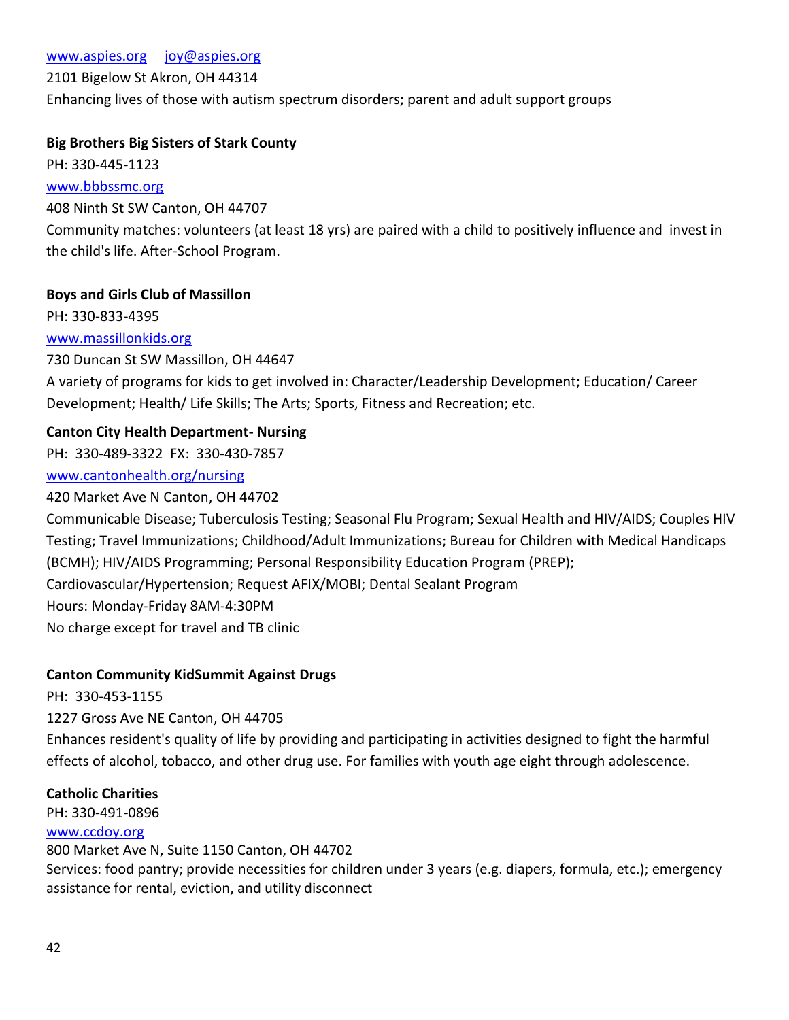#### 2101 Bigelow St Akron, OH 44314

Enhancing lives of those with autism spectrum disorders; parent and adult support groups

### **Big Brothers Big Sisters of Stark County**

PH: 330-445-1123

[www.bbbssmc.org](http://www.bbbssmc.org/)

408 Ninth St SW Canton, OH 44707

Community matches: volunteers (at least 18 yrs) are paired with a child to positively influence and invest in the child's life. After-School Program.

### **Boys and Girls Club of Massillon**

PH: 330-833-4395 [www.massillonkids.org](http://www.massillonkids.org/) 730 Duncan St SW Massillon, OH 44647 A variety of programs for kids to get involved in: Character/Leadership Development; Education/ Career

Development; Health/ Life Skills; The Arts; Sports, Fitness and Recreation; etc.

## **Canton City Health Department- Nursing**

PH: 330-489-3322 FX: 330-430-7857

#### [www.cantonhealth.org/nursing](http://www.cantonhealth.org/nursing)

420 Market Ave N Canton, OH 44702

Communicable Disease; Tuberculosis Testing; Seasonal Flu Program; Sexual Health and HIV/AIDS; Couples HIV Testing; Travel Immunizations; Childhood/Adult Immunizations; Bureau for Children with Medical Handicaps (BCMH); HIV/AIDS Programming; Personal Responsibility Education Program (PREP); Cardiovascular/Hypertension; Request AFIX/MOBI; Dental Sealant Program Hours: Monday-Friday 8AM-4:30PM No charge except for travel and TB clinic

## **Canton Community KidSummit Against Drugs**

PH: 330-453-1155 1227 Gross Ave NE Canton, OH 44705 Enhances resident's quality of life by providing and participating in activities designed to fight the harmful effects of alcohol, tobacco, and other drug use. For families with youth age eight through adolescence.

#### **Catholic Charities**

PH: 330-491-0896

#### [www.ccdoy.org](http://www.ccdoy.org/)

800 Market Ave N, Suite 1150 Canton, OH 44702 Services: food pantry; provide necessities for children under 3 years (e.g. diapers, formula, etc.); emergency assistance for rental, eviction, and utility disconnect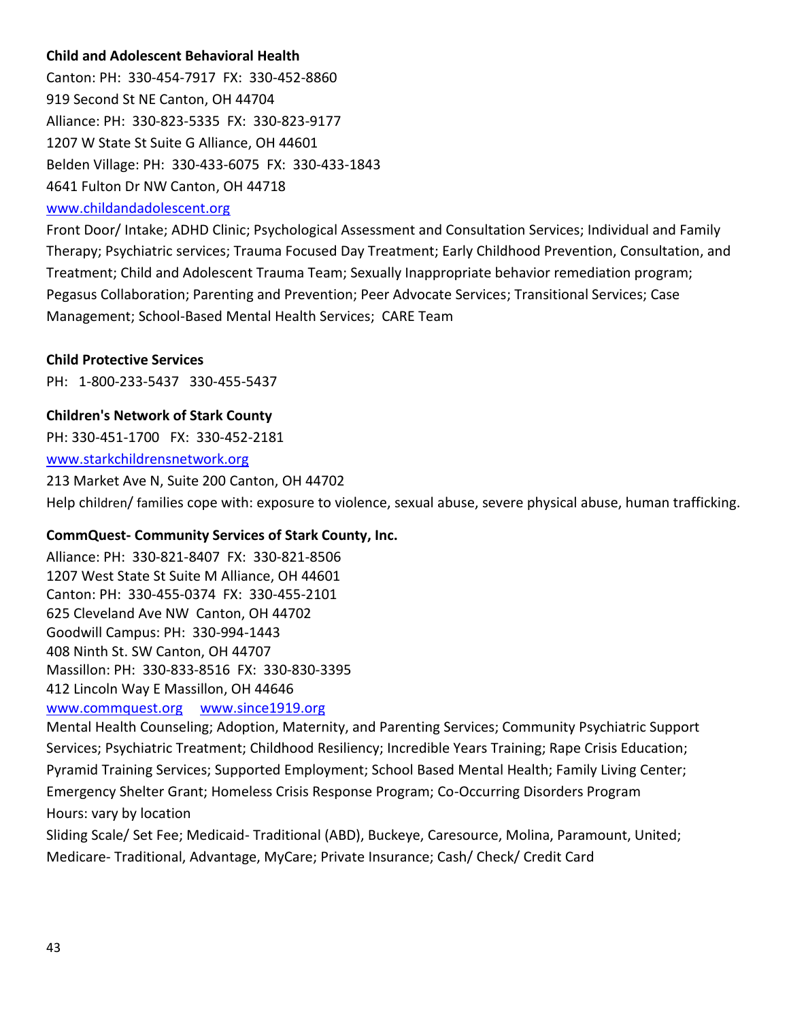## **Child and Adolescent Behavioral Health**

Canton: PH: 330-454-7917 FX: 330-452-8860 919 Second St NE Canton, OH 44704 Alliance: PH: 330-823-5335 FX: 330-823-9177 1207 W State St Suite G Alliance, OH 44601 Belden Village: PH: 330-433-6075 FX: 330-433-1843 4641 Fulton Dr NW Canton, OH 44718

#### [www.childandadolescent.org](http://www.childandadolescent.org/)

Front Door/ Intake; ADHD Clinic; Psychological Assessment and Consultation Services; Individual and Family Therapy; Psychiatric services; Trauma Focused Day Treatment; Early Childhood Prevention, Consultation, and Treatment; Child and Adolescent Trauma Team; Sexually Inappropriate behavior remediation program; Pegasus Collaboration; Parenting and Prevention; Peer Advocate Services; Transitional Services; Case Management; School-Based Mental Health Services; CARE Team

#### **Child Protective Services**

PH: 1-800-233-5437 330-455-5437

### **Children's Network of Stark County**

PH: 330-451-1700 FX: 330-452-2181

[www.starkchildrensnetwork.org](http://www.starkchildrensnetwork.org/) 213 Market Ave N, Suite 200 Canton, OH 44702

Help children/ families cope with: exposure to violence, sexual abuse, severe physical abuse, human trafficking.

#### **CommQuest- Community Services of Stark County, Inc.**

Alliance: PH: 330-821-8407 FX: 330-821-8506 1207 West State St Suite M Alliance, OH 44601 Canton: PH: 330-455-0374 FX: 330-455-2101 625 Cleveland Ave NW Canton, OH 44702 Goodwill Campus: PH: 330-994-1443 408 Ninth St. SW Canton, OH 44707 Massillon: PH: 330-833-8516 FX: 330-830-3395 412 Lincoln Way E Massillon, OH 44646

## [www.commquest.org](http://www.commquest.org/) [www.since1919.org](http://www.since1919.org/)

Mental Health Counseling; Adoption, Maternity, and Parenting Services; Community Psychiatric Support Services; Psychiatric Treatment; Childhood Resiliency; Incredible Years Training; Rape Crisis Education; Pyramid Training Services; Supported Employment; School Based Mental Health; Family Living Center; Emergency Shelter Grant; Homeless Crisis Response Program; Co-Occurring Disorders Program Hours: vary by location

Sliding Scale/ Set Fee; Medicaid- Traditional (ABD), Buckeye, Caresource, Molina, Paramount, United; Medicare- Traditional, Advantage, MyCare; Private Insurance; Cash/ Check/ Credit Card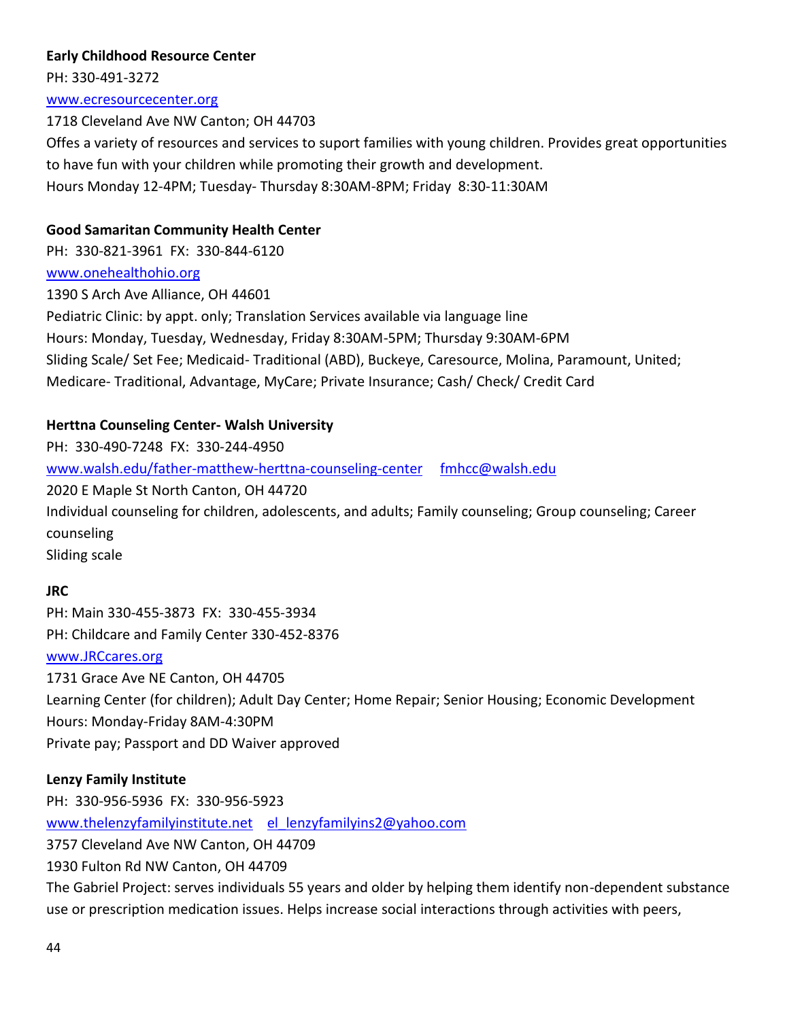## **Early Childhood Resource Center**

PH: 330-491-3272

[www.ecresourcecenter.org](http://www.ecresourcecenter.org/)

## 1718 Cleveland Ave NW Canton; OH 44703

Offes a variety of resources and services to suport families with young children. Provides great opportunities to have fun with your children while promoting their growth and development. Hours Monday 12-4PM; Tuesday- Thursday 8:30AM-8PM; Friday 8:30-11:30AM

## **Good Samaritan Community Health Center**

PH: 330-821-3961 FX: 330-844-6120

## [www.onehealthohio.org](http://www.onehealthohio.org/)

1390 S Arch Ave Alliance, OH 44601

Pediatric Clinic: by appt. only; Translation Services available via language line Hours: Monday, Tuesday, Wednesday, Friday 8:30AM-5PM; Thursday 9:30AM-6PM Sliding Scale/ Set Fee; Medicaid- Traditional (ABD), Buckeye, Caresource, Molina, Paramount, United; Medicare- Traditional, Advantage, MyCare; Private Insurance; Cash/ Check/ Credit Card

## **Herttna Counseling Center- Walsh University**

PH: 330-490-7248 FX: 330-244-4950 [www.walsh.edu/father-matthew-herttna-counseling-center](http://www.walsh.edu/father-matthew-herttna-counseling-center) [fmhcc@walsh.edu](mailto:fmhcc@walsh.edu) 2020 E Maple St North Canton, OH 44720 Individual counseling for children, adolescents, and adults; Family counseling; Group counseling; Career counseling Sliding scale

## **JRC**

PH: Main 330-455-3873 FX: 330-455-3934 PH: Childcare and Family Center 330-452-8376

## [www.JRCcares.org](http://www.jrccares.org/)

1731 Grace Ave NE Canton, OH 44705 Learning Center (for children); Adult Day Center; Home Repair; Senior Housing; Economic Development Hours: Monday-Friday 8AM-4:30PM Private pay; Passport and DD Waiver approved

## **Lenzy Family Institute**

PH: 330-956-5936 FX: 330-956-5923 [www.thelenzyfamilyinstitute.net](http://www.thelenzyfamilyinstitute.net/) el lenzyfamilyins2@yahoo.com 3757 Cleveland Ave NW Canton, OH 44709 1930 Fulton Rd NW Canton, OH 44709 The Gabriel Project: serves individuals 55 years and older by helping them identify non-dependent substance use or prescription medication issues. Helps increase social interactions through activities with peers,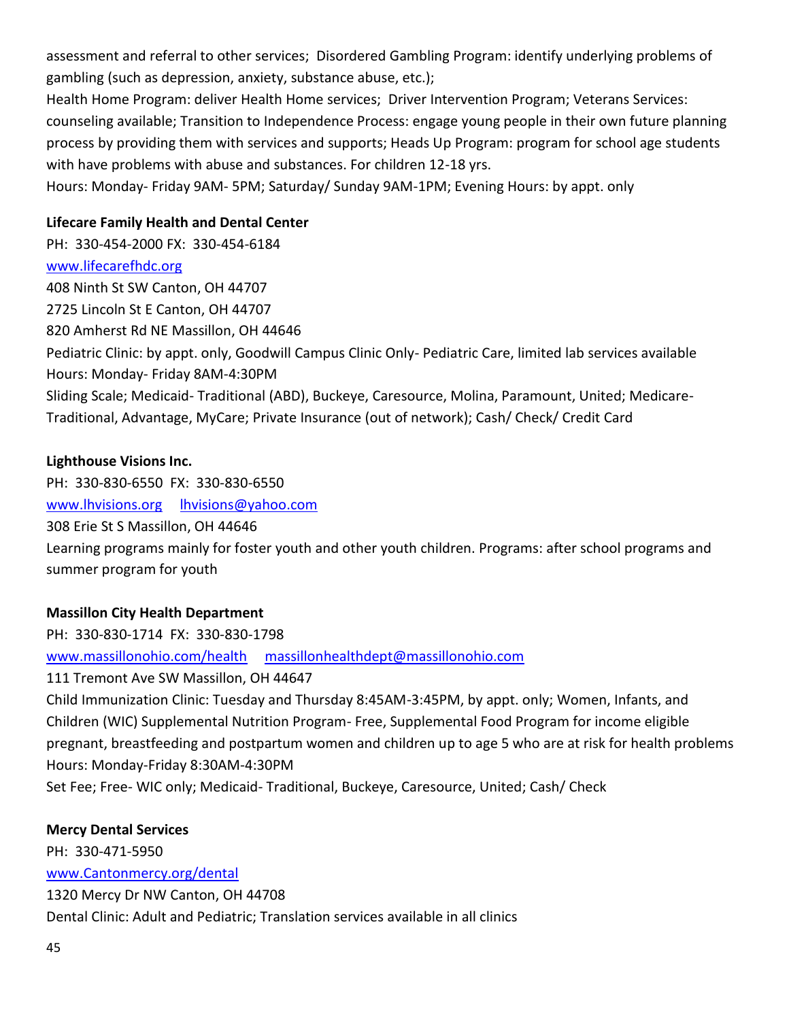assessment and referral to other services; Disordered Gambling Program: identify underlying problems of gambling (such as depression, anxiety, substance abuse, etc.);

Health Home Program: deliver Health Home services; Driver Intervention Program; Veterans Services: counseling available; Transition to Independence Process: engage young people in their own future planning process by providing them with services and supports; Heads Up Program: program for school age students with have problems with abuse and substances. For children 12-18 yrs.

Hours: Monday- Friday 9AM- 5PM; Saturday/ Sunday 9AM-1PM; Evening Hours: by appt. only

## **Lifecare Family Health and Dental Center**

PH: 330-454-2000 FX: 330-454-6184 [www.lifecarefhdc.org](http://www.lifecarefhdc.org/) 408 Ninth St SW Canton, OH 44707 2725 Lincoln St E Canton, OH 44707 820 Amherst Rd NE Massillon, OH 44646 Pediatric Clinic: by appt. only, Goodwill Campus Clinic Only- Pediatric Care, limited lab services available Hours: Monday- Friday 8AM-4:30PM Sliding Scale; Medicaid- Traditional (ABD), Buckeye, Caresource, Molina, Paramount, United; Medicare-Traditional, Advantage, MyCare; Private Insurance (out of network); Cash/ Check/ Credit Card

## **Lighthouse Visions Inc.**

PH: 330-830-6550 FX: 330-830-6550 [www.lhvisions.org](http://www.lhvisions.org/) [lhvisions@yahoo.com](mailto:lhvisions@yahoo.com) 308 Erie St S Massillon, OH 44646 Learning programs mainly for foster youth and other youth children. Programs: after school programs and summer program for youth

# **Massillon City Health Department**

PH: 330-830-1714 FX: 330-830-1798 [www.massillonohio.com/health](http://www.massillonohio.com/health) [massillonhealthdept@massillonohio.com](mailto:massillonhealthdept@massillonohio.com) 111 Tremont Ave SW Massillon, OH 44647

Child Immunization Clinic: Tuesday and Thursday 8:45AM-3:45PM, by appt. only; Women, Infants, and Children (WIC) Supplemental Nutrition Program- Free, Supplemental Food Program for income eligible pregnant, breastfeeding and postpartum women and children up to age 5 who are at risk for health problems Hours: Monday-Friday 8:30AM-4:30PM

Set Fee; Free- WIC only; Medicaid- Traditional, Buckeye, Caresource, United; Cash/ Check

## **Mercy Dental Services**

PH: 330-471-5950

[www.Cantonmercy.org/dental](http://www.cantonmercy.org/dental)

1320 Mercy Dr NW Canton, OH 44708

Dental Clinic: Adult and Pediatric; Translation services available in all clinics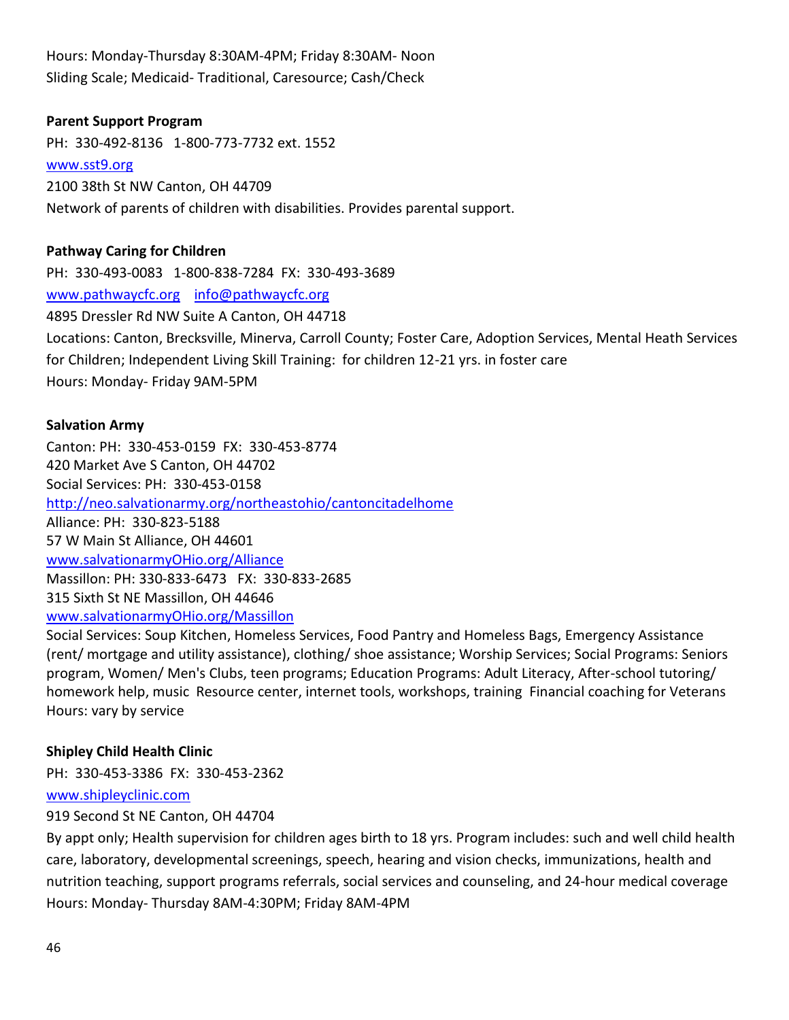Hours: Monday-Thursday 8:30AM-4PM; Friday 8:30AM- Noon Sliding Scale; Medicaid- Traditional, Caresource; Cash/Check

### **Parent Support Program**

PH: 330-492-8136 1-800-773-7732 ext. 1552 [www.sst9.org](http://www.sst9.org/) 2100 38th St NW Canton, OH 44709 Network of parents of children with disabilities. Provides parental support.

#### **Pathway Caring for Children**

PH: 330-493-0083 1-800-838-7284 FX: 330-493-3689 [www.pathwaycfc.org](http://www.pathwaycfc.org/) [info@pathwaycfc.org](mailto:info@pathwaycfc.org) 4895 Dressler Rd NW Suite A Canton, OH 44718 Locations: Canton, Brecksville, Minerva, Carroll County; Foster Care, Adoption Services, Mental Heath Services for Children; Independent Living Skill Training: for children 12-21 yrs. in foster care Hours: Monday- Friday 9AM-5PM

#### **Salvation Army**

Canton: PH: 330-453-0159 FX: 330-453-8774 420 Market Ave S Canton, OH 44702 Social Services: PH: 330-453-0158 <http://neo.salvationarmy.org/northeastohio/cantoncitadelhome> Alliance: PH: 330-823-5188 57 W Main St Alliance, OH 44601 [www.salvationarmyOHio.org/Alliance](http://www.salvationarmyohio.org/Alliance) Massillon: PH: 330-833-6473 FX: 330-833-2685 315 Sixth St NE Massillon, OH 44646 [www.salvationarmyOHio.org/Massillon](http://www.salvationarmyohio.org/Massillon)

Social Services: Soup Kitchen, Homeless Services, Food Pantry and Homeless Bags, Emergency Assistance (rent/ mortgage and utility assistance), clothing/ shoe assistance; Worship Services; Social Programs: Seniors program, Women/ Men's Clubs, teen programs; Education Programs: Adult Literacy, After-school tutoring/ homework help, music Resource center, internet tools, workshops, training Financial coaching for Veterans Hours: vary by service

## **Shipley Child Health Clinic**

PH: 330-453-3386 FX: 330-453-2362

[www.shipleyclinic.com](http://www.shipleyclinic.com/)

919 Second St NE Canton, OH 44704

By appt only; Health supervision for children ages birth to 18 yrs. Program includes: such and well child health care, laboratory, developmental screenings, speech, hearing and vision checks, immunizations, health and nutrition teaching, support programs referrals, social services and counseling, and 24-hour medical coverage Hours: Monday- Thursday 8AM-4:30PM; Friday 8AM-4PM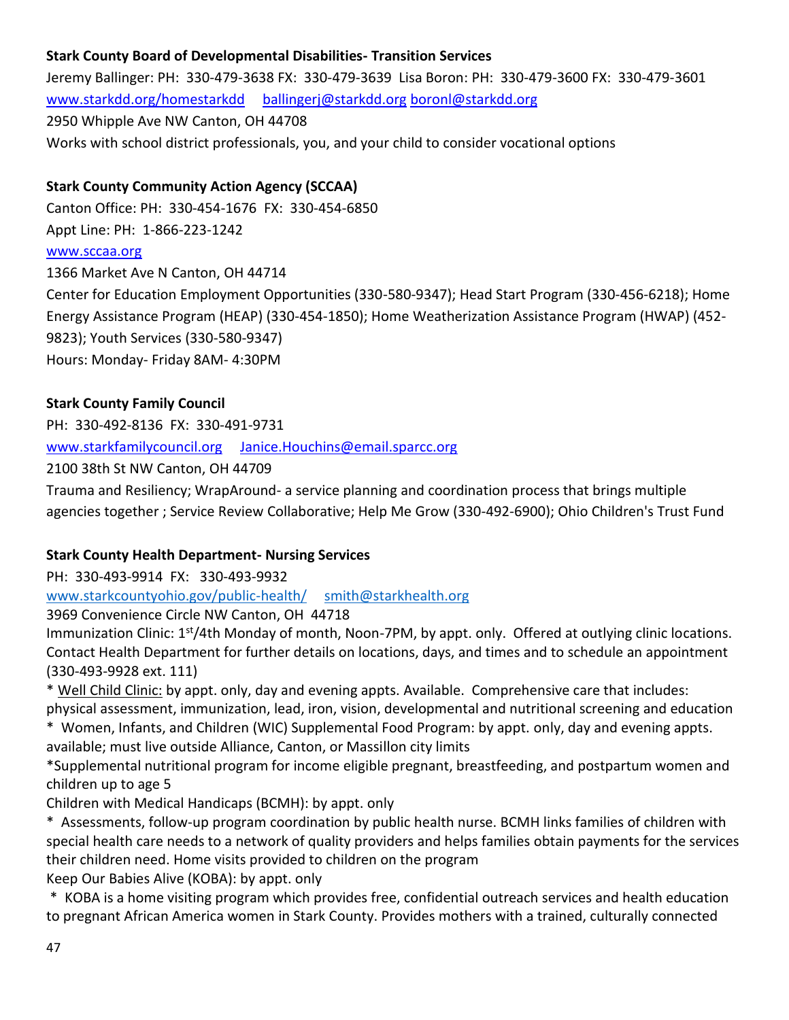# **Stark County Board of Developmental Disabilities- Transition Services**

Jeremy Ballinger: PH: 330-479-3638 FX: 330-479-3639 Lisa Boron: PH: 330-479-3600 FX: 330-479-3601 [www.starkdd.org/homestarkdd](http://www.starkdd.org/homestarkdd) [ballingerj@starkdd.org](mailto:ballingerj@starkdd.org) [boronl@starkdd.org](mailto:boronl@starkdd.org) 2950 Whipple Ave NW Canton, OH 44708 Works with school district professionals, you, and your child to consider vocational options

## **Stark County Community Action Agency (SCCAA)**

Canton Office: PH: 330-454-1676 FX: 330-454-6850 Appt Line: PH: 1-866-223-1242

#### [www.sccaa.org](http://www.sccaa.org/)

1366 Market Ave N Canton, OH 44714 Center for Education Employment Opportunities (330-580-9347); Head Start Program (330-456-6218); Home Energy Assistance Program (HEAP) (330-454-1850); Home Weatherization Assistance Program (HWAP) (452- 9823); Youth Services (330-580-9347) Hours: Monday- Friday 8AM- 4:30PM

### **Stark County Family Council**

PH: 330-492-8136 FX: 330-491-9731

[www.starkfamilycouncil.org](http://www.starkfamilycouncil.org/) [Janice.Houchins@email.sparcc.org](mailto:Janice.Houchins@email.sparcc.org)

2100 38th St NW Canton, OH 44709

Trauma and Resiliency; WrapAround- a service planning and coordination process that brings multiple agencies together ; Service Review Collaborative; Help Me Grow (330-492-6900); Ohio Children's Trust Fund

## **Stark County Health Department- Nursing Services**

PH: 330-493-9914 FX: 330-493-9932

[www.starkcountyohio.gov/public-health/](http://www.starkcountyohio.gov/public-health/) [smith@starkhealth.org](mailto:smith@starkhealth.org)

3969 Convenience Circle NW Canton, OH 44718

Immunization Clinic:  $1<sup>st</sup>/4th$  Monday of month, Noon-7PM, by appt. only. Offered at outlying clinic locations. Contact Health Department for further details on locations, days, and times and to schedule an appointment (330-493-9928 ext. 111)

\* Well Child Clinic: by appt. only, day and evening appts. Available. Comprehensive care that includes: physical assessment, immunization, lead, iron, vision, developmental and nutritional screening and education

\* Women, Infants, and Children (WIC) Supplemental Food Program: by appt. only, day and evening appts. available; must live outside Alliance, Canton, or Massillon city limits

\*Supplemental nutritional program for income eligible pregnant, breastfeeding, and postpartum women and children up to age 5

Children with Medical Handicaps (BCMH): by appt. only

\* Assessments, follow-up program coordination by public health nurse. BCMH links families of children with special health care needs to a network of quality providers and helps families obtain payments for the services their children need. Home visits provided to children on the program

Keep Our Babies Alive (KOBA): by appt. only

\* KOBA is a home visiting program which provides free, confidential outreach services and health education to pregnant African America women in Stark County. Provides mothers with a trained, culturally connected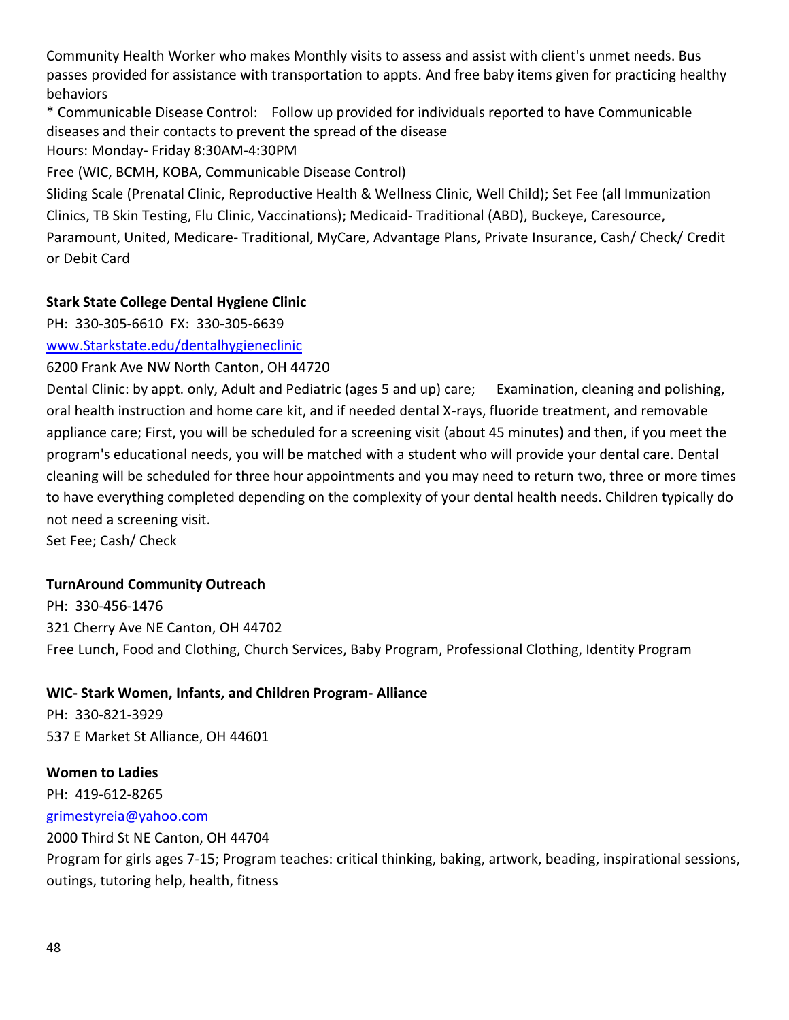Community Health Worker who makes Monthly visits to assess and assist with client's unmet needs. Bus passes provided for assistance with transportation to appts. And free baby items given for practicing healthy behaviors

\* Communicable Disease Control: Follow up provided for individuals reported to have Communicable diseases and their contacts to prevent the spread of the disease

Hours: Monday- Friday 8:30AM-4:30PM

Free (WIC, BCMH, KOBA, Communicable Disease Control)

Sliding Scale (Prenatal Clinic, Reproductive Health & Wellness Clinic, Well Child); Set Fee (all Immunization Clinics, TB Skin Testing, Flu Clinic, Vaccinations); Medicaid- Traditional (ABD), Buckeye, Caresource, Paramount, United, Medicare- Traditional, MyCare, Advantage Plans, Private Insurance, Cash/ Check/ Credit or Debit Card

## **Stark State College Dental Hygiene Clinic**

PH: 330-305-6610 FX: 330-305-6639

[www.Starkstate.edu/dentalhygieneclinic](http://www.starkstate.edu/dentalhygieneclinic)

6200 Frank Ave NW North Canton, OH 44720

Dental Clinic: by appt. only, Adult and Pediatric (ages 5 and up) care; Examination, cleaning and polishing, oral health instruction and home care kit, and if needed dental X-rays, fluoride treatment, and removable appliance care; First, you will be scheduled for a screening visit (about 45 minutes) and then, if you meet the program's educational needs, you will be matched with a student who will provide your dental care. Dental cleaning will be scheduled for three hour appointments and you may need to return two, three or more times to have everything completed depending on the complexity of your dental health needs. Children typically do not need a screening visit.

Set Fee; Cash/ Check

## **TurnAround Community Outreach**

PH: 330-456-1476 321 Cherry Ave NE Canton, OH 44702 Free Lunch, Food and Clothing, Church Services, Baby Program, Professional Clothing, Identity Program

## **WIC- Stark Women, Infants, and Children Program- Alliance**

PH: 330-821-3929 537 E Market St Alliance, OH 44601

# **Women to Ladies**

PH: 419-612-8265

## [grimestyreia@yahoo.com](mailto:grimestyreia@yahoo.com)

2000 Third St NE Canton, OH 44704

Program for girls ages 7-15; Program teaches: critical thinking, baking, artwork, beading, inspirational sessions, outings, tutoring help, health, fitness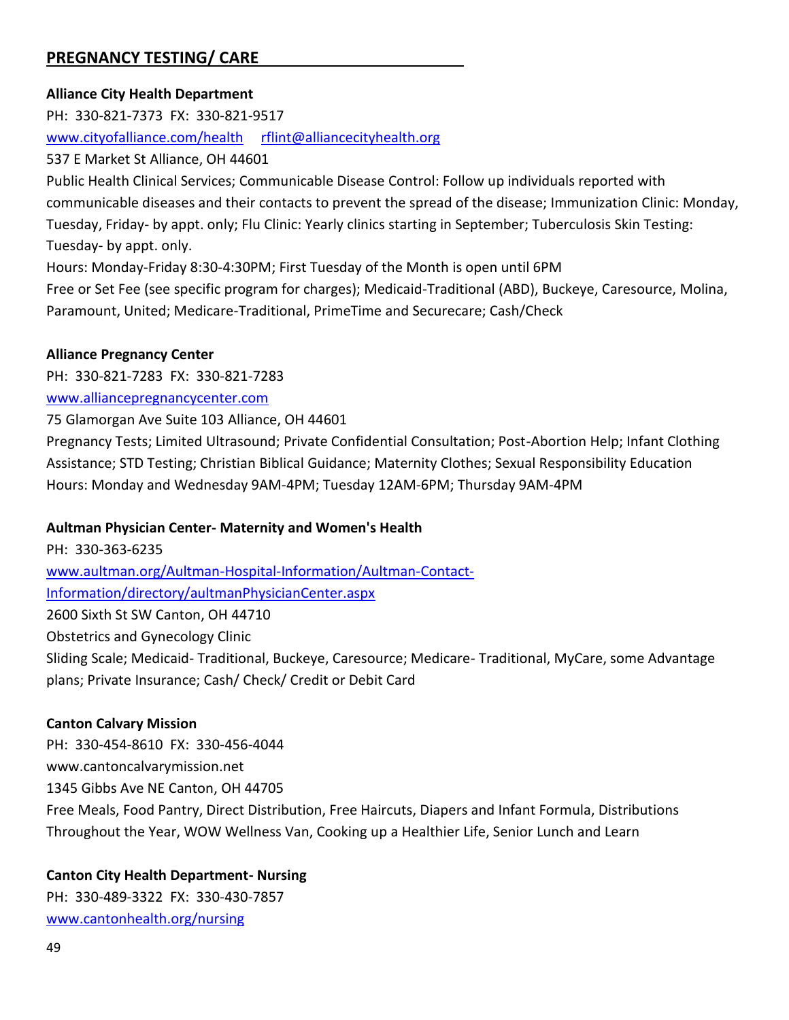# **PREGNANCY TESTING/ CARE**

## **Alliance City Health Department**

PH: 330-821-7373 FX: 330-821-9517 [www.cityofalliance.com/health](http://www.cityofalliance.com/health) [rflint@alliancecityhealth.org](mailto:rflint@alliancecityhealth.org)

537 E Market St Alliance, OH 44601

Public Health Clinical Services; Communicable Disease Control: Follow up individuals reported with communicable diseases and their contacts to prevent the spread of the disease; Immunization Clinic: Monday, Tuesday, Friday- by appt. only; Flu Clinic: Yearly clinics starting in September; Tuberculosis Skin Testing: Tuesday- by appt. only.

Hours: Monday-Friday 8:30-4:30PM; First Tuesday of the Month is open until 6PM

Free or Set Fee (see specific program for charges); Medicaid-Traditional (ABD), Buckeye, Caresource, Molina, Paramount, United; Medicare-Traditional, PrimeTime and Securecare; Cash/Check

#### **Alliance Pregnancy Center**

PH: 330-821-7283 FX: 330-821-7283 [www.alliancepregnancycenter.com](http://www.alliancepregnancycenter.com/)

75 Glamorgan Ave Suite 103 Alliance, OH 44601

Pregnancy Tests; Limited Ultrasound; Private Confidential Consultation; Post-Abortion Help; Infant Clothing Assistance; STD Testing; Christian Biblical Guidance; Maternity Clothes; Sexual Responsibility Education Hours: Monday and Wednesday 9AM-4PM; Tuesday 12AM-6PM; Thursday 9AM-4PM

## **Aultman Physician Center- Maternity and Women's Health**

plans; Private Insurance; Cash/ Check/ Credit or Debit Card

PH: 330-363-6235 [www.aultman.org/Aultman-Hospital-Information/Aultman-Contact-](http://www.aultman.org/Aultman-Hospital-Information/Aultman-Contact-Information/directory/aultmanPhysicianCenter.aspx)[Information/directory/aultmanPhysicianCenter.aspx](http://www.aultman.org/Aultman-Hospital-Information/Aultman-Contact-Information/directory/aultmanPhysicianCenter.aspx) 2600 Sixth St SW Canton, OH 44710 Obstetrics and Gynecology Clinic Sliding Scale; Medicaid- Traditional, Buckeye, Caresource; Medicare- Traditional, MyCare, some Advantage

#### **Canton Calvary Mission**

PH: 330-454-8610 FX: 330-456-4044 www.cantoncalvarymission.net 1345 Gibbs Ave NE Canton, OH 44705 Free Meals, Food Pantry, Direct Distribution, Free Haircuts, Diapers and Infant Formula, Distributions Throughout the Year, WOW Wellness Van, Cooking up a Healthier Life, Senior Lunch and Learn

## **Canton City Health Department- Nursing**

PH: 330-489-3322 FX: 330-430-7857 [www.cantonhealth.org/nursing](http://www.cantonhealth.org/nursing)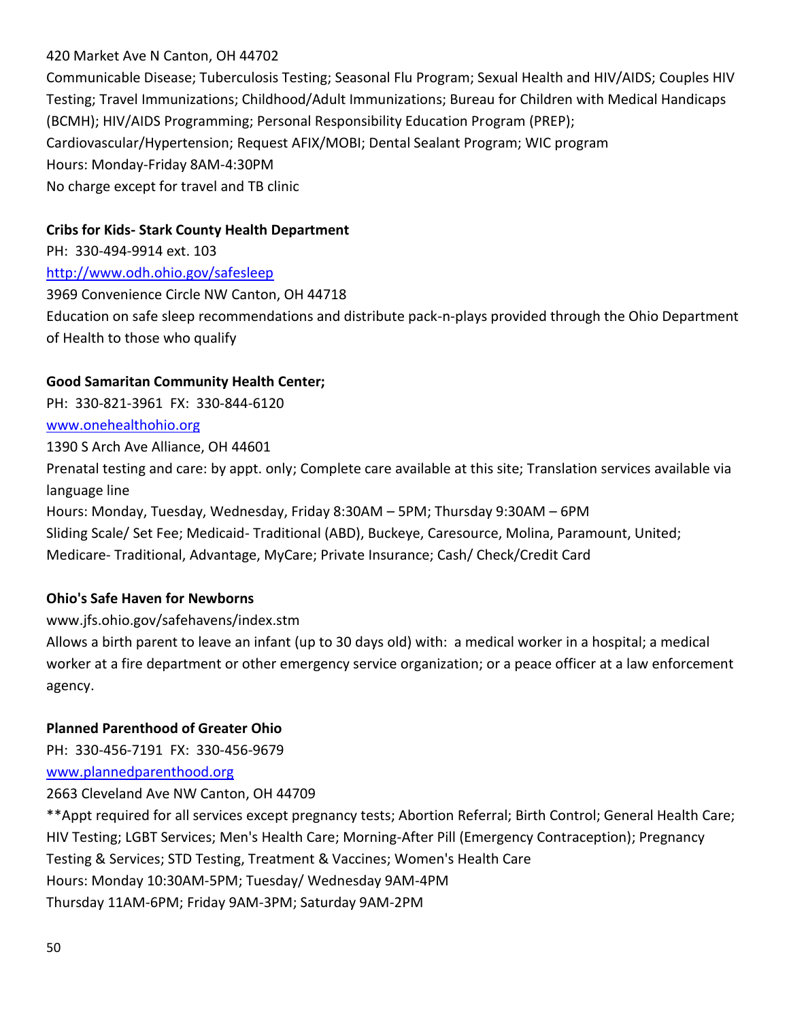## 420 Market Ave N Canton, OH 44702

Communicable Disease; Tuberculosis Testing; Seasonal Flu Program; Sexual Health and HIV/AIDS; Couples HIV Testing; Travel Immunizations; Childhood/Adult Immunizations; Bureau for Children with Medical Handicaps (BCMH); HIV/AIDS Programming; Personal Responsibility Education Program (PREP); Cardiovascular/Hypertension; Request AFIX/MOBI; Dental Sealant Program; WIC program Hours: Monday-Friday 8AM-4:30PM No charge except for travel and TB clinic

## **Cribs for Kids- Stark County Health Department**

PH: 330-494-9914 ext. 103 <http://www.odh.ohio.gov/safesleep> 3969 Convenience Circle NW Canton, OH 44718 Education on safe sleep recommendations and distribute pack-n-plays provided through the Ohio Department of Health to those who qualify

### **Good Samaritan Community Health Center;**

PH: 330-821-3961 FX: 330-844-6120

[www.onehealthohio.org](http://www.onehealthohio.org/)

1390 S Arch Ave Alliance, OH 44601

Prenatal testing and care: by appt. only; Complete care available at this site; Translation services available via language line

Hours: Monday, Tuesday, Wednesday, Friday 8:30AM – 5PM; Thursday 9:30AM – 6PM Sliding Scale/ Set Fee; Medicaid- Traditional (ABD), Buckeye, Caresource, Molina, Paramount, United; Medicare- Traditional, Advantage, MyCare; Private Insurance; Cash/ Check/Credit Card

## **Ohio's Safe Haven for Newborns**

www.jfs.ohio.gov/safehavens/index.stm

Allows a birth parent to leave an infant (up to 30 days old) with: a medical worker in a hospital; a medical worker at a fire department or other emergency service organization; or a peace officer at a law enforcement agency.

# **Planned Parenthood of Greater Ohio**

PH: 330-456-7191 FX: 330-456-9679

[www.plannedparenthood.org](http://www.plannedparenthood.org/)

2663 Cleveland Ave NW Canton, OH 44709

\*\*Appt required for all services except pregnancy tests; Abortion Referral; Birth Control; General Health Care; HIV Testing; LGBT Services; Men's Health Care; Morning-After Pill (Emergency Contraception); Pregnancy Testing & Services; STD Testing, Treatment & Vaccines; Women's Health Care Hours: Monday 10:30AM-5PM; Tuesday/ Wednesday 9AM-4PM Thursday 11AM-6PM; Friday 9AM-3PM; Saturday 9AM-2PM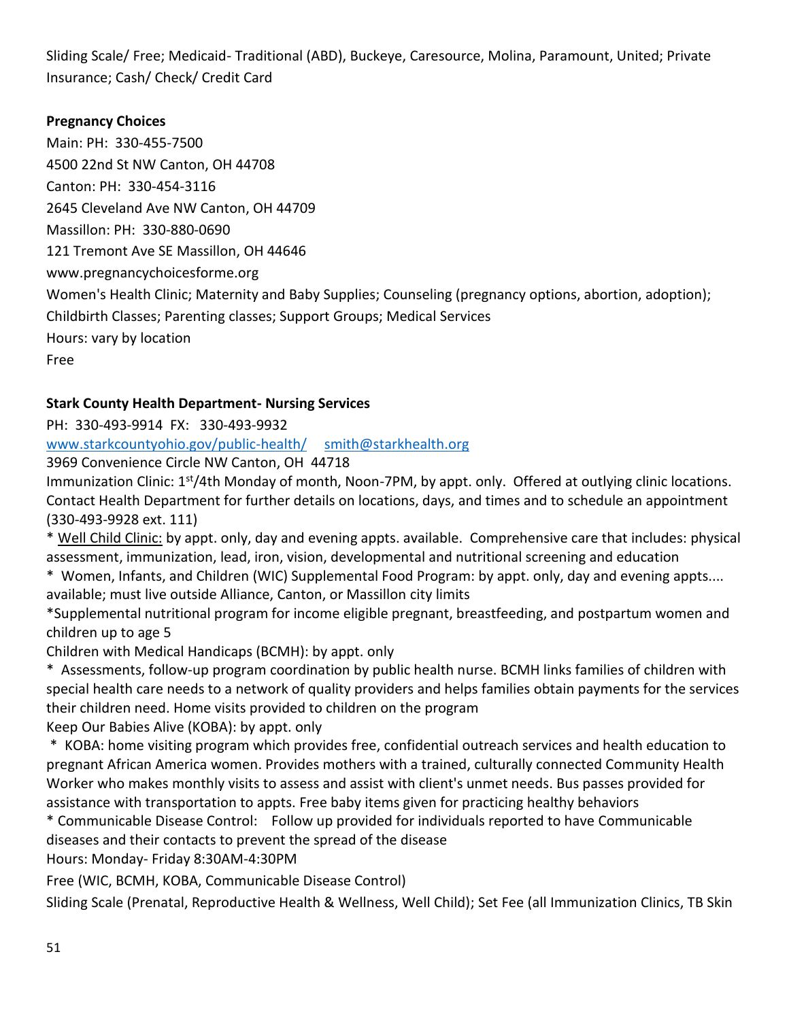Sliding Scale/ Free; Medicaid- Traditional (ABD), Buckeye, Caresource, Molina, Paramount, United; Private Insurance; Cash/ Check/ Credit Card

# **Pregnancy Choices**

Main: PH: 330-455-7500 4500 22nd St NW Canton, OH 44708 Canton: PH: 330-454-3116 2645 Cleveland Ave NW Canton, OH 44709 Massillon: PH: 330-880-0690 121 Tremont Ave SE Massillon, OH 44646 www.pregnancychoicesforme.org Women's Health Clinic; Maternity and Baby Supplies; Counseling (pregnancy options, abortion, adoption); Childbirth Classes; Parenting classes; Support Groups; Medical Services Hours: vary by location Free

# **Stark County Health Department- Nursing Services**

PH: 330-493-9914 FX: 330-493-9932

[www.starkcountyohio.gov/public-health/](http://www.starkcountyohio.gov/public-health/) [smith@starkhealth.org](mailto:smith@starkhealth.org)

3969 Convenience Circle NW Canton, OH 44718

Immunization Clinic: 1<sup>st</sup>/4th Monday of month, Noon-7PM, by appt. only. Offered at outlying clinic locations. Contact Health Department for further details on locations, days, and times and to schedule an appointment (330-493-9928 ext. 111)

\* Well Child Clinic: by appt. only, day and evening appts. available. Comprehensive care that includes: physical assessment, immunization, lead, iron, vision, developmental and nutritional screening and education

\* Women, Infants, and Children (WIC) Supplemental Food Program: by appt. only, day and evening appts.... available; must live outside Alliance, Canton, or Massillon city limits

\*Supplemental nutritional program for income eligible pregnant, breastfeeding, and postpartum women and children up to age 5

Children with Medical Handicaps (BCMH): by appt. only

\* Assessments, follow-up program coordination by public health nurse. BCMH links families of children with special health care needs to a network of quality providers and helps families obtain payments for the services their children need. Home visits provided to children on the program

Keep Our Babies Alive (KOBA): by appt. only

\* KOBA: home visiting program which provides free, confidential outreach services and health education to pregnant African America women. Provides mothers with a trained, culturally connected Community Health Worker who makes monthly visits to assess and assist with client's unmet needs. Bus passes provided for assistance with transportation to appts. Free baby items given for practicing healthy behaviors

\* Communicable Disease Control: Follow up provided for individuals reported to have Communicable diseases and their contacts to prevent the spread of the disease

Hours: Monday- Friday 8:30AM-4:30PM

Free (WIC, BCMH, KOBA, Communicable Disease Control)

Sliding Scale (Prenatal, Reproductive Health & Wellness, Well Child); Set Fee (all Immunization Clinics, TB Skin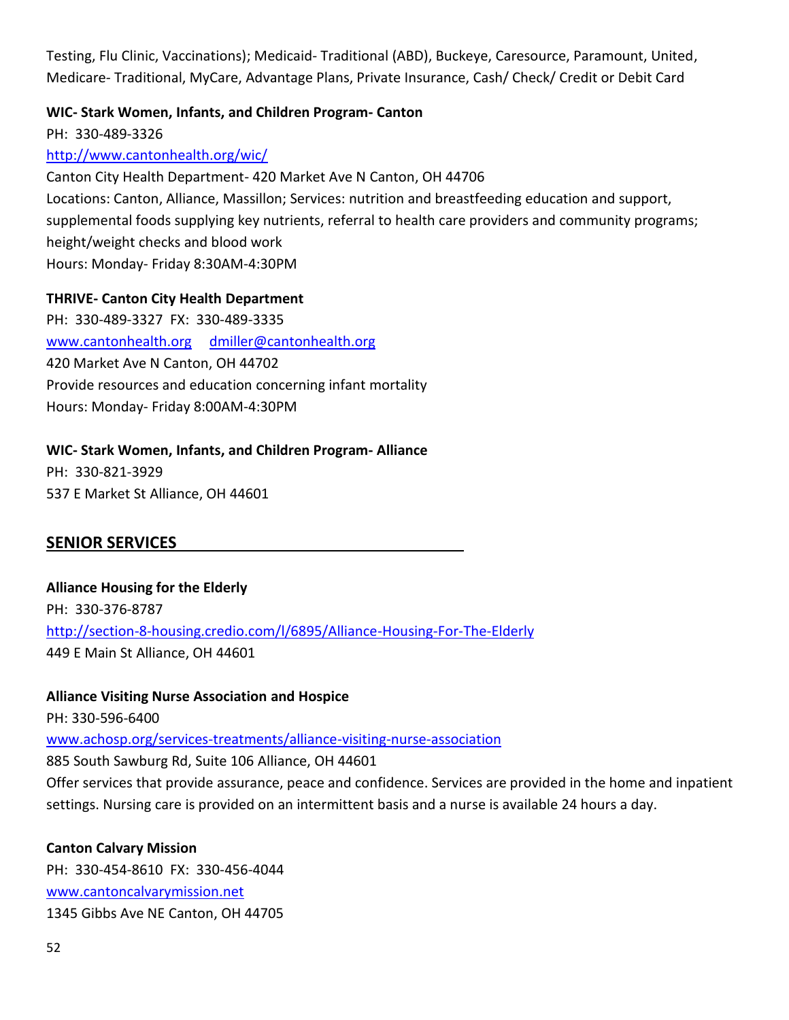Testing, Flu Clinic, Vaccinations); Medicaid- Traditional (ABD), Buckeye, Caresource, Paramount, United, Medicare- Traditional, MyCare, Advantage Plans, Private Insurance, Cash/ Check/ Credit or Debit Card

### **WIC- Stark Women, Infants, and Children Program- Canton**

PH: 330-489-3326

<http://www.cantonhealth.org/wic/>

Canton City Health Department- 420 Market Ave N Canton, OH 44706 Locations: Canton, Alliance, Massillon; Services: nutrition and breastfeeding education and support, supplemental foods supplying key nutrients, referral to health care providers and community programs; height/weight checks and blood work Hours: Monday- Friday 8:30AM-4:30PM

### **THRIVE- Canton City Health Department**

PH: 330-489-3327 FX: 330-489-3335 [www.cantonhealth.org](http://www.cantonhealth.org/) [dmiller@cantonhealth.org](mailto:dmiller@cantonhealth.org) 420 Market Ave N Canton, OH 44702 Provide resources and education concerning infant mortality Hours: Monday- Friday 8:00AM-4:30PM

### **WIC- Stark Women, Infants, and Children Program- Alliance**

PH: 330-821-3929 537 E Market St Alliance, OH 44601

## **SENIOR SERVICES**

**Alliance Housing for the Elderly** PH: 330-376-8787 <http://section-8-housing.credio.com/l/6895/Alliance-Housing-For-The-Elderly> 449 E Main St Alliance, OH 44601

#### **Alliance Visiting Nurse Association and Hospice**

PH: 330-596-6400

[www.achosp.org/services-treatments/alliance-visiting-nurse-association](http://www.achosp.org/services-treatments/alliance-visiting-nurse-association)

885 South Sawburg Rd, Suite 106 Alliance, OH 44601

Offer services that provide assurance, peace and confidence. Services are provided in the home and inpatient settings. Nursing care is provided on an intermittent basis and a nurse is available 24 hours a day.

#### **Canton Calvary Mission**

PH: 330-454-8610 FX: 330-456-4044 [www.cantoncalvarymission.net](http://www.cantoncalvarymission.net/) 1345 Gibbs Ave NE Canton, OH 44705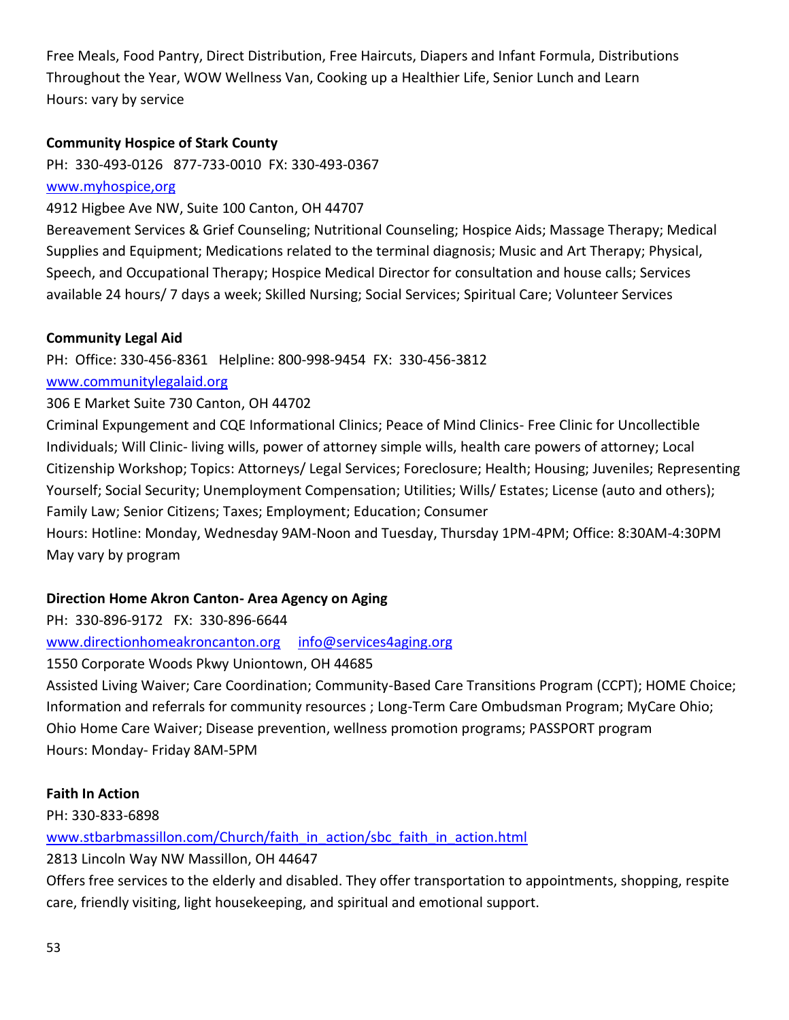Free Meals, Food Pantry, Direct Distribution, Free Haircuts, Diapers and Infant Formula, Distributions Throughout the Year, WOW Wellness Van, Cooking up a Healthier Life, Senior Lunch and Learn Hours: vary by service

## **Community Hospice of Stark County**

PH: 330-493-0126 877-733-0010 FX: 330-493-0367

## [www.myhospice,org](http://www.myhospice,org/)

4912 Higbee Ave NW, Suite 100 Canton, OH 44707

Bereavement Services & Grief Counseling; Nutritional Counseling; Hospice Aids; Massage Therapy; Medical Supplies and Equipment; Medications related to the terminal diagnosis; Music and Art Therapy; Physical, Speech, and Occupational Therapy; Hospice Medical Director for consultation and house calls; Services available 24 hours/ 7 days a week; Skilled Nursing; Social Services; Spiritual Care; Volunteer Services

## **Community Legal Aid**

PH: Office: 330-456-8361 Helpline: 800-998-9454 FX: 330-456-3812

## [www.communitylegalaid.org](http://www.communitylegalaid.org/)

## 306 E Market Suite 730 Canton, OH 44702

Criminal Expungement and CQE Informational Clinics; Peace of Mind Clinics- Free Clinic for Uncollectible Individuals; Will Clinic- living wills, power of attorney simple wills, health care powers of attorney; Local Citizenship Workshop; Topics: Attorneys/ Legal Services; Foreclosure; Health; Housing; Juveniles; Representing Yourself; Social Security; Unemployment Compensation; Utilities; Wills/ Estates; License (auto and others); Family Law; Senior Citizens; Taxes; Employment; Education; Consumer

Hours: Hotline: Monday, Wednesday 9AM-Noon and Tuesday, Thursday 1PM-4PM; Office: 8:30AM-4:30PM May vary by program

# **Direction Home Akron Canton- Area Agency on Aging**

PH: 330-896-9172 FX: 330-896-6644

[www.directionhomeakroncanton.org](http://www.directionhomeakroncanton.org/) [info@services4aging.org](mailto:info@services4aging.org)

# 1550 Corporate Woods Pkwy Uniontown, OH 44685

Assisted Living Waiver; Care Coordination; Community-Based Care Transitions Program (CCPT); HOME Choice; Information and referrals for community resources ; Long-Term Care Ombudsman Program; MyCare Ohio; Ohio Home Care Waiver; Disease prevention, wellness promotion programs; PASSPORT program Hours: Monday- Friday 8AM-5PM

## **Faith In Action**

PH: 330-833-6898

[www.stbarbmassillon.com/Church/faith\\_in\\_action/sbc\\_faith\\_in\\_action.html](http://www.stbarbmassillon.com/Church/faith_in_action/sbc_faith_in_action.html)

2813 Lincoln Way NW Massillon, OH 44647

Offers free services to the elderly and disabled. They offer transportation to appointments, shopping, respite care, friendly visiting, light housekeeping, and spiritual and emotional support.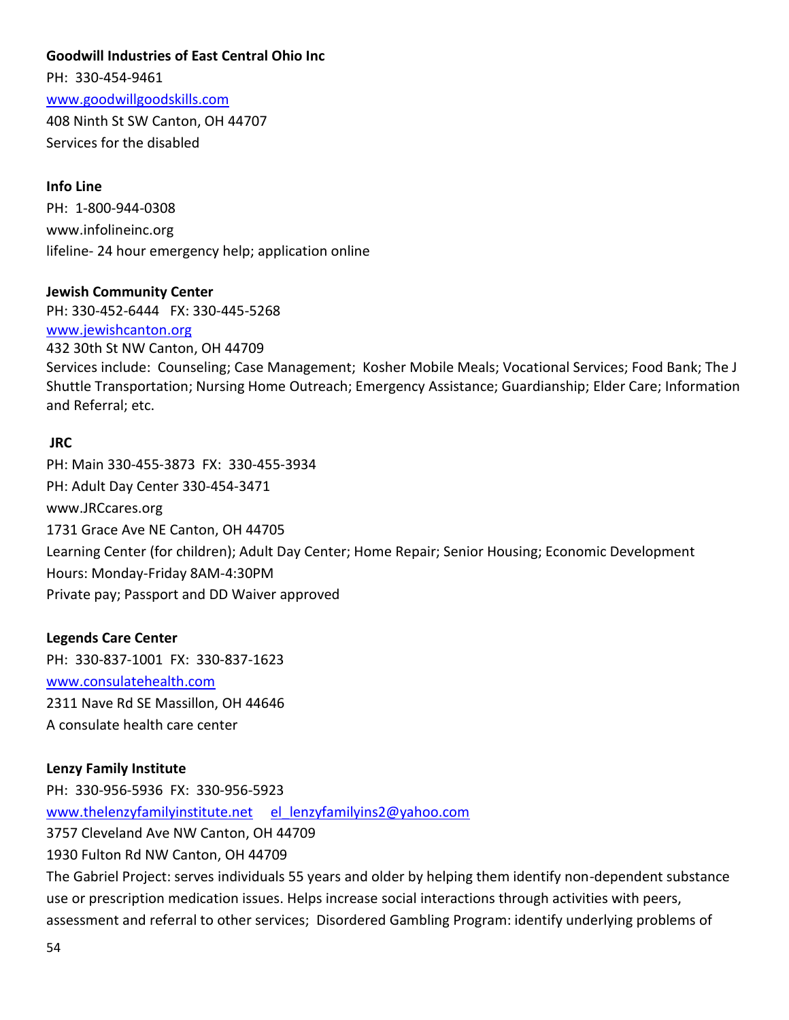## **Goodwill Industries of East Central Ohio Inc**

PH: 330-454-9461 [www.goodwillgoodskills.com](http://www.goodwillgoodskills.com/) 408 Ninth St SW Canton, OH 44707 Services for the disabled

#### **Info Line**

PH: 1-800-944-0308 www.infolineinc.org lifeline- 24 hour emergency help; application online

#### **Jewish Community Center**

PH: 330-452-6444 FX: 330-445-5268 [www.jewishcanton.org](http://www.jewishcanton.org/) 432 30th St NW Canton, OH 44709 Services include: Counseling; Case Management; Kosher Mobile Meals; Vocational Services; Food Bank; The J Shuttle Transportation; Nursing Home Outreach; Emergency Assistance; Guardianship; Elder Care; Information and Referral; etc.

#### **JRC**

PH: Main 330-455-3873 FX: 330-455-3934 PH: Adult Day Center 330-454-3471 www.JRCcares.org 1731 Grace Ave NE Canton, OH 44705 Learning Center (for children); Adult Day Center; Home Repair; Senior Housing; Economic Development Hours: Monday-Friday 8AM-4:30PM Private pay; Passport and DD Waiver approved

#### **Legends Care Center**

PH: 330-837-1001 FX: 330-837-1623 [www.consulatehealth.com](http://www.consulatehealth.com/) 2311 Nave Rd SE Massillon, OH 44646 A consulate health care center

#### **Lenzy Family Institute**

PH: 330-956-5936 FX: 330-956-5923 [www.thelenzyfamilyinstitute.net](http://www.thelenzyfamilyinstitute.net/) el lenzyfamilyins2@yahoo.com 3757 Cleveland Ave NW Canton, OH 44709 1930 Fulton Rd NW Canton, OH 44709

The Gabriel Project: serves individuals 55 years and older by helping them identify non-dependent substance use or prescription medication issues. Helps increase social interactions through activities with peers, assessment and referral to other services; Disordered Gambling Program: identify underlying problems of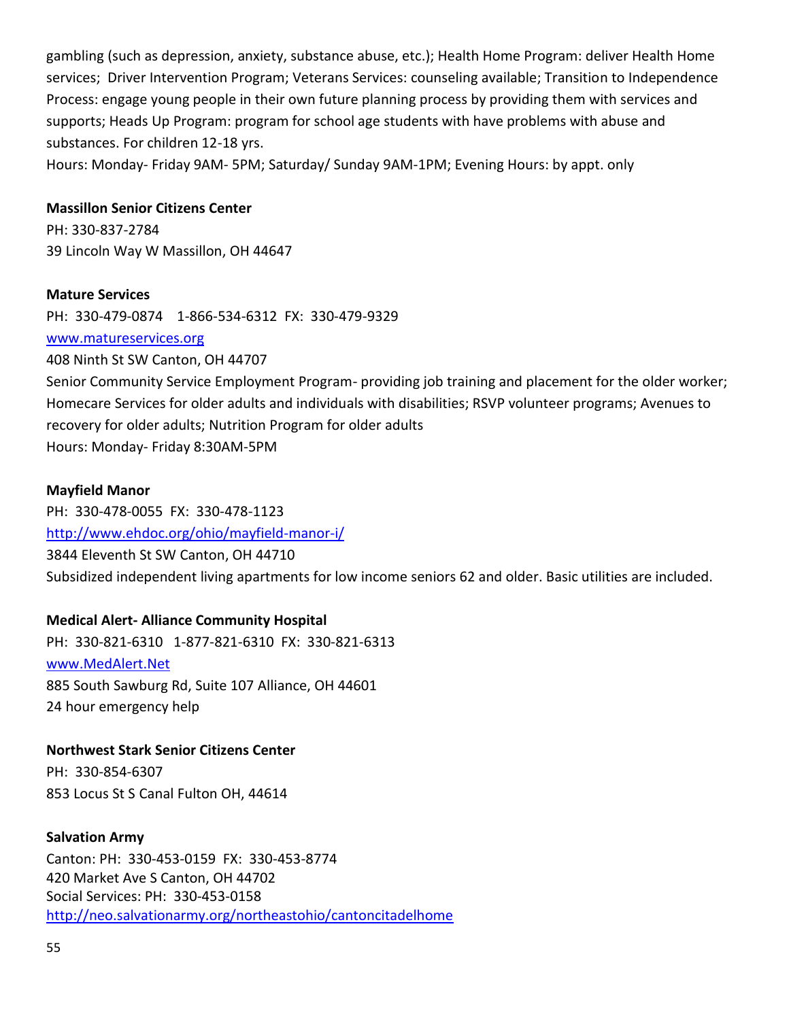gambling (such as depression, anxiety, substance abuse, etc.); Health Home Program: deliver Health Home services; Driver Intervention Program; Veterans Services: counseling available; Transition to Independence Process: engage young people in their own future planning process by providing them with services and supports; Heads Up Program: program for school age students with have problems with abuse and substances. For children 12-18 yrs.

Hours: Monday- Friday 9AM- 5PM; Saturday/ Sunday 9AM-1PM; Evening Hours: by appt. only

### **Massillon Senior Citizens Center**

PH: 330-837-2784 39 Lincoln Way W Massillon, OH 44647

#### **Mature Services**

PH: 330-479-0874 1-866-534-6312 FX: 330-479-9329

[www.matureservices.org](http://www.matureservices.org/)

408 Ninth St SW Canton, OH 44707

Senior Community Service Employment Program- providing job training and placement for the older worker; Homecare Services for older adults and individuals with disabilities; RSVP volunteer programs; Avenues to recovery for older adults; Nutrition Program for older adults Hours: Monday- Friday 8:30AM-5PM

#### **Mayfield Manor**

PH: 330-478-0055 FX: 330-478-1123 <http://www.ehdoc.org/ohio/mayfield-manor-i/> 3844 Eleventh St SW Canton, OH 44710 Subsidized independent living apartments for low income seniors 62 and older. Basic utilities are included.

## **Medical Alert- Alliance Community Hospital**

PH: 330-821-6310 1-877-821-6310 FX: 330-821-6313 [www.MedAlert.Net](http://www.medalert.net/) 885 South Sawburg Rd, Suite 107 Alliance, OH 44601 24 hour emergency help

#### **Northwest Stark Senior Citizens Center**

PH: 330-854-6307 853 Locus St S Canal Fulton OH, 44614

#### **Salvation Army**

Canton: PH: 330-453-0159 FX: 330-453-8774 420 Market Ave S Canton, OH 44702 Social Services: PH: 330-453-0158 <http://neo.salvationarmy.org/northeastohio/cantoncitadelhome>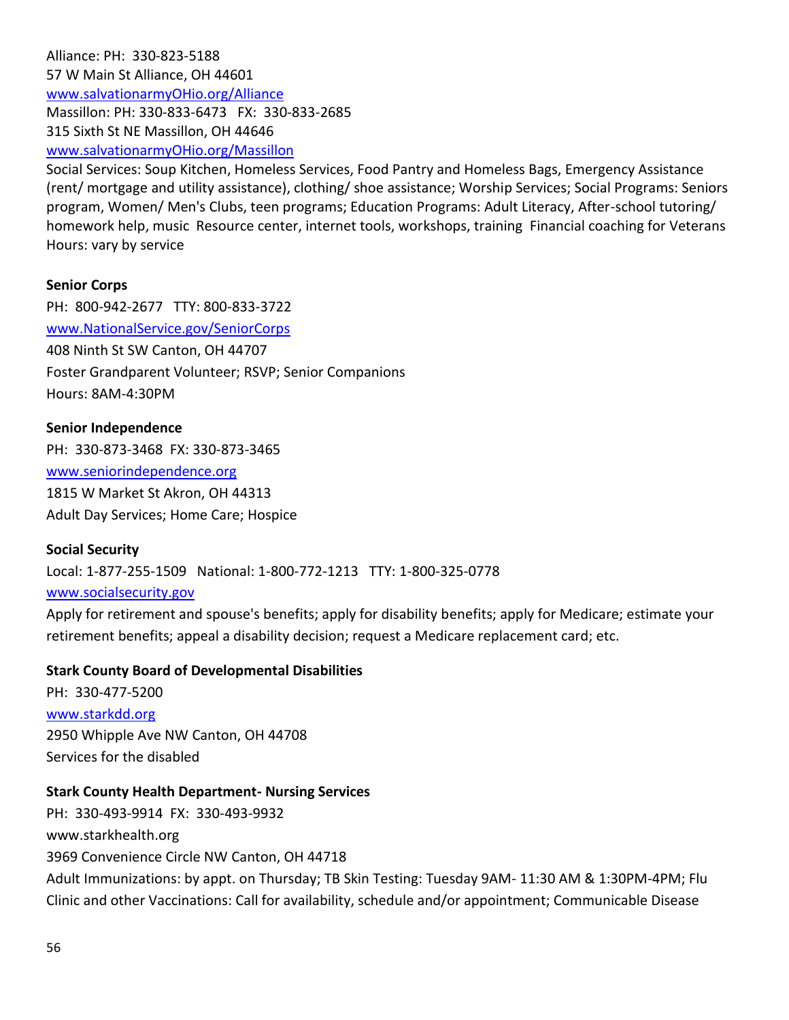Alliance: PH: 330-823-5188 57 W Main St Alliance, OH 44601 [www.salvationarmyOHio.org/Alliance](http://www.salvationarmyohio.org/Alliance) Massillon: PH: 330-833-6473 FX: 330-833-2685 315 Sixth St NE Massillon, OH 44646 [www.salvationarmyOHio.org/Massillon](http://www.salvationarmyohio.org/Massillon)

Social Services: Soup Kitchen, Homeless Services, Food Pantry and Homeless Bags, Emergency Assistance (rent/ mortgage and utility assistance), clothing/ shoe assistance; Worship Services; Social Programs: Seniors program, Women/ Men's Clubs, teen programs; Education Programs: Adult Literacy, After-school tutoring/ homework help, music Resource center, internet tools, workshops, training Financial coaching for Veterans Hours: vary by service

#### **Senior Corps**

PH: 800-942-2677 TTY: 800-833-3722 [www.NationalService.gov/SeniorCorps](http://www.nationalservice.gov/SeniorCorps) 408 Ninth St SW Canton, OH 44707 Foster Grandparent Volunteer; RSVP; Senior Companions Hours: 8AM-4:30PM

# **Senior Independence**

PH: 330-873-3468 FX: 330-873-3465 [www.seniorindependence.org](http://www.seniorindependence.org/) 1815 W Market St Akron, OH 44313

Adult Day Services; Home Care; Hospice

#### **Social Security**

Local: 1-877-255-1509 National: 1-800-772-1213 TTY: 1-800-325-0778

#### [www.socialsecurity.gov](http://www.socialsecurity.gov/)

Apply for retirement and spouse's benefits; apply for disability benefits; apply for Medicare; estimate your retirement benefits; appeal a disability decision; request a Medicare replacement card; etc.

#### **Stark County Board of Developmental Disabilities**

PH: 330-477-5200 [www.starkdd.org](http://www.starkdd.org/) 2950 Whipple Ave NW Canton, OH 44708 Services for the disabled

#### **Stark County Health Department- Nursing Services**

PH: 330-493-9914 FX: 330-493-9932 www.starkhealth.org 3969 Convenience Circle NW Canton, OH 44718 Adult Immunizations: by appt. on Thursday; TB Skin Testing: Tuesday 9AM- 11:30 AM & 1:30PM-4PM; Flu Clinic and other Vaccinations: Call for availability, schedule and/or appointment; Communicable Disease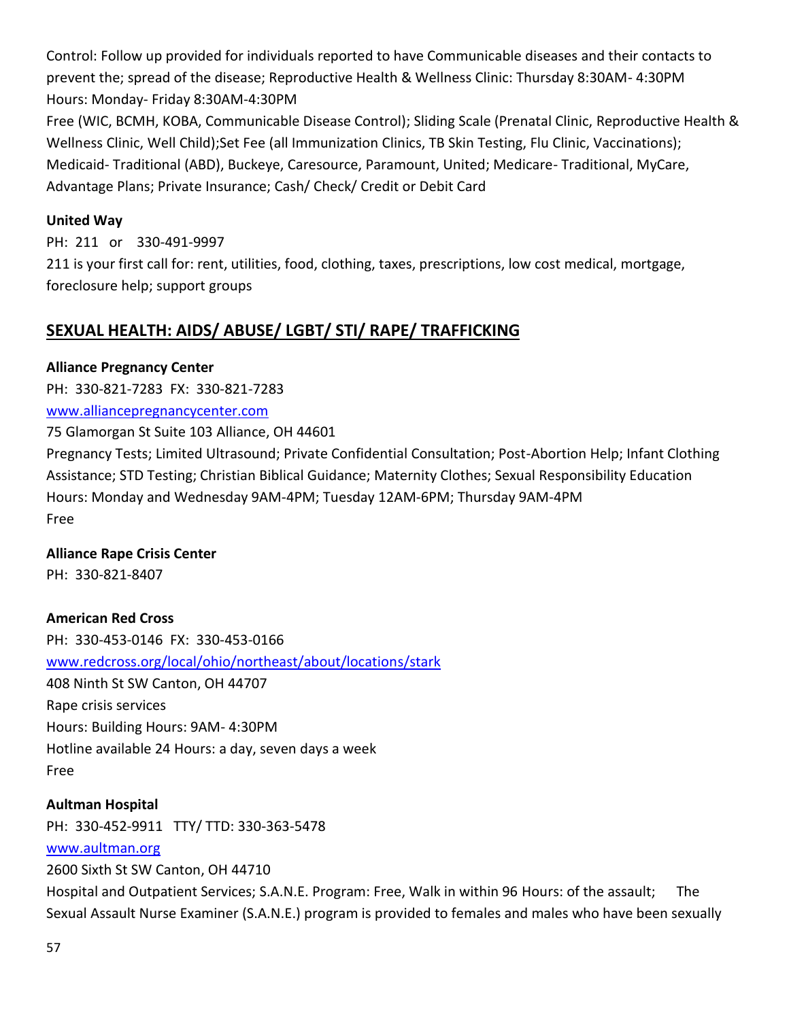Control: Follow up provided for individuals reported to have Communicable diseases and their contacts to prevent the; spread of the disease; Reproductive Health & Wellness Clinic: Thursday 8:30AM- 4:30PM Hours: Monday- Friday 8:30AM-4:30PM

Free (WIC, BCMH, KOBA, Communicable Disease Control); Sliding Scale (Prenatal Clinic, Reproductive Health & Wellness Clinic, Well Child);Set Fee (all Immunization Clinics, TB Skin Testing, Flu Clinic, Vaccinations); Medicaid- Traditional (ABD), Buckeye, Caresource, Paramount, United; Medicare- Traditional, MyCare, Advantage Plans; Private Insurance; Cash/ Check/ Credit or Debit Card

### **United Way**

PH: 211 or 330-491-9997 211 is your first call for: rent, utilities, food, clothing, taxes, prescriptions, low cost medical, mortgage, foreclosure help; support groups

# **SEXUAL HEALTH: AIDS/ ABUSE/ LGBT/ STI/ RAPE/ TRAFFICKING**

### **Alliance Pregnancy Center**

PH: 330-821-7283 FX: 330-821-7283

### [www.alliancepregnancycenter.com](http://www.alliancepregnancycenter.com/)

75 Glamorgan St Suite 103 Alliance, OH 44601

Pregnancy Tests; Limited Ultrasound; Private Confidential Consultation; Post-Abortion Help; Infant Clothing Assistance; STD Testing; Christian Biblical Guidance; Maternity Clothes; Sexual Responsibility Education Hours: Monday and Wednesday 9AM-4PM; Tuesday 12AM-6PM; Thursday 9AM-4PM Free

## **Alliance Rape Crisis Center**

PH: 330-821-8407

## **American Red Cross**

PH: 330-453-0146 FX: 330-453-0166 [www.redcross.org/local/ohio/northeast/about/locations/stark](http://www.redcross.org/local/ohio/northeast/about/locations/stark) 408 Ninth St SW Canton, OH 44707 Rape crisis services Hours: Building Hours: 9AM- 4:30PM Hotline available 24 Hours: a day, seven days a week Free

## **Aultman Hospital**

PH: 330-452-9911 TTY/ TTD: 330-363-5478

#### [www.aultman.org](http://www.aultman.org/)

2600 Sixth St SW Canton, OH 44710

Hospital and Outpatient Services; S.A.N.E. Program: Free, Walk in within 96 Hours: of the assault; The Sexual Assault Nurse Examiner (S.A.N.E.) program is provided to females and males who have been sexually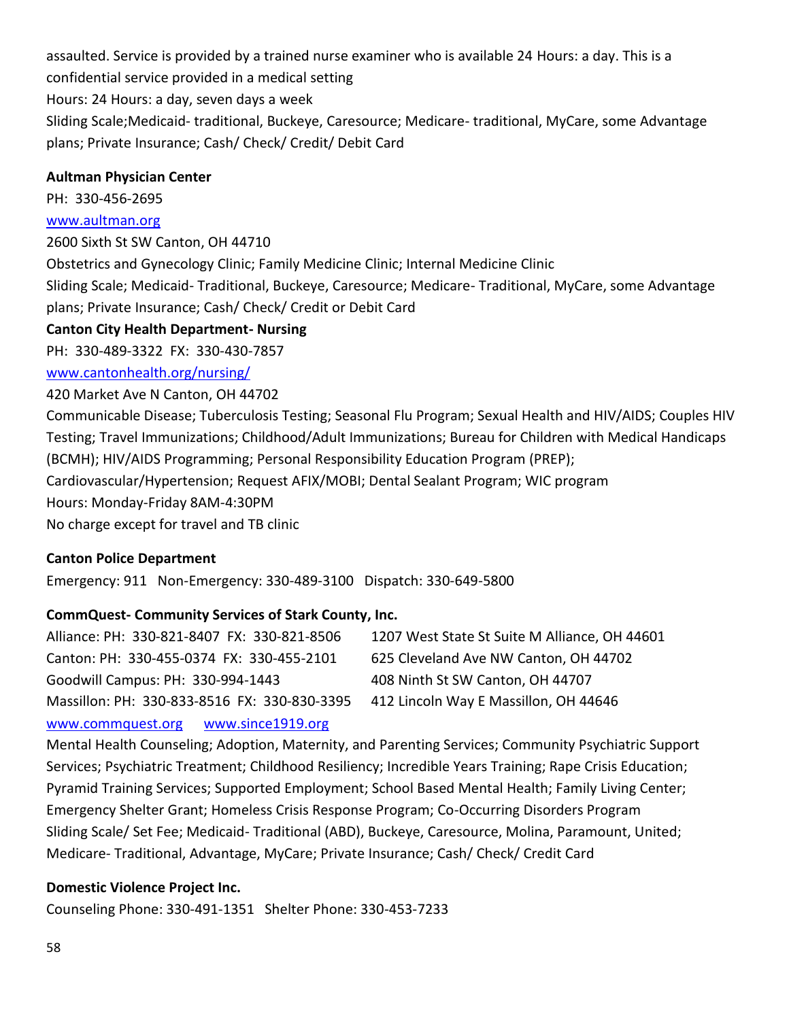assaulted. Service is provided by a trained nurse examiner who is available 24 Hours: a day. This is a confidential service provided in a medical setting Hours: 24 Hours: a day, seven days a week Sliding Scale;Medicaid- traditional, Buckeye, Caresource; Medicare- traditional, MyCare, some Advantage plans; Private Insurance; Cash/ Check/ Credit/ Debit Card

#### **Aultman Physician Center**

PH: 330-456-2695

#### [www.aultman.org](http://www.aultman.org/)

2600 Sixth St SW Canton, OH 44710

Obstetrics and Gynecology Clinic; Family Medicine Clinic; Internal Medicine Clinic Sliding Scale; Medicaid- Traditional, Buckeye, Caresource; Medicare- Traditional, MyCare, some Advantage plans; Private Insurance; Cash/ Check/ Credit or Debit Card

#### **Canton City Health Department- Nursing**

PH: 330-489-3322 FX: 330-430-7857

#### [www.cantonhealth.org/nursing/](http://www.cantonhealth.org/nursing/)

420 Market Ave N Canton, OH 44702

Communicable Disease; Tuberculosis Testing; Seasonal Flu Program; Sexual Health and HIV/AIDS; Couples HIV Testing; Travel Immunizations; Childhood/Adult Immunizations; Bureau for Children with Medical Handicaps (BCMH); HIV/AIDS Programming; Personal Responsibility Education Program (PREP); Cardiovascular/Hypertension; Request AFIX/MOBI; Dental Sealant Program; WIC program Hours: Monday-Friday 8AM-4:30PM No charge except for travel and TB clinic

#### **Canton Police Department**

Emergency: 911 Non-Emergency: 330-489-3100 Dispatch: 330-649-5800

#### **CommQuest- Community Services of Stark County, Inc.**

Alliance: PH: 330-821-8407 FX: 330-821-8506 1207 West State St Suite M Alliance, OH 44601 Canton: PH: 330-455-0374 FX: 330-455-2101 625 Cleveland Ave NW Canton, OH 44702 Goodwill Campus: PH: 330-994-1443 408 Ninth St SW Canton, OH 44707 Massillon: PH: 330-833-8516 FX: 330-830-3395 412 Lincoln Way E Massillon, OH 44646 [www.commquest.org](http://www.commquest.org/) [www.since1919.org](http://www.since1919.org/)

Mental Health Counseling; Adoption, Maternity, and Parenting Services; Community Psychiatric Support Services; Psychiatric Treatment; Childhood Resiliency; Incredible Years Training; Rape Crisis Education; Pyramid Training Services; Supported Employment; School Based Mental Health; Family Living Center; Emergency Shelter Grant; Homeless Crisis Response Program; Co-Occurring Disorders Program Sliding Scale/ Set Fee; Medicaid- Traditional (ABD), Buckeye, Caresource, Molina, Paramount, United; Medicare- Traditional, Advantage, MyCare; Private Insurance; Cash/ Check/ Credit Card

#### **Domestic Violence Project Inc.**

Counseling Phone: 330-491-1351 Shelter Phone: 330-453-7233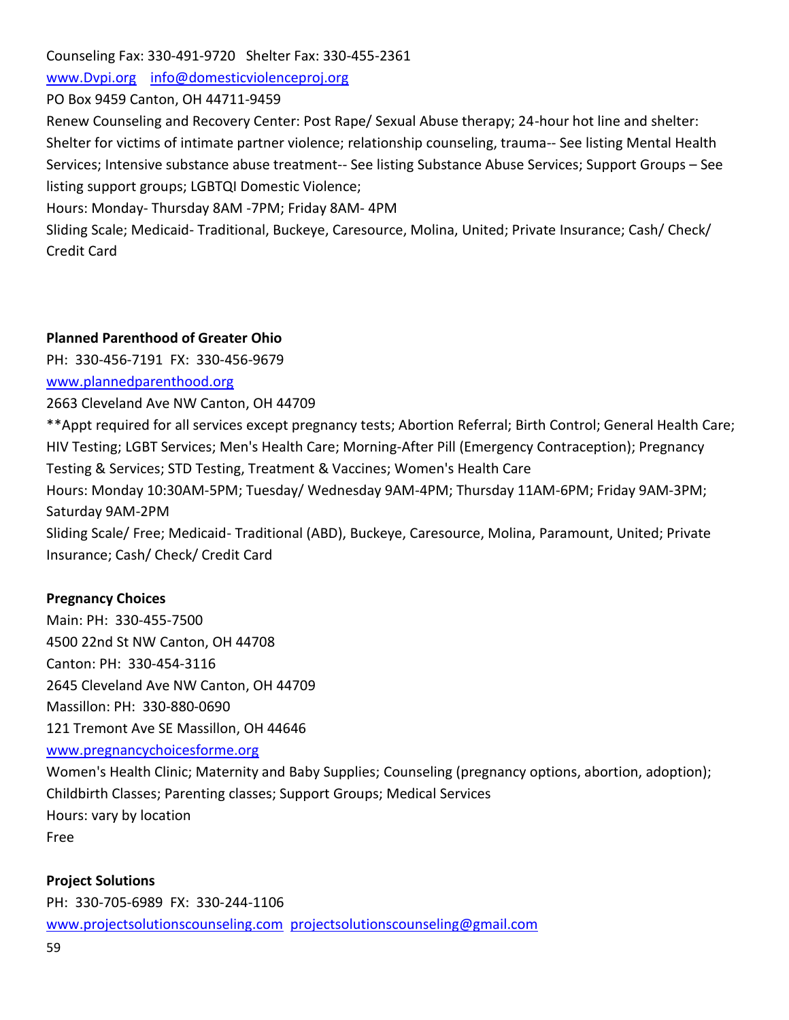Counseling Fax: 330-491-9720 Shelter Fax: 330-455-2361

[www.Dvpi.org](http://www.dvpi.org/) [info@domesticviolenceproj.org](mailto:info@domesticviolenceproj.org)

## PO Box 9459 Canton, OH 44711-9459

Renew Counseling and Recovery Center: Post Rape/ Sexual Abuse therapy; 24-hour hot line and shelter: Shelter for victims of intimate partner violence; relationship counseling, trauma-- See listing Mental Health Services; Intensive substance abuse treatment-- See listing Substance Abuse Services; Support Groups – See listing support groups; LGBTQI Domestic Violence;

Hours: Monday- Thursday 8AM -7PM; Friday 8AM- 4PM

Sliding Scale; Medicaid- Traditional, Buckeye, Caresource, Molina, United; Private Insurance; Cash/ Check/ Credit Card

#### **Planned Parenthood of Greater Ohio**

PH: 330-456-7191 FX: 330-456-9679

### [www.plannedparenthood.org](http://www.plannedparenthood.org/)

2663 Cleveland Ave NW Canton, OH 44709

\*\*Appt required for all services except pregnancy tests; Abortion Referral; Birth Control; General Health Care; HIV Testing; LGBT Services; Men's Health Care; Morning-After Pill (Emergency Contraception); Pregnancy Testing & Services; STD Testing, Treatment & Vaccines; Women's Health Care Hours: Monday 10:30AM-5PM; Tuesday/ Wednesday 9AM-4PM; Thursday 11AM-6PM; Friday 9AM-3PM; Saturday 9AM-2PM

Sliding Scale/ Free; Medicaid- Traditional (ABD), Buckeye, Caresource, Molina, Paramount, United; Private Insurance; Cash/ Check/ Credit Card

## **Pregnancy Choices**

Main: PH: 330-455-7500 4500 22nd St NW Canton, OH 44708 Canton: PH: 330-454-3116 2645 Cleveland Ave NW Canton, OH 44709 Massillon: PH: 330-880-0690 121 Tremont Ave SE Massillon, OH 44646

#### [www.pregnancychoicesforme.org](http://www.pregnancychoicesforme.org/)

Women's Health Clinic; Maternity and Baby Supplies; Counseling (pregnancy options, abortion, adoption); Childbirth Classes; Parenting classes; Support Groups; Medical Services Hours: vary by location Free

#### **Project Solutions**

PH: 330-705-6989 FX: 330-244-1106 [www.projectsolutionscounseling.com](http://www.projectsolutionscounseling.com/) [projectsolutionscounseling@gmail.com](mailto:projectsolutionscounseling@gmail.com)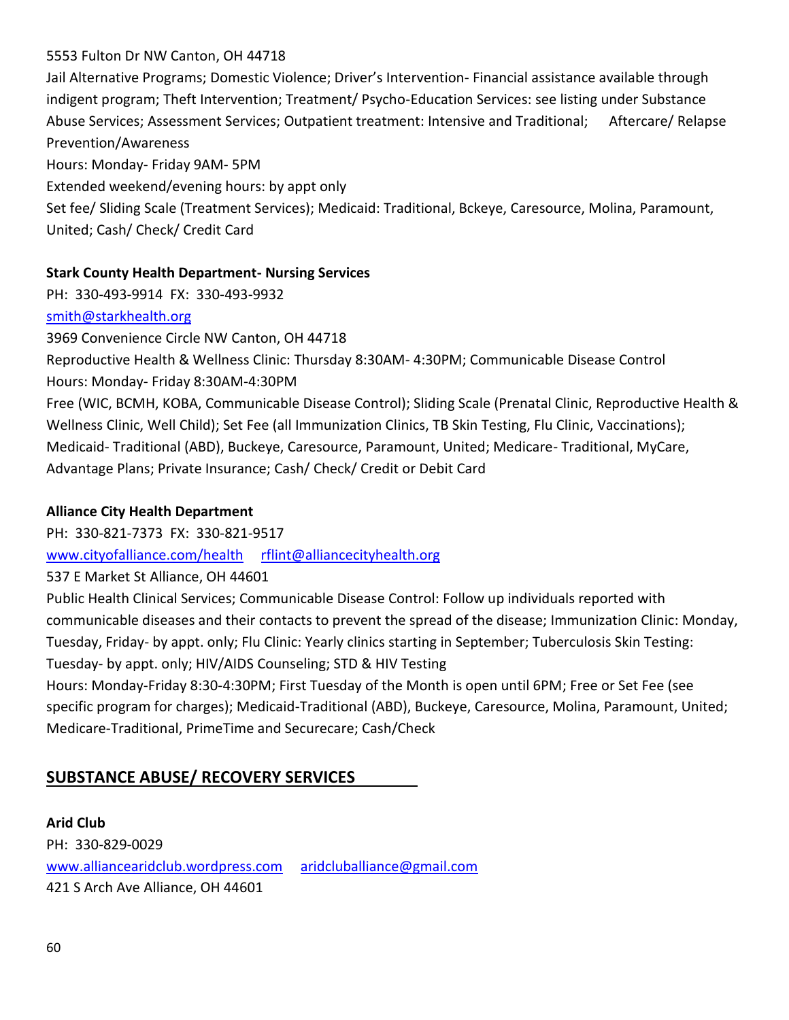## 5553 Fulton Dr NW Canton, OH 44718

Jail Alternative Programs; Domestic Violence; Driver's Intervention- Financial assistance available through indigent program; Theft Intervention; Treatment/ Psycho-Education Services: see listing under Substance Abuse Services; Assessment Services; Outpatient treatment: Intensive and Traditional; Aftercare/ Relapse Prevention/Awareness

Hours: Monday- Friday 9AM- 5PM

Extended weekend/evening hours: by appt only

Set fee/ Sliding Scale (Treatment Services); Medicaid: Traditional, Bckeye, Caresource, Molina, Paramount, United; Cash/ Check/ Credit Card

### **Stark County Health Department- Nursing Services**

PH: 330-493-9914 FX: 330-493-9932

### [smith@starkhealth.org](mailto:smith@starkhealth.org)

3969 Convenience Circle NW Canton, OH 44718

Reproductive Health & Wellness Clinic: Thursday 8:30AM- 4:30PM; Communicable Disease Control Hours: Monday- Friday 8:30AM-4:30PM

Free (WIC, BCMH, KOBA, Communicable Disease Control); Sliding Scale (Prenatal Clinic, Reproductive Health & Wellness Clinic, Well Child); Set Fee (all Immunization Clinics, TB Skin Testing, Flu Clinic, Vaccinations); Medicaid- Traditional (ABD), Buckeye, Caresource, Paramount, United; Medicare- Traditional, MyCare, Advantage Plans; Private Insurance; Cash/ Check/ Credit or Debit Card

## **Alliance City Health Department**

PH: 330-821-7373 FX: 330-821-9517

[www.cityofalliance.com/health](http://www.cityofalliance.com/health) [rflint@alliancecityhealth.org](mailto:rflint@alliancecityhealth.org)

537 E Market St Alliance, OH 44601

Public Health Clinical Services; Communicable Disease Control: Follow up individuals reported with communicable diseases and their contacts to prevent the spread of the disease; Immunization Clinic: Monday, Tuesday, Friday- by appt. only; Flu Clinic: Yearly clinics starting in September; Tuberculosis Skin Testing: Tuesday- by appt. only; HIV/AIDS Counseling; STD & HIV Testing

Hours: Monday-Friday 8:30-4:30PM; First Tuesday of the Month is open until 6PM; Free or Set Fee (see specific program for charges); Medicaid-Traditional (ABD), Buckeye, Caresource, Molina, Paramount, United; Medicare-Traditional, PrimeTime and Securecare; Cash/Check

# **SUBSTANCE ABUSE/ RECOVERY SERVICES**

**Arid Club** PH: 330-829-0029 [www.alliancearidclub.wordpress.com](http://www.alliancearidclub.wordpress.com/) [aridcluballiance@gmail.com](mailto:aridcluballiance@gmail.com) 421 S Arch Ave Alliance, OH 44601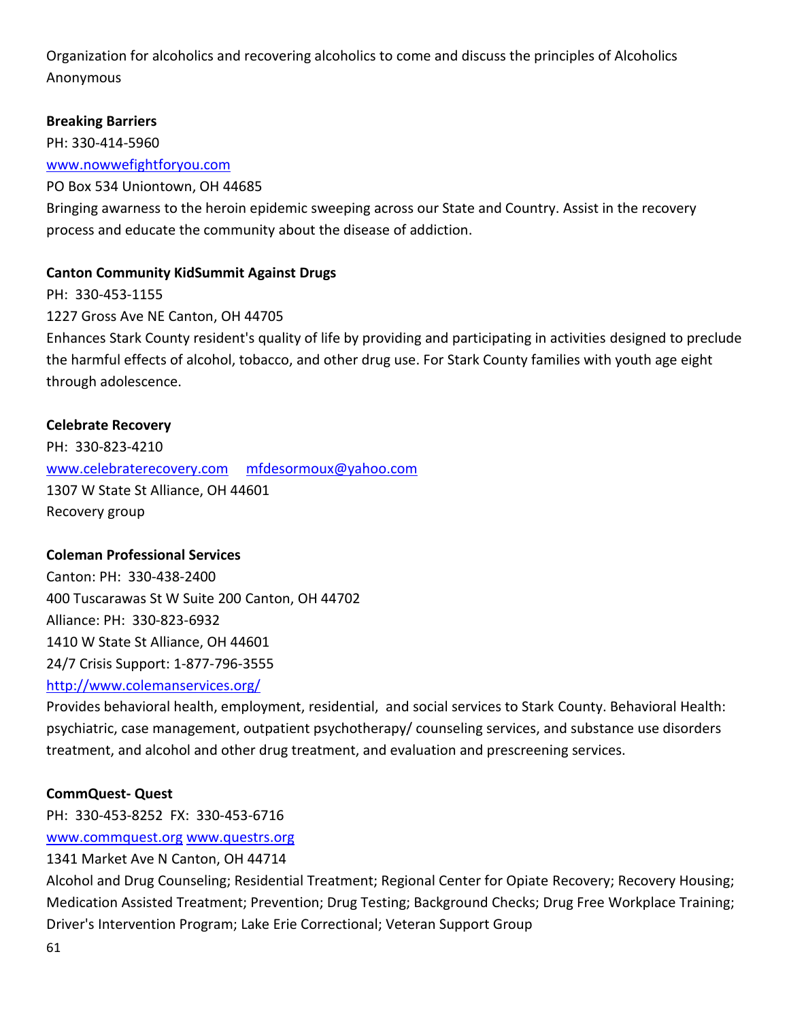Organization for alcoholics and recovering alcoholics to come and discuss the principles of Alcoholics Anonymous

## **Breaking Barriers**

PH: 330-414-5960

[www.nowwefightforyou.com](http://www.nowwefightforyou.com/)

PO Box 534 Uniontown, OH 44685

Bringing awarness to the heroin epidemic sweeping across our State and Country. Assist in the recovery process and educate the community about the disease of addiction.

## **Canton Community KidSummit Against Drugs**

PH: 330-453-1155 1227 Gross Ave NE Canton, OH 44705 Enhances Stark County resident's quality of life by providing and participating in activities designed to preclude the harmful effects of alcohol, tobacco, and other drug use. For Stark County families with youth age eight through adolescence.

## **Celebrate Recovery**

PH: 330-823-4210 [www.celebraterecovery.com](http://www.celebraterecovery.com/) [mfdesormoux@yahoo.com](mailto:mfdesormoux@yahoo.com) 1307 W State St Alliance, OH 44601 Recovery group

## **Coleman Professional Services**

Canton: PH: 330-438-2400 400 Tuscarawas St W Suite 200 Canton, OH 44702 Alliance: PH: 330-823-6932 1410 W State St Alliance, OH 44601 24/7 Crisis Support: 1-877-796-3555 <http://www.colemanservices.org/>

Provides behavioral health, employment, residential, and social services to Stark County. Behavioral Health: psychiatric, case management, outpatient psychotherapy/ counseling services, and substance use disorders treatment, and alcohol and other drug treatment, and evaluation and prescreening services.

## **CommQuest- Quest**

PH: 330-453-8252 FX: 330-453-6716

[www.commquest.org](http://www.commquest.org/) [www.questrs.org](http://www.questrs.org/)

1341 Market Ave N Canton, OH 44714

Alcohol and Drug Counseling; Residential Treatment; Regional Center for Opiate Recovery; Recovery Housing; Medication Assisted Treatment; Prevention; Drug Testing; Background Checks; Drug Free Workplace Training; Driver's Intervention Program; Lake Erie Correctional; Veteran Support Group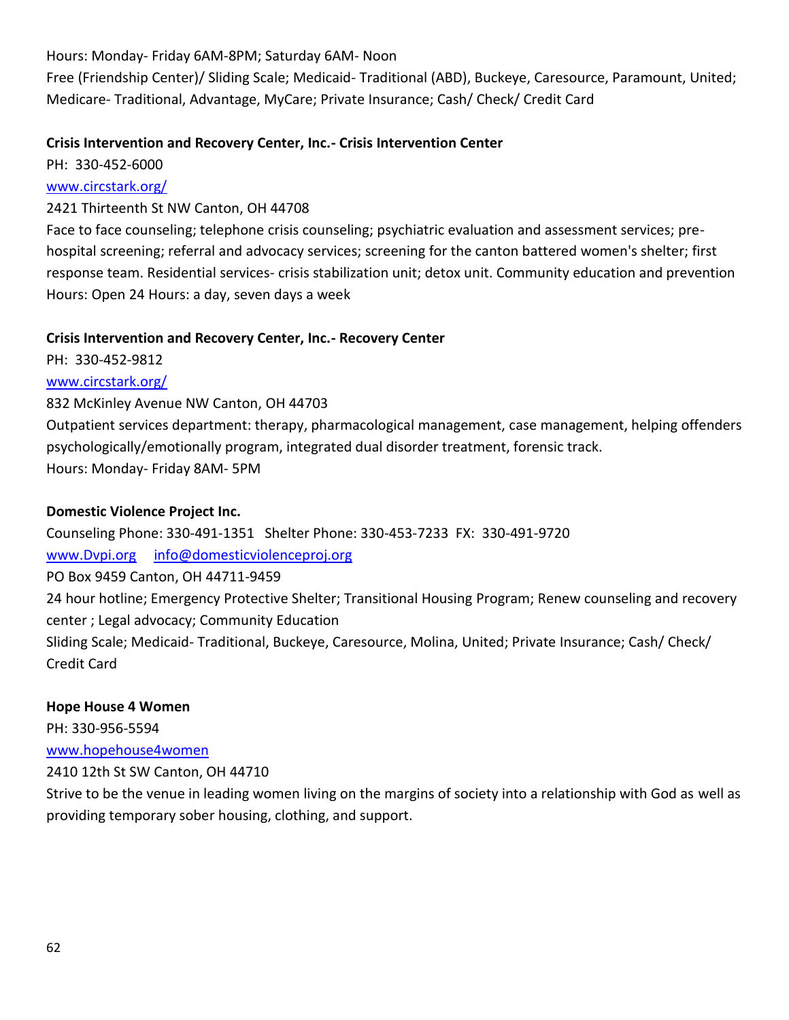Hours: Monday- Friday 6AM-8PM; Saturday 6AM- Noon

Free (Friendship Center)/ Sliding Scale; Medicaid- Traditional (ABD), Buckeye, Caresource, Paramount, United; Medicare- Traditional, Advantage, MyCare; Private Insurance; Cash/ Check/ Credit Card

## **Crisis Intervention and Recovery Center, Inc.- Crisis Intervention Center**

PH: 330-452-6000

## [www.circstark.org/](http://www.circstark.org/)

## 2421 Thirteenth St NW Canton, OH 44708

Face to face counseling; telephone crisis counseling; psychiatric evaluation and assessment services; prehospital screening; referral and advocacy services; screening for the canton battered women's shelter; first response team. Residential services- crisis stabilization unit; detox unit. Community education and prevention Hours: Open 24 Hours: a day, seven days a week

## **Crisis Intervention and Recovery Center, Inc.- Recovery Center**

PH: 330-452-9812

## [www.circstark.org/](http://www.circstark.org/)

832 McKinley Avenue NW Canton, OH 44703

Outpatient services department: therapy, pharmacological management, case management, helping offenders psychologically/emotionally program, integrated dual disorder treatment, forensic track. Hours: Monday- Friday 8AM- 5PM

## **Domestic Violence Project Inc.**

Counseling Phone: 330-491-1351 Shelter Phone: 330-453-7233 FX: 330-491-9720 [www.Dvpi.org](http://www.dvpi.org/) [info@domesticviolenceproj.org](mailto:info@domesticviolenceproj.org) PO Box 9459 Canton, OH 44711-9459 24 hour hotline; Emergency Protective Shelter; Transitional Housing Program; Renew counseling and recovery center ; Legal advocacy; Community Education Sliding Scale; Medicaid- Traditional, Buckeye, Caresource, Molina, United; Private Insurance; Cash/ Check/ Credit Card

## **Hope House 4 Women**

PH: 330-956-5594 [www.hopehouse4women](http://www.hopehouse4women/)

2410 12th St SW Canton, OH 44710

Strive to be the venue in leading women living on the margins of society into a relationship with God as well as providing temporary sober housing, clothing, and support.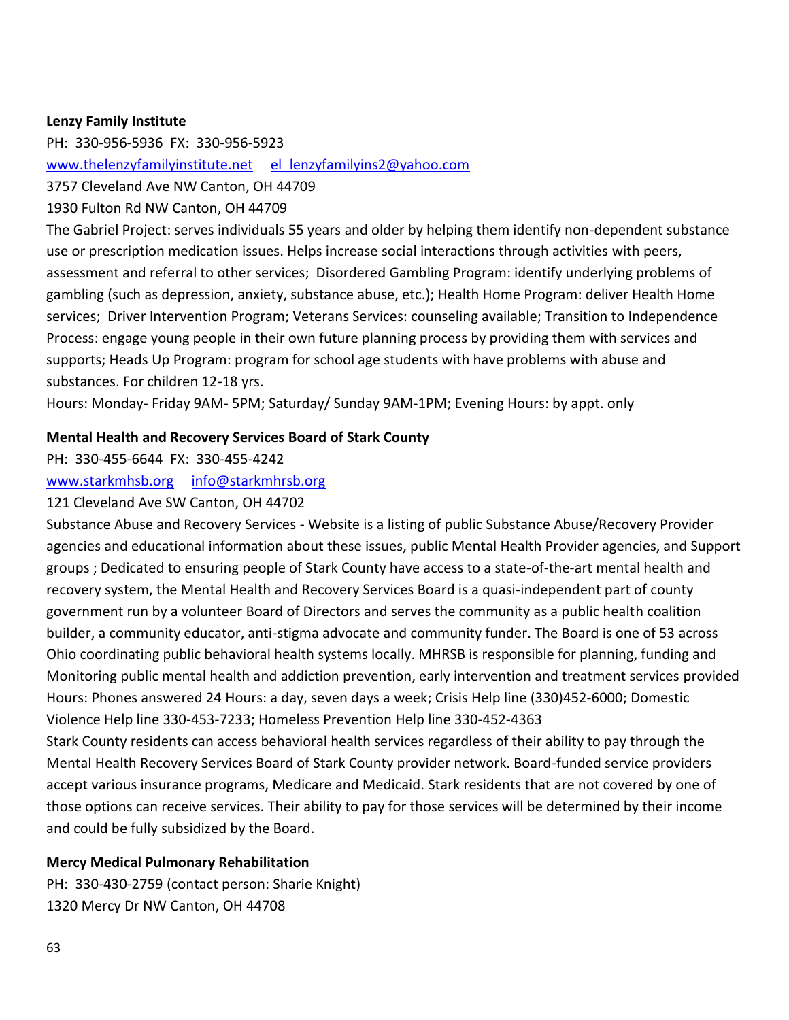#### **Lenzy Family Institute**

PH: 330-956-5936 FX: 330-956-5923

[www.thelenzyfamilyinstitute.net](http://www.thelenzyfamilyinstitute.net/) el lenzyfamilyins2@yahoo.com

3757 Cleveland Ave NW Canton, OH 44709

1930 Fulton Rd NW Canton, OH 44709

The Gabriel Project: serves individuals 55 years and older by helping them identify non-dependent substance use or prescription medication issues. Helps increase social interactions through activities with peers, assessment and referral to other services; Disordered Gambling Program: identify underlying problems of gambling (such as depression, anxiety, substance abuse, etc.); Health Home Program: deliver Health Home services; Driver Intervention Program; Veterans Services: counseling available; Transition to Independence Process: engage young people in their own future planning process by providing them with services and supports; Heads Up Program: program for school age students with have problems with abuse and substances. For children 12-18 yrs.

Hours: Monday- Friday 9AM- 5PM; Saturday/ Sunday 9AM-1PM; Evening Hours: by appt. only

#### **Mental Health and Recovery Services Board of Stark County**

PH: 330-455-6644 FX: 330-455-4242

[www.starkmhsb.org](http://www.starkmhsb.org/) [info@starkmhrsb.org](mailto:info@starkmhrsb.org)

#### 121 Cleveland Ave SW Canton, OH 44702

Substance Abuse and Recovery Services - Website is a listing of public Substance Abuse/Recovery Provider agencies and educational information about these issues, public Mental Health Provider agencies, and Support groups ; Dedicated to ensuring people of Stark County have access to a state-of-the-art mental health and recovery system, the Mental Health and Recovery Services Board is a quasi-independent part of county government run by a volunteer Board of Directors and serves the community as a public health coalition builder, a community educator, anti-stigma advocate and community funder. The Board is one of 53 across Ohio coordinating public behavioral health systems locally. MHRSB is responsible for planning, funding and Monitoring public mental health and addiction prevention, early intervention and treatment services provided Hours: Phones answered 24 Hours: a day, seven days a week; Crisis Help line (330)452-6000; Domestic Violence Help line 330-453-7233; Homeless Prevention Help line 330-452-4363

Stark County residents can access behavioral health services regardless of their ability to pay through the Mental Health Recovery Services Board of Stark County provider network. Board-funded service providers accept various insurance programs, Medicare and Medicaid. Stark residents that are not covered by one of those options can receive services. Their ability to pay for those services will be determined by their income and could be fully subsidized by the Board.

#### **Mercy Medical Pulmonary Rehabilitation**

PH: 330-430-2759 (contact person: Sharie Knight) 1320 Mercy Dr NW Canton, OH 44708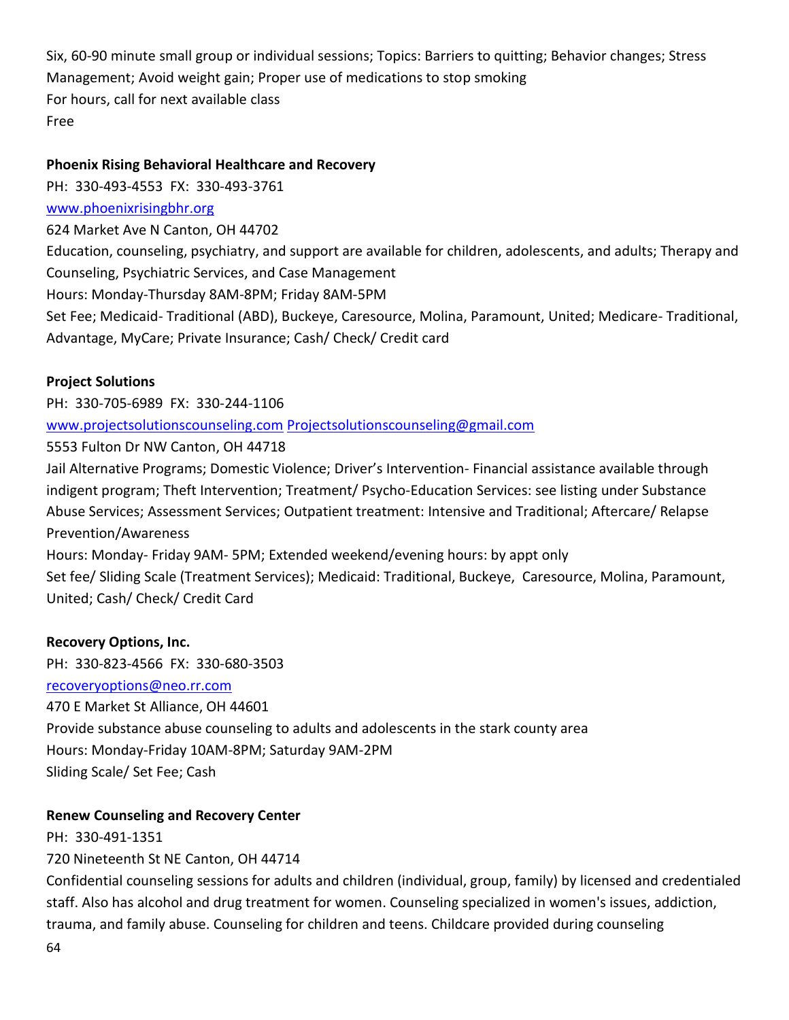Six, 60-90 minute small group or individual sessions; Topics: Barriers to quitting; Behavior changes; Stress Management; Avoid weight gain; Proper use of medications to stop smoking For hours, call for next available class Free

#### **Phoenix Rising Behavioral Healthcare and Recovery**

PH: 330-493-4553 FX: 330-493-3761

### [www.phoenixrisingbhr.org](http://www.phoenixrisingbhr.org/)

624 Market Ave N Canton, OH 44702

Education, counseling, psychiatry, and support are available for children, adolescents, and adults; Therapy and Counseling, Psychiatric Services, and Case Management

Hours: Monday-Thursday 8AM-8PM; Friday 8AM-5PM

Set Fee; Medicaid- Traditional (ABD), Buckeye, Caresource, Molina, Paramount, United; Medicare- Traditional, Advantage, MyCare; Private Insurance; Cash/ Check/ Credit card

### **Project Solutions**

PH: 330-705-6989 FX: 330-244-1106

[www.projectsolutionscounseling.com](http://www.projectsolutionscounseling.com/) [Projectsolutionscounseling@gmail.com](mailto:Projectsolutionscounseling@gmail.com)

5553 Fulton Dr NW Canton, OH 44718

Jail Alternative Programs; Domestic Violence; Driver's Intervention- Financial assistance available through indigent program; Theft Intervention; Treatment/ Psycho-Education Services: see listing under Substance Abuse Services; Assessment Services; Outpatient treatment: Intensive and Traditional; Aftercare/ Relapse Prevention/Awareness

Hours: Monday- Friday 9AM- 5PM; Extended weekend/evening hours: by appt only Set fee/ Sliding Scale (Treatment Services); Medicaid: Traditional, Buckeye, Caresource, Molina, Paramount, United; Cash/ Check/ Credit Card

## **Recovery Options, Inc.**

PH: 330-823-4566 FX: 330-680-3503 [recoveryoptions@neo.rr.com](mailto:recoveryoptions@neo.rr.com) 470 E Market St Alliance, OH 44601 Provide substance abuse counseling to adults and adolescents in the stark county area Hours: Monday-Friday 10AM-8PM; Saturday 9AM-2PM Sliding Scale/ Set Fee; Cash

## **Renew Counseling and Recovery Center**

PH: 330-491-1351 720 Nineteenth St NE Canton, OH 44714

64 Confidential counseling sessions for adults and children (individual, group, family) by licensed and credentialed staff. Also has alcohol and drug treatment for women. Counseling specialized in women's issues, addiction, trauma, and family abuse. Counseling for children and teens. Childcare provided during counseling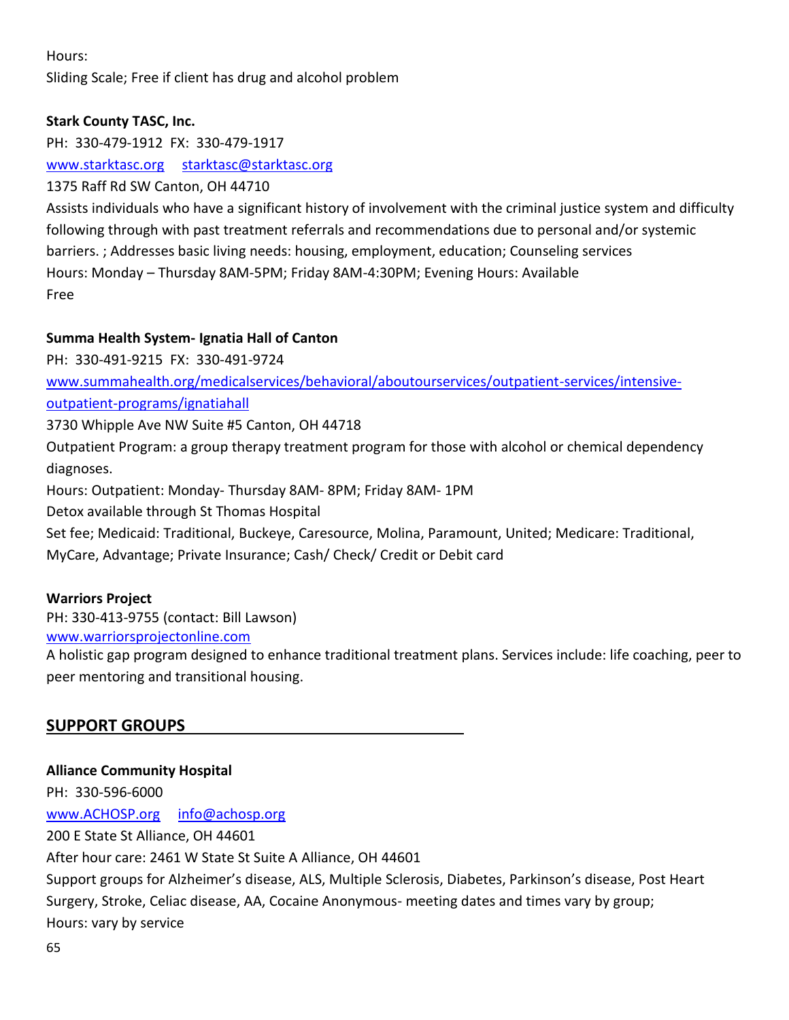## Hours:

# Sliding Scale; Free if client has drug and alcohol problem

## **Stark County TASC, Inc.**

PH: 330-479-1912 FX: 330-479-1917 [www.starktasc.org](http://www.starktasc.org/) [starktasc@starktasc.org](mailto:starktasc@starktasc.org) 1375 Raff Rd SW Canton, OH 44710

Assists individuals who have a significant history of involvement with the criminal justice system and difficulty following through with past treatment referrals and recommendations due to personal and/or systemic barriers. ; Addresses basic living needs: housing, employment, education; Counseling services Hours: Monday – Thursday 8AM-5PM; Friday 8AM-4:30PM; Evening Hours: Available Free

### **Summa Health System- Ignatia Hall of Canton**

PH: 330-491-9215 FX: 330-491-9724 [www.summahealth.org/medicalservices/behavioral/aboutourservices/outpatient-services/intensive](http://www.summahealth.org/medicalservices/behavioral/aboutourservices/outpatient-services/intensive-outpatient-programs/ignatiahall)[outpatient-programs/ignatiahall](http://www.summahealth.org/medicalservices/behavioral/aboutourservices/outpatient-services/intensive-outpatient-programs/ignatiahall)

3730 Whipple Ave NW Suite #5 Canton, OH 44718

Outpatient Program: a group therapy treatment program for those with alcohol or chemical dependency diagnoses.

Hours: Outpatient: Monday- Thursday 8AM- 8PM; Friday 8AM- 1PM

Detox available through St Thomas Hospital

Set fee; Medicaid: Traditional, Buckeye, Caresource, Molina, Paramount, United; Medicare: Traditional,

MyCare, Advantage; Private Insurance; Cash/ Check/ Credit or Debit card

## **Warriors Project**

PH: 330-413-9755 (contact: Bill Lawson)

[www.warriorsprojectonline.com](http://www.warriorsprojectonline.com/)

A holistic gap program designed to enhance traditional treatment plans. Services include: life coaching, peer to peer mentoring and transitional housing.

# **SUPPORT GROUPS**

# **Alliance Community Hospital** PH: 330-596-6000 [www.ACHOSP.org](http://www.achosp.org/) [info@achosp.org](mailto:info@achosp.org) 200 E State St Alliance, OH 44601 After hour care: 2461 W State St Suite A Alliance, OH 44601 Support groups for Alzheimer's disease, ALS, Multiple Sclerosis, Diabetes, Parkinson's disease, Post Heart Surgery, Stroke, Celiac disease, AA, Cocaine Anonymous- meeting dates and times vary by group; Hours: vary by service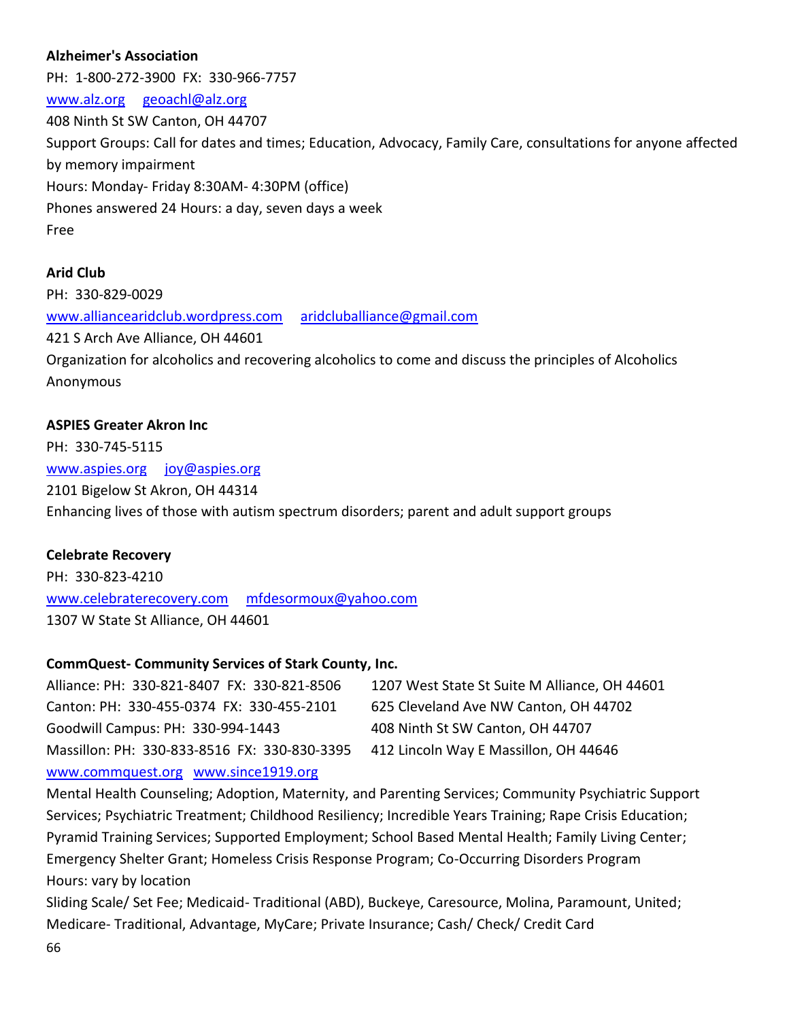## **Alzheimer's Association**

PH: 1-800-272-3900 FX: 330-966-7757 [www.alz.org](http://www.alz.org/) [geoachl@alz.org](mailto:geoachl@alz.org) 408 Ninth St SW Canton, OH 44707 Support Groups: Call for dates and times; Education, Advocacy, Family Care, consultations for anyone affected by memory impairment Hours: Monday- Friday 8:30AM- 4:30PM (office) Phones answered 24 Hours: a day, seven days a week Free

#### **Arid Club**

PH: 330-829-0029 [www.alliancearidclub.wordpress.com](http://www.alliancearidclub.wordpress.com/) [aridcluballiance@gmail.com](mailto:aridcluballiance@gmail.com) 421 S Arch Ave Alliance, OH 44601 Organization for alcoholics and recovering alcoholics to come and discuss the principles of Alcoholics Anonymous

#### **ASPIES Greater Akron Inc**

PH: 330-745-5115 [www.aspies.org](http://www.aspies.org/) [joy@aspies.org](mailto:joy@aspies.org) 2101 Bigelow St Akron, OH 44314 Enhancing lives of those with autism spectrum disorders; parent and adult support groups

#### **Celebrate Recovery**

PH: 330-823-4210 [www.celebraterecovery.com](http://www.celebraterecovery.com/) [mfdesormoux@yahoo.com](mailto:mfdesormoux@yahoo.com) 1307 W State St Alliance, OH 44601

#### **CommQuest- Community Services of Stark County, Inc.**

| Alliance: PH: 330-821-8407 FX: 330-821-8506  | 1207 West State St Suite M Alliance, OH 44601 |
|----------------------------------------------|-----------------------------------------------|
| Canton: PH: 330-455-0374 FX: 330-455-2101    | 625 Cleveland Ave NW Canton, OH 44702         |
| Goodwill Campus: PH: 330-994-1443            | 408 Ninth St SW Canton, OH 44707              |
| Massillon: PH: 330-833-8516 FX: 330-830-3395 | 412 Lincoln Way E Massillon, OH 44646         |
| www.commquest.org www.since1919.org          |                                               |

Mental Health Counseling; Adoption, Maternity, and Parenting Services; Community Psychiatric Support Services; Psychiatric Treatment; Childhood Resiliency; Incredible Years Training; Rape Crisis Education; Pyramid Training Services; Supported Employment; School Based Mental Health; Family Living Center; Emergency Shelter Grant; Homeless Crisis Response Program; Co-Occurring Disorders Program Hours: vary by location

66 Sliding Scale/ Set Fee; Medicaid- Traditional (ABD), Buckeye, Caresource, Molina, Paramount, United; Medicare- Traditional, Advantage, MyCare; Private Insurance; Cash/ Check/ Credit Card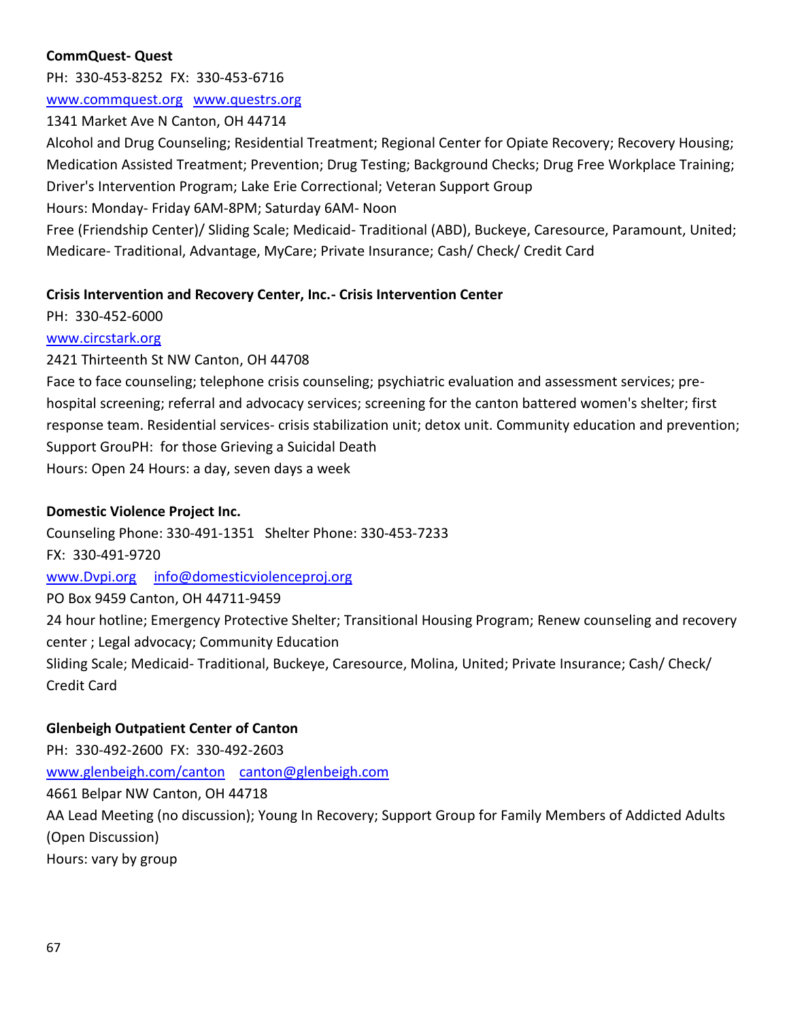## **CommQuest- Quest**

PH: 330-453-8252 FX: 330-453-6716

## [www.commquest.org](http://www.commquest.org/) [www.questrs.org](http://www.questrs.org/)

1341 Market Ave N Canton, OH 44714

Alcohol and Drug Counseling; Residential Treatment; Regional Center for Opiate Recovery; Recovery Housing; Medication Assisted Treatment; Prevention; Drug Testing; Background Checks; Drug Free Workplace Training; Driver's Intervention Program; Lake Erie Correctional; Veteran Support Group

Hours: Monday- Friday 6AM-8PM; Saturday 6AM- Noon

Free (Friendship Center)/ Sliding Scale; Medicaid- Traditional (ABD), Buckeye, Caresource, Paramount, United; Medicare- Traditional, Advantage, MyCare; Private Insurance; Cash/ Check/ Credit Card

## **Crisis Intervention and Recovery Center, Inc.- Crisis Intervention Center**

## PH: 330-452-6000

## [www.circstark.org](http://www.circstark.org/)

2421 Thirteenth St NW Canton, OH 44708

Face to face counseling; telephone crisis counseling; psychiatric evaluation and assessment services; prehospital screening; referral and advocacy services; screening for the canton battered women's shelter; first response team. Residential services- crisis stabilization unit; detox unit. Community education and prevention; Support GrouPH: for those Grieving a Suicidal Death Hours: Open 24 Hours: a day, seven days a week

## **Domestic Violence Project Inc.**

Counseling Phone: 330-491-1351 Shelter Phone: 330-453-7233 FX: 330-491-9720 [www.Dvpi.org](http://www.dvpi.org/) [info@domesticviolenceproj.org](mailto:info@domesticviolenceproj.org) PO Box 9459 Canton, OH 44711-9459 24 hour hotline; Emergency Protective Shelter; Transitional Housing Program; Renew counseling and recovery center ; Legal advocacy; Community Education Sliding Scale; Medicaid- Traditional, Buckeye, Caresource, Molina, United; Private Insurance; Cash/ Check/ Credit Card

## **Glenbeigh Outpatient Center of Canton**

PH: 330-492-2600 FX: 330-492-2603 [www.glenbeigh.com/canton](http://www.glenbeigh.com/canton) [canton@glenbeigh.com](mailto:canton@glenbeigh.com) 4661 Belpar NW Canton, OH 44718 AA Lead Meeting (no discussion); Young In Recovery; Support Group for Family Members of Addicted Adults (Open Discussion) Hours: vary by group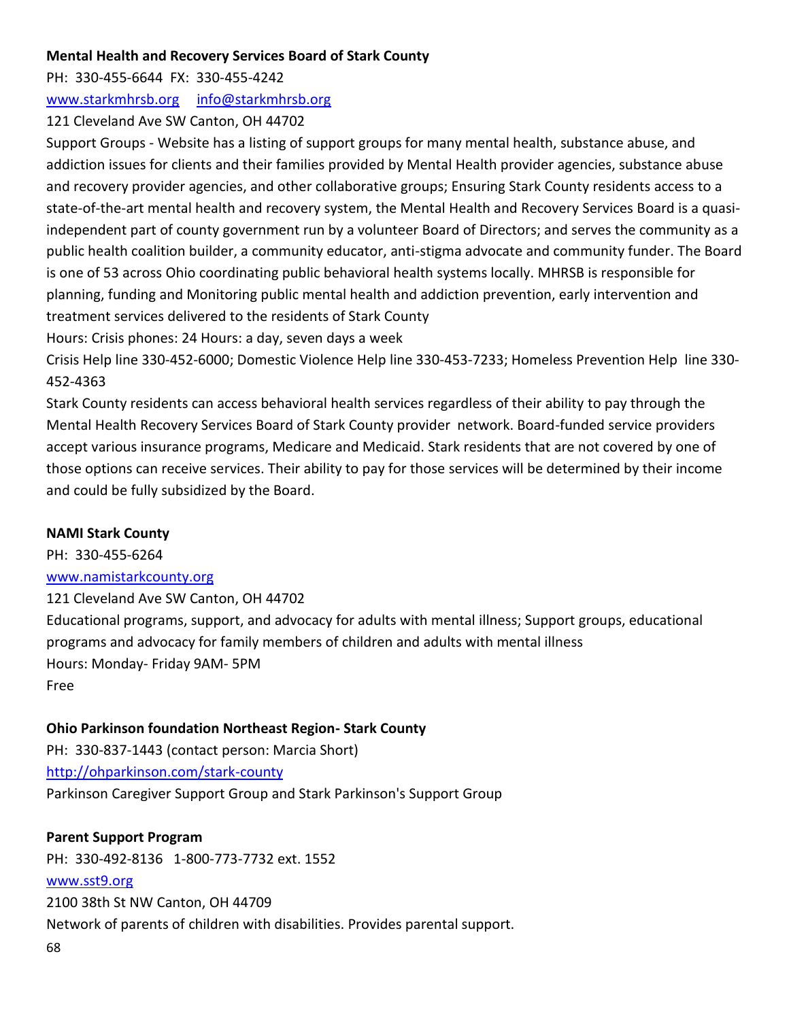## **Mental Health and Recovery Services Board of Stark County**

PH: 330-455-6644 FX: 330-455-4242

[www.starkmhrsb.org](http://www.starkmhrsb.org/) [info@starkmhrsb.org](mailto:info@starkmhrsb.org)

121 Cleveland Ave SW Canton, OH 44702

Support Groups - Website has a listing of support groups for many mental health, substance abuse, and addiction issues for clients and their families provided by Mental Health provider agencies, substance abuse and recovery provider agencies, and other collaborative groups; Ensuring Stark County residents access to a state-of-the-art mental health and recovery system, the Mental Health and Recovery Services Board is a quasiindependent part of county government run by a volunteer Board of Directors; and serves the community as a public health coalition builder, a community educator, anti-stigma advocate and community funder. The Board is one of 53 across Ohio coordinating public behavioral health systems locally. MHRSB is responsible for planning, funding and Monitoring public mental health and addiction prevention, early intervention and treatment services delivered to the residents of Stark County

Hours: Crisis phones: 24 Hours: a day, seven days a week

Crisis Help line 330-452-6000; Domestic Violence Help line 330-453-7233; Homeless Prevention Help line 330- 452-4363

Stark County residents can access behavioral health services regardless of their ability to pay through the Mental Health Recovery Services Board of Stark County provider network. Board-funded service providers accept various insurance programs, Medicare and Medicaid. Stark residents that are not covered by one of those options can receive services. Their ability to pay for those services will be determined by their income and could be fully subsidized by the Board.

# **NAMI Stark County**

PH: 330-455-6264 [www.namistarkcounty.org](http://www.namistarkcounty.org/)

121 Cleveland Ave SW Canton, OH 44702 Educational programs, support, and advocacy for adults with mental illness; Support groups, educational programs and advocacy for family members of children and adults with mental illness Hours: Monday- Friday 9AM- 5PM Free

# **Ohio Parkinson foundation Northeast Region- Stark County**

PH: 330-837-1443 (contact person: Marcia Short) <http://ohparkinson.com/stark-county> Parkinson Caregiver Support Group and Stark Parkinson's Support Group

**Parent Support Program**

PH: 330-492-8136 1-800-773-7732 ext. 1552

# [www.sst9.org](http://www.sst9.org/)

68 2100 38th St NW Canton, OH 44709 Network of parents of children with disabilities. Provides parental support.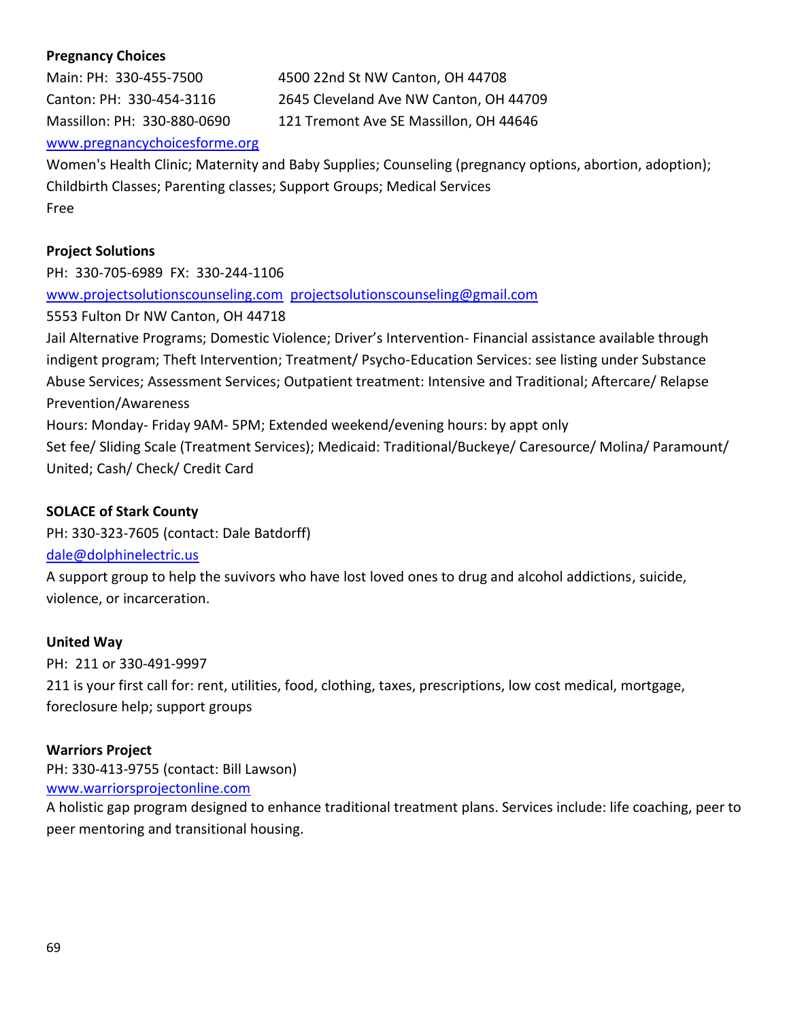## **Pregnancy Choices**

Main: PH: 330-455-7500 4500 22nd St NW Canton, OH 44708 Canton: PH: 330-454-3116 2645 Cleveland Ave NW Canton, OH 44709 Massillon: PH: 330-880-0690 121 Tremont Ave SE Massillon, OH 44646 [www.pregnancychoicesforme.org](http://www.pregnancychoicesforme.org/)

Women's Health Clinic; Maternity and Baby Supplies; Counseling (pregnancy options, abortion, adoption); Childbirth Classes; Parenting classes; Support Groups; Medical Services Free

#### **Project Solutions**

PH: 330-705-6989 FX: 330-244-1106 [www.projectsolutionscounseling.com](http://www.projectsolutionscounseling.com/) [projectsolutionscounseling@gmail.com](mailto:projectsolutionscounseling@gmail.com) 5553 Fulton Dr NW Canton, OH 44718 Jail Alternative Programs; Domestic Violence; Driver's Intervention- Financial assistance available through indigent program; Theft Intervention; Treatment/ Psycho-Education Services: see listing under Substance Abuse Services; Assessment Services; Outpatient treatment: Intensive and Traditional; Aftercare/ Relapse Prevention/Awareness Hours: Monday- Friday 9AM- 5PM; Extended weekend/evening hours: by appt only Set fee/ Sliding Scale (Treatment Services); Medicaid: Traditional/Buckeye/ Caresource/ Molina/ Paramount/ United; Cash/ Check/ Credit Card

#### **SOLACE of Stark County**

PH: 330-323-7605 (contact: Dale Batdorff)

#### [dale@dolphinelectric.us](mailto:dale@dolphinelectric.us)

A support group to help the suvivors who have lost loved ones to drug and alcohol addictions, suicide, violence, or incarceration.

#### **United Way**

PH: 211 or 330-491-9997

211 is your first call for: rent, utilities, food, clothing, taxes, prescriptions, low cost medical, mortgage, foreclosure help; support groups

#### **Warriors Project**

PH: 330-413-9755 (contact: Bill Lawson) [www.warriorsprojectonline.com](http://www.warriorsprojectonline.com/)

A holistic gap program designed to enhance traditional treatment plans. Services include: life coaching, peer to peer mentoring and transitional housing.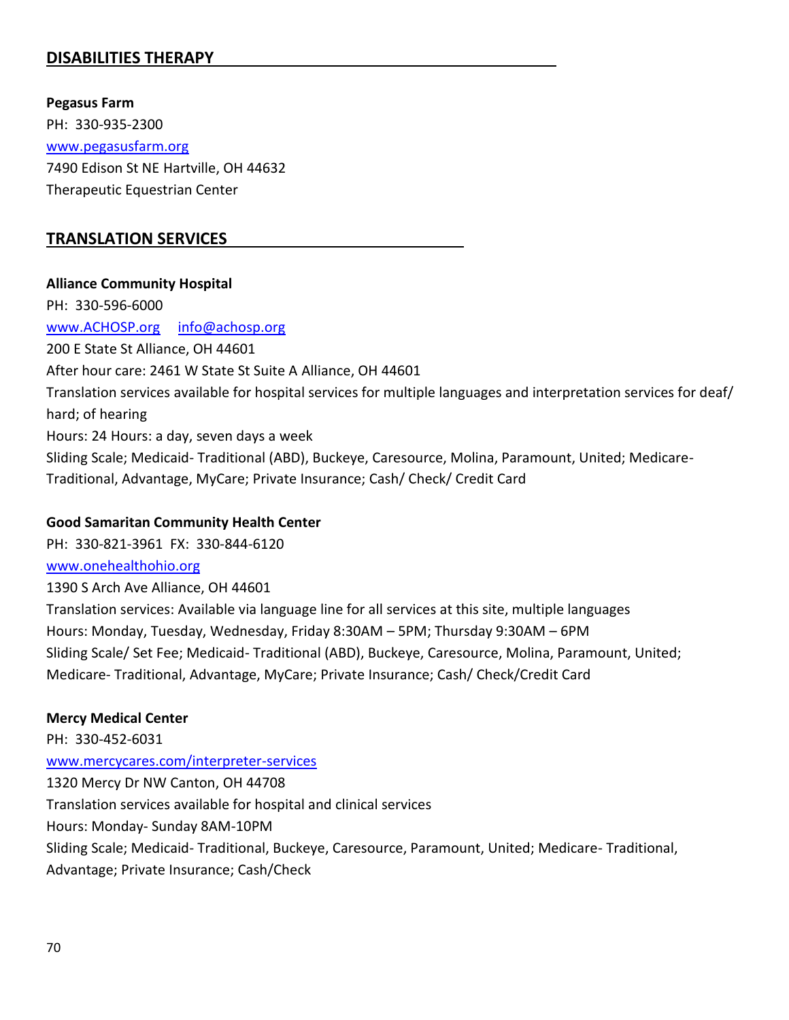# **DISABILITIES THERAPY**

**Pegasus Farm** PH: 330-935-2300 [www.pegasusfarm.org](http://www.pegasusfarm.org/) 7490 Edison St NE Hartville, OH 44632 Therapeutic Equestrian Center

## **TRANSLATION SERVICES**

#### **Alliance Community Hospital**

PH: 330-596-6000 [www.ACHOSP.org](http://www.achosp.org/) [info@achosp.org](mailto:info@achosp.org) 200 E State St Alliance, OH 44601 After hour care: 2461 W State St Suite A Alliance, OH 44601 Translation services available for hospital services for multiple languages and interpretation services for deaf/ hard; of hearing Hours: 24 Hours: a day, seven days a week Sliding Scale; Medicaid- Traditional (ABD), Buckeye, Caresource, Molina, Paramount, United; Medicare-Traditional, Advantage, MyCare; Private Insurance; Cash/ Check/ Credit Card

#### **Good Samaritan Community Health Center**

PH: 330-821-3961 FX: 330-844-6120 [www.onehealthohio.org](http://www.onehealthohio.org/)

1390 S Arch Ave Alliance, OH 44601 Translation services: Available via language line for all services at this site, multiple languages Hours: Monday, Tuesday, Wednesday, Friday 8:30AM – 5PM; Thursday 9:30AM – 6PM Sliding Scale/ Set Fee; Medicaid- Traditional (ABD), Buckeye, Caresource, Molina, Paramount, United; Medicare- Traditional, Advantage, MyCare; Private Insurance; Cash/ Check/Credit Card

## **Mercy Medical Center**

PH: 330-452-6031 [www.mercycares.com/interpreter-services](http://www.mercycares.com/interpreter-services) 1320 Mercy Dr NW Canton, OH 44708 Translation services available for hospital and clinical services Hours: Monday- Sunday 8AM-10PM Sliding Scale; Medicaid- Traditional, Buckeye, Caresource, Paramount, United; Medicare- Traditional, Advantage; Private Insurance; Cash/Check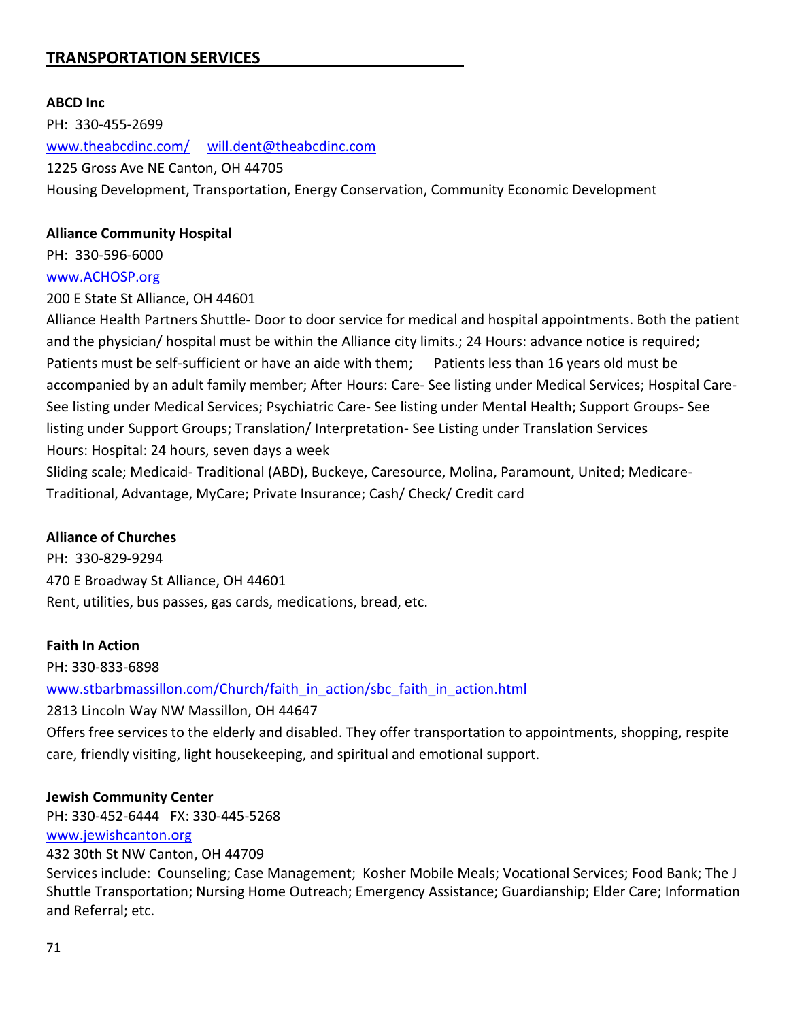# **TRANSPORTATION SERVICES**

#### **ABCD Inc**

PH: 330-455-2699 [www.theabcdinc.com/](http://www.theabcdinc.com/) [will.dent@theabcdinc.com](mailto:will.dent@theabcdinc.com) 1225 Gross Ave NE Canton, OH 44705 Housing Development, Transportation, Energy Conservation, Community Economic Development

#### **Alliance Community Hospital**

PH: 330-596-6000

#### [www.ACHOSP.org](http://www.achosp.org/)

200 E State St Alliance, OH 44601

Alliance Health Partners Shuttle- Door to door service for medical and hospital appointments. Both the patient and the physician/ hospital must be within the Alliance city limits.; 24 Hours: advance notice is required; Patients must be self-sufficient or have an aide with them; Patients less than 16 years old must be accompanied by an adult family member; After Hours: Care- See listing under Medical Services; Hospital Care-See listing under Medical Services; Psychiatric Care- See listing under Mental Health; Support Groups- See listing under Support Groups; Translation/ Interpretation- See Listing under Translation Services Hours: Hospital: 24 hours, seven days a week

Sliding scale; Medicaid- Traditional (ABD), Buckeye, Caresource, Molina, Paramount, United; Medicare-Traditional, Advantage, MyCare; Private Insurance; Cash/ Check/ Credit card

#### **Alliance of Churches**

PH: 330-829-9294 470 E Broadway St Alliance, OH 44601 Rent, utilities, bus passes, gas cards, medications, bread, etc.

#### **Faith In Action**

PH: 330-833-6898 [www.stbarbmassillon.com/Church/faith\\_in\\_action/sbc\\_faith\\_in\\_action.html](http://www.stbarbmassillon.com/Church/faith_in_action/sbc_faith_in_action.html) 2813 Lincoln Way NW Massillon, OH 44647 Offers free services to the elderly and disabled. They offer transportation to appointments, shopping, respite care, friendly visiting, light housekeeping, and spiritual and emotional support.

#### **Jewish Community Center**

PH: 330-452-6444 FX: 330-445-5268 [www.jewishcanton.org](http://www.jewishcanton.org/)

432 30th St NW Canton, OH 44709

Services include: Counseling; Case Management; Kosher Mobile Meals; Vocational Services; Food Bank; The J Shuttle Transportation; Nursing Home Outreach; Emergency Assistance; Guardianship; Elder Care; Information and Referral; etc.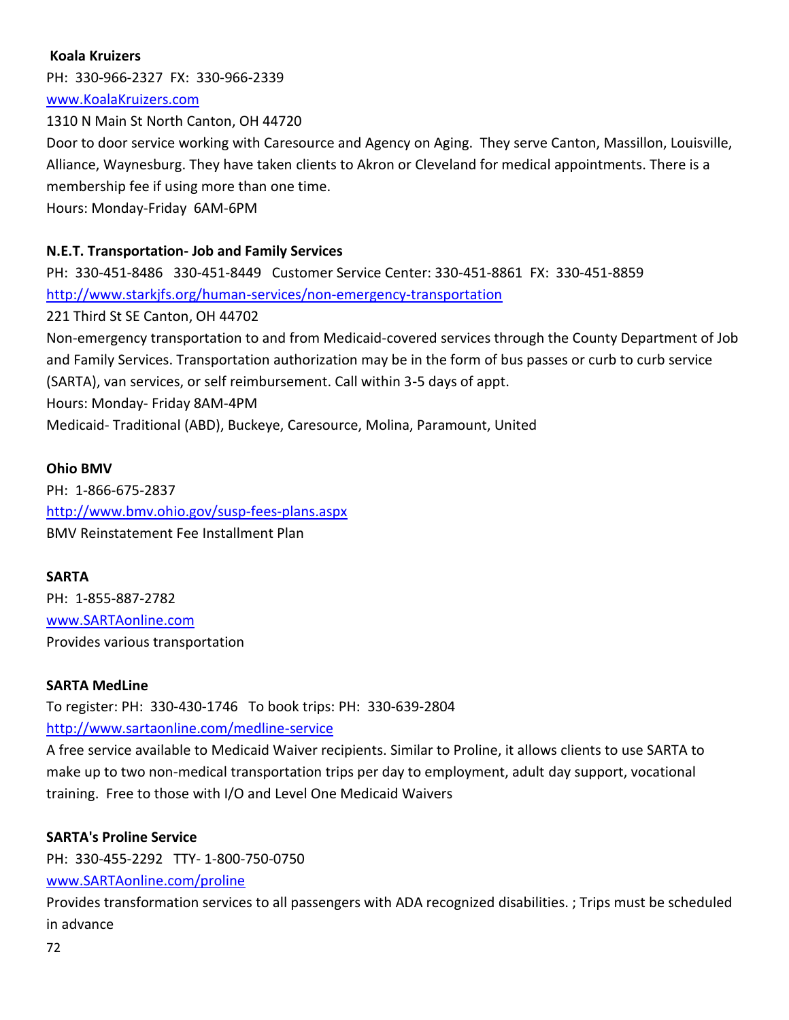## **Koala Kruizers**

PH: 330-966-2327 FX: 330-966-2339 [www.KoalaKruizers.com](http://www.koalakruizers.com/)

1310 N Main St North Canton, OH 44720 Door to door service working with Caresource and Agency on Aging. They serve Canton, Massillon, Louisville, Alliance, Waynesburg. They have taken clients to Akron or Cleveland for medical appointments. There is a membership fee if using more than one time. Hours: Monday-Friday 6AM-6PM

## **N.E.T. Transportation- Job and Family Services**

PH: 330-451-8486 330-451-8449 Customer Service Center: 330-451-8861 FX: 330-451-8859 <http://www.starkjfs.org/human-services/non-emergency-transportation> 221 Third St SE Canton, OH 44702 Non-emergency transportation to and from Medicaid-covered services through the County Department of Job and Family Services. Transportation authorization may be in the form of bus passes or curb to curb service (SARTA), van services, or self reimbursement. Call within 3-5 days of appt. Hours: Monday- Friday 8AM-4PM Medicaid- Traditional (ABD), Buckeye, Caresource, Molina, Paramount, United

#### **Ohio BMV**

PH: 1-866-675-2837 <http://www.bmv.ohio.gov/susp-fees-plans.aspx> BMV Reinstatement Fee Installment Plan

#### **SARTA**

PH: 1-855-887-2782 [www.SARTAonline.com](http://www.sartaonline.com/) Provides various transportation

#### **SARTA MedLine**

To register: PH: 330-430-1746 To book trips: PH: 330-639-2804

<http://www.sartaonline.com/medline-service>

A free service available to Medicaid Waiver recipients. Similar to Proline, it allows clients to use SARTA to make up to two non-medical transportation trips per day to employment, adult day support, vocational training. Free to those with I/O and Level One Medicaid Waivers

#### **SARTA's Proline Service**

PH: 330-455-2292 TTY- 1-800-750-0750

#### [www.SARTAonline.com/proline](http://www.sartaonline.com/proline)

Provides transformation services to all passengers with ADA recognized disabilities. ; Trips must be scheduled in advance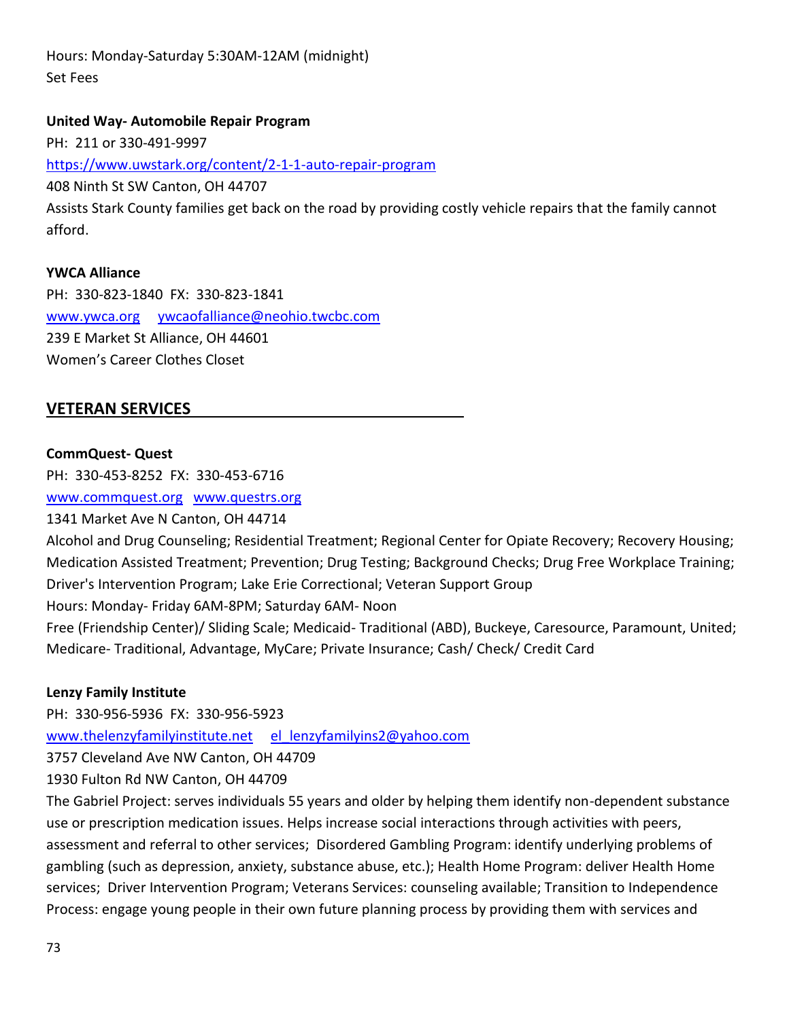Hours: Monday-Saturday 5:30AM-12AM (midnight) Set Fees

### **United Way- Automobile Repair Program**

PH: 211 or 330-491-9997 <https://www.uwstark.org/content/2-1-1-auto-repair-program> 408 Ninth St SW Canton, OH 44707 Assists Stark County families get back on the road by providing costly vehicle repairs that the family cannot afford.

## **YWCA Alliance**

PH: 330-823-1840 FX: 330-823-1841 [www.ywca.org](http://www.ywca.org/) [ywcaofalliance@neohio.twcbc.com](mailto:ywcaofalliance@neohio.twcbc.com) 239 E Market St Alliance, OH 44601 Women's Career Clothes Closet

## **VETERAN SERVICES**

### **CommQuest- Quest**

PH: 330-453-8252 FX: 330-453-6716

[www.commquest.org](http://www.commquest.org/) [www.questrs.org](http://www.questrs.org/)

1341 Market Ave N Canton, OH 44714

Alcohol and Drug Counseling; Residential Treatment; Regional Center for Opiate Recovery; Recovery Housing; Medication Assisted Treatment; Prevention; Drug Testing; Background Checks; Drug Free Workplace Training; Driver's Intervention Program; Lake Erie Correctional; Veteran Support Group Hours: Monday- Friday 6AM-8PM; Saturday 6AM- Noon

Free (Friendship Center)/ Sliding Scale; Medicaid- Traditional (ABD), Buckeye, Caresource, Paramount, United; Medicare- Traditional, Advantage, MyCare; Private Insurance; Cash/ Check/ Credit Card

### **Lenzy Family Institute**

PH: 330-956-5936 FX: 330-956-5923 [www.thelenzyfamilyinstitute.net](http://www.thelenzyfamilyinstitute.net/) [el\\_lenzyfamilyins2@yahoo.com](mailto:el_lenzyfamilyins2@yahoo.com) 3757 Cleveland Ave NW Canton, OH 44709 1930 Fulton Rd NW Canton, OH 44709

The Gabriel Project: serves individuals 55 years and older by helping them identify non-dependent substance use or prescription medication issues. Helps increase social interactions through activities with peers, assessment and referral to other services; Disordered Gambling Program: identify underlying problems of gambling (such as depression, anxiety, substance abuse, etc.); Health Home Program: deliver Health Home services; Driver Intervention Program; Veterans Services: counseling available; Transition to Independence Process: engage young people in their own future planning process by providing them with services and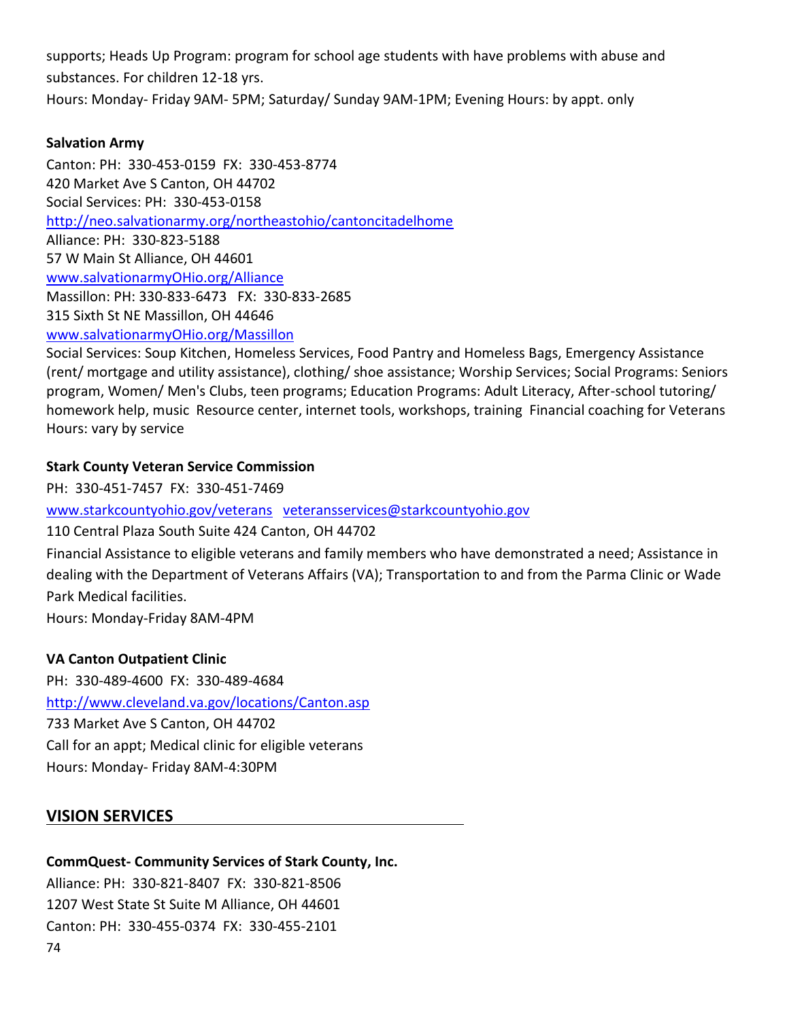supports; Heads Up Program: program for school age students with have problems with abuse and substances. For children 12-18 yrs. Hours: Monday- Friday 9AM- 5PM; Saturday/ Sunday 9AM-1PM; Evening Hours: by appt. only

## **Salvation Army**

Canton: PH: 330-453-0159 FX: 330-453-8774 420 Market Ave S Canton, OH 44702 Social Services: PH: 330-453-0158 <http://neo.salvationarmy.org/northeastohio/cantoncitadelhome> Alliance: PH: 330-823-5188 57 W Main St Alliance, OH 44601 [www.salvationarmyOHio.org/Alliance](http://www.salvationarmyohio.org/Alliance) Massillon: PH: 330-833-6473 FX: 330-833-2685 315 Sixth St NE Massillon, OH 44646 [www.salvationarmyOHio.org/Massillon](http://www.salvationarmyohio.org/Massillon)

Social Services: Soup Kitchen, Homeless Services, Food Pantry and Homeless Bags, Emergency Assistance (rent/ mortgage and utility assistance), clothing/ shoe assistance; Worship Services; Social Programs: Seniors program, Women/ Men's Clubs, teen programs; Education Programs: Adult Literacy, After-school tutoring/ homework help, music Resource center, internet tools, workshops, training Financial coaching for Veterans Hours: vary by service

## **Stark County Veteran Service Commission**

PH: 330-451-7457 FX: 330-451-7469

[www.starkcountyohio.gov/veterans](http://www.starkcountyohio.gov/veterans) [veteransservices@starkcountyohio.gov](mailto:veteransservices@starkcountyohio.gov)

110 Central Plaza South Suite 424 Canton, OH 44702

Financial Assistance to eligible veterans and family members who have demonstrated a need; Assistance in dealing with the Department of Veterans Affairs (VA); Transportation to and from the Parma Clinic or Wade Park Medical facilities.

Hours: Monday-Friday 8AM-4PM

## **VA Canton Outpatient Clinic**

PH: 330-489-4600 FX: 330-489-4684 <http://www.cleveland.va.gov/locations/Canton.asp> 733 Market Ave S Canton, OH 44702 Call for an appt; Medical clinic for eligible veterans Hours: Monday- Friday 8AM-4:30PM

# **VISION SERVICES**

## **CommQuest- Community Services of Stark County, Inc.**

74 Alliance: PH: 330-821-8407 FX: 330-821-8506 1207 West State St Suite M Alliance, OH 44601 Canton: PH: 330-455-0374 FX: 330-455-2101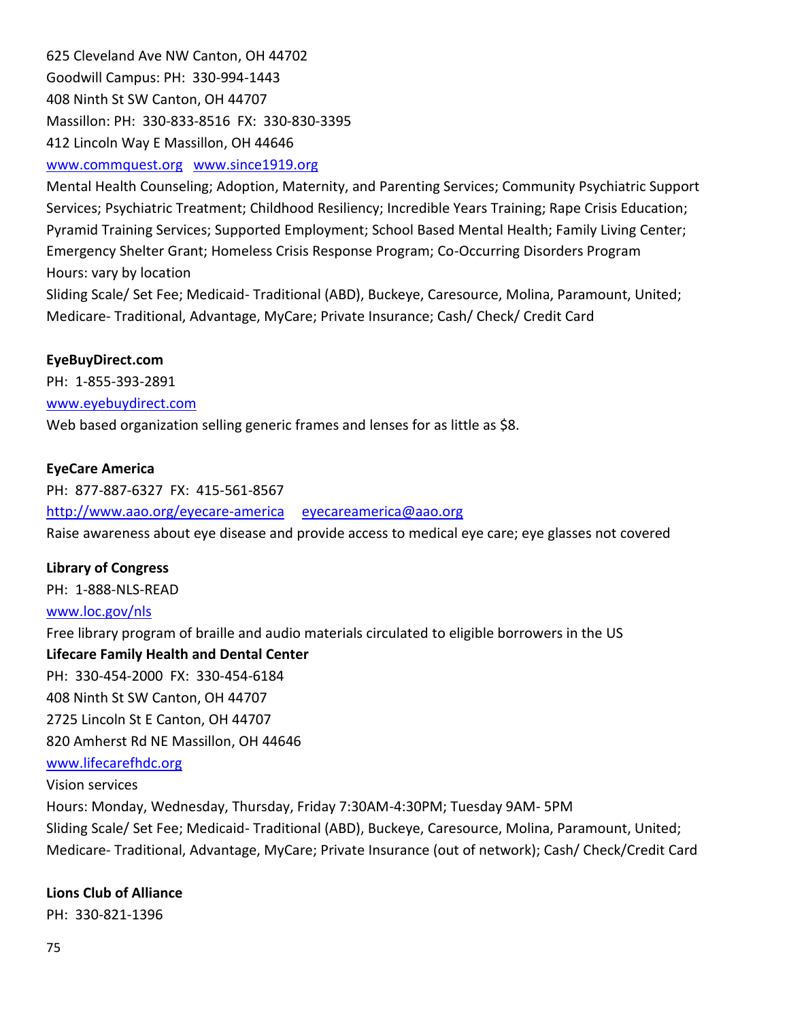625 Cleveland Ave NW Canton, OH 44702 Goodwill Campus: PH: 330-994-1443 408 Ninth St SW Canton, OH 44707 Massillon: PH: 330-833-8516 FX: 330-830-3395 412 Lincoln Way E Massillon, OH 44646

## [www.commquest.org](http://www.commquest.org/) [www.since1919.org](http://www.since1919.org/)

Mental Health Counseling; Adoption, Maternity, and Parenting Services; Community Psychiatric Support Services; Psychiatric Treatment; Childhood Resiliency; Incredible Years Training; Rape Crisis Education; Pyramid Training Services; Supported Employment; School Based Mental Health; Family Living Center; Emergency Shelter Grant; Homeless Crisis Response Program; Co-Occurring Disorders Program Hours: vary by location

Sliding Scale/ Set Fee; Medicaid- Traditional (ABD), Buckeye, Caresource, Molina, Paramount, United; Medicare- Traditional, Advantage, MyCare; Private Insurance; Cash/ Check/ Credit Card

### **EyeBuyDirect.com**

PH: 1-855-393-2891

[www.eyebuydirect.com](http://www.eyebuydirect.com/)

Web based organization selling generic frames and lenses for as little as \$8.

### **EyeCare America**

PH: 877-887-6327 FX: 415-561-8567 <http://www.aao.org/eyecare-america> [eyecareamerica@aao.org](mailto:eyecareamerica@aao.org) Raise awareness about eye disease and provide access to medical eye care; eye glasses not covered

## **Library of Congress**

PH: 1-888-NLS-READ

## [www.loc.gov/nls](http://www.loc.gov/nls)

Free library program of braille and audio materials circulated to eligible borrowers in the US

**Lifecare Family Health and Dental Center**

PH: 330-454-2000 FX: 330-454-6184

408 Ninth St SW Canton, OH 44707

2725 Lincoln St E Canton, OH 44707

820 Amherst Rd NE Massillon, OH 44646

### [www.lifecarefhdc.org](http://www.lifecarefhdc.org/)

### Vision services

Hours: Monday, Wednesday, Thursday, Friday 7:30AM-4:30PM; Tuesday 9AM- 5PM Sliding Scale/ Set Fee; Medicaid- Traditional (ABD), Buckeye, Caresource, Molina, Paramount, United; Medicare- Traditional, Advantage, MyCare; Private Insurance (out of network); Cash/ Check/Credit Card

## **Lions Club of Alliance**

PH: 330-821-1396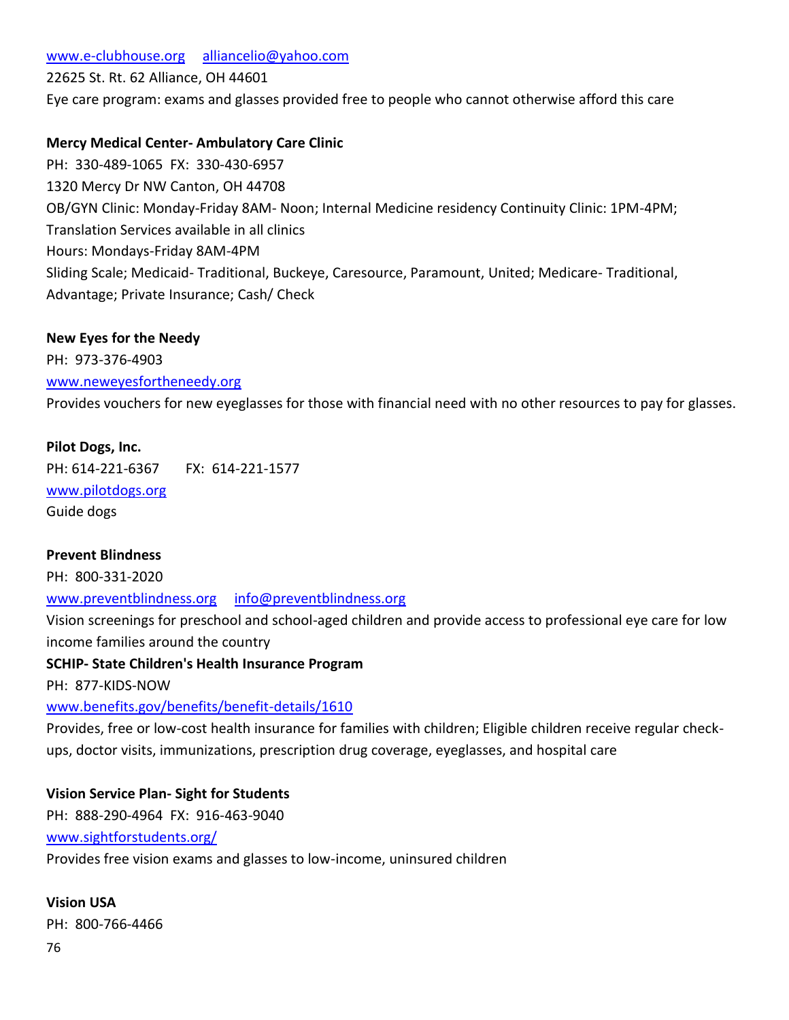## [www.e-clubhouse.org](http://www.e-clubhouse.org/) [alliancelio@yahoo.com](mailto:alliancelio@yahoo.com)

22625 St. Rt. 62 Alliance, OH 44601

Eye care program: exams and glasses provided free to people who cannot otherwise afford this care

## **Mercy Medical Center- Ambulatory Care Clinic**

PH: 330-489-1065 FX: 330-430-6957 1320 Mercy Dr NW Canton, OH 44708 OB/GYN Clinic: Monday-Friday 8AM- Noon; Internal Medicine residency Continuity Clinic: 1PM-4PM; Translation Services available in all clinics Hours: Mondays-Friday 8AM-4PM Sliding Scale; Medicaid- Traditional, Buckeye, Caresource, Paramount, United; Medicare- Traditional, Advantage; Private Insurance; Cash/ Check

### **New Eyes for the Needy**

PH: 973-376-4903 [www.neweyesfortheneedy.org](http://www.neweyesfortheneedy.org/) Provides vouchers for new eyeglasses for those with financial need with no other resources to pay for glasses.

#### **Pilot Dogs, Inc.**

PH: 614-221-6367 FX: 614-221-1577 [www.pilotdogs.org](http://www.pilotdogs.org/) Guide dogs

### **Prevent Blindness**

PH: 800-331-2020 [www.preventblindness.org](http://www.preventblindness.org/) [info@preventblindness.org](mailto:info@preventblindness.org) Vision screenings for preschool and school-aged children and provide access to professional eye care for low income families around the country

### **SCHIP- State Children's Health Insurance Program**

PH: 877-KIDS-NOW

[www.benefits.gov/benefits/benefit-details/1610](http://www.benefits.gov/benefits/benefit-details/1610)

Provides, free or low-cost health insurance for families with children; Eligible children receive regular checkups, doctor visits, immunizations, prescription drug coverage, eyeglasses, and hospital care

### **Vision Service Plan- Sight for Students**

PH: 888-290-4964 FX: 916-463-9040 [www.sightforstudents.org/](http://www.sightforstudents.org/) Provides free vision exams and glasses to low-income, uninsured children

**Vision USA** PH: 800-766-4466